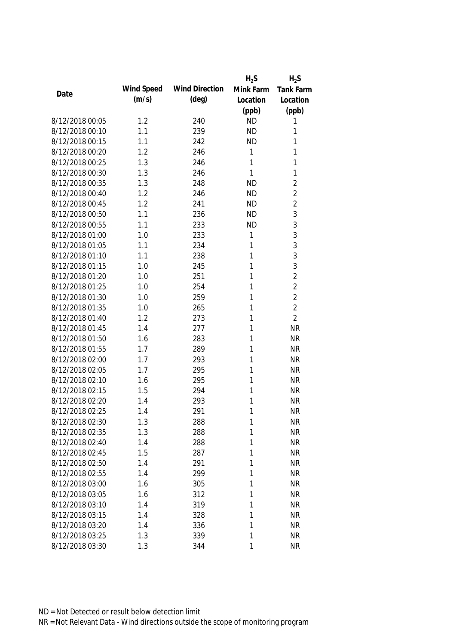|                 |            |                       | $H_2S$    | $H_2S$         |
|-----------------|------------|-----------------------|-----------|----------------|
| Date            | Wind Speed | <b>Wind Direction</b> | Mink Farm | Tank Farm      |
|                 | (m/s)      | $(\text{deg})$        | Location  | Location       |
|                 |            |                       | (ppb)     | (ppb)          |
| 8/12/2018 00:05 | 1.2        | 240                   | <b>ND</b> | 1              |
| 8/12/2018 00:10 | 1.1        | 239                   | <b>ND</b> | 1              |
| 8/12/2018 00:15 | 1.1        | 242                   | <b>ND</b> | 1              |
| 8/12/2018 00:20 | 1.2        | 246                   | 1         | 1              |
| 8/12/2018 00:25 | 1.3        | 246                   | 1         | 1              |
| 8/12/2018 00:30 | 1.3        | 246                   | 1         | 1              |
| 8/12/2018 00:35 | 1.3        | 248                   | <b>ND</b> | $\overline{2}$ |
| 8/12/2018 00:40 | 1.2        | 246                   | <b>ND</b> | $\overline{2}$ |
| 8/12/2018 00:45 | 1.2        | 241                   | <b>ND</b> | $\overline{2}$ |
| 8/12/2018 00:50 | 1.1        | 236                   | <b>ND</b> | 3              |
| 8/12/2018 00:55 | 1.1        | 233                   | <b>ND</b> | 3              |
| 8/12/2018 01:00 | 1.0        | 233                   | 1         | 3              |
| 8/12/2018 01:05 | 1.1        | 234                   | 1         | 3              |
| 8/12/2018 01:10 | 1.1        | 238                   | 1         | 3              |
| 8/12/2018 01:15 | 1.0        | 245                   | 1         | 3              |
| 8/12/2018 01:20 | 1.0        | 251                   | 1         | $\overline{2}$ |
| 8/12/2018 01:25 | 1.0        | 254                   | 1         | $\overline{2}$ |
| 8/12/2018 01:30 | 1.0        | 259                   | 1         | $\overline{2}$ |
| 8/12/2018 01:35 | 1.0        | 265                   | 1         | $\overline{2}$ |
| 8/12/2018 01:40 | 1.2        | 273                   | 1         | $\overline{2}$ |
| 8/12/2018 01:45 | 1.4        | 277                   | 1         | <b>NR</b>      |
| 8/12/2018 01:50 | 1.6        | 283                   | 1         | <b>NR</b>      |
| 8/12/2018 01:55 | 1.7        | 289                   | 1         | <b>NR</b>      |
| 8/12/2018 02:00 | 1.7        | 293                   | 1         | <b>NR</b>      |
| 8/12/2018 02:05 | 1.7        | 295                   | 1         | <b>NR</b>      |
| 8/12/2018 02:10 | 1.6        | 295                   | 1         | <b>NR</b>      |
| 8/12/2018 02:15 | 1.5        | 294                   | 1         | <b>NR</b>      |
| 8/12/2018 02:20 | 1.4        | 293                   | 1         | <b>NR</b>      |
| 8/12/2018 02:25 | 1.4        | 291                   | 1         | <b>NR</b>      |
| 8/12/2018 02:30 | 1.3        | 288                   | 1         | <b>NR</b>      |
| 8/12/2018 02:35 | 1.3        | 288                   | 1         | <b>NR</b>      |
| 8/12/2018 02:40 | 1.4        | 288                   | 1         | <b>NR</b>      |
| 8/12/2018 02:45 | 1.5        | 287                   | 1         | <b>NR</b>      |
| 8/12/2018 02:50 | 1.4        | 291                   | 1         | <b>NR</b>      |
| 8/12/2018 02:55 | 1.4        | 299                   | 1         | <b>NR</b>      |
| 8/12/2018 03:00 | 1.6        | 305                   | 1         | <b>NR</b>      |
| 8/12/2018 03:05 | 1.6        | 312                   | 1         | <b>NR</b>      |
| 8/12/2018 03:10 | 1.4        | 319                   | 1         | <b>NR</b>      |
| 8/12/2018 03:15 | 1.4        | 328                   | 1         | <b>NR</b>      |
| 8/12/2018 03:20 | 1.4        | 336                   | 1         | <b>NR</b>      |
| 8/12/2018 03:25 | 1.3        | 339                   | 1         | <b>NR</b>      |
| 8/12/2018 03:30 | 1.3        | 344                   | 1         | <b>NR</b>      |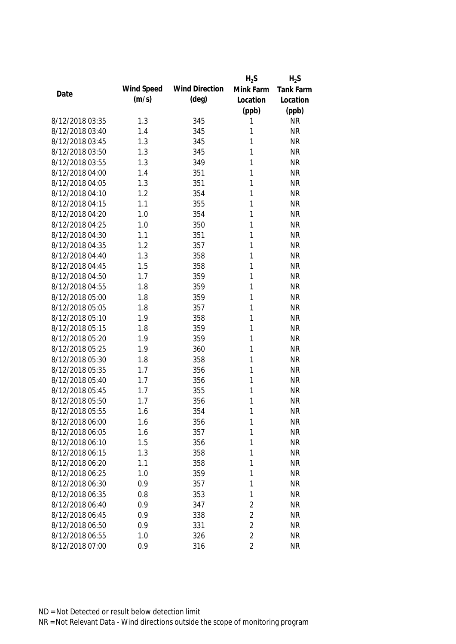|                 |            |                       | $H_2S$         | $H_2S$           |
|-----------------|------------|-----------------------|----------------|------------------|
| Date            | Wind Speed | <b>Wind Direction</b> | Mink Farm      | <b>Tank Farm</b> |
|                 | (m/s)      | $(\text{deg})$        | Location       | Location         |
|                 |            |                       | (ppb)          | (ppb)            |
| 8/12/2018 03:35 | 1.3        | 345                   | 1              | <b>NR</b>        |
| 8/12/2018 03:40 | 1.4        | 345                   | 1              | <b>NR</b>        |
| 8/12/2018 03:45 | 1.3        | 345                   | 1              | <b>NR</b>        |
| 8/12/2018 03:50 | 1.3        | 345                   | 1              | <b>NR</b>        |
| 8/12/2018 03:55 | 1.3        | 349                   | 1              | <b>NR</b>        |
| 8/12/2018 04:00 | 1.4        | 351                   | 1              | <b>NR</b>        |
| 8/12/2018 04:05 | 1.3        | 351                   | 1              | <b>NR</b>        |
| 8/12/2018 04:10 | 1.2        | 354                   | 1              | <b>NR</b>        |
| 8/12/2018 04:15 | 1.1        | 355                   | 1              | <b>NR</b>        |
| 8/12/2018 04:20 | 1.0        | 354                   | 1              | <b>NR</b>        |
| 8/12/2018 04:25 | 1.0        | 350                   | 1              | <b>NR</b>        |
| 8/12/2018 04:30 | 1.1        | 351                   | 1              | <b>NR</b>        |
| 8/12/2018 04:35 | 1.2        | 357                   | 1              | <b>NR</b>        |
| 8/12/2018 04:40 | 1.3        | 358                   | 1              | <b>NR</b>        |
| 8/12/2018 04:45 | 1.5        | 358                   | 1              | <b>NR</b>        |
| 8/12/2018 04:50 | 1.7        | 359                   | 1              | <b>NR</b>        |
| 8/12/2018 04:55 | 1.8        | 359                   | 1              | <b>NR</b>        |
| 8/12/2018 05:00 | 1.8        | 359                   | 1              | <b>NR</b>        |
| 8/12/2018 05:05 | 1.8        | 357                   | 1              | <b>NR</b>        |
| 8/12/2018 05:10 | 1.9        | 358                   | 1              | <b>NR</b>        |
| 8/12/2018 05:15 | 1.8        | 359                   | 1              | <b>NR</b>        |
| 8/12/2018 05:20 | 1.9        | 359                   | 1              | <b>NR</b>        |
| 8/12/2018 05:25 | 1.9        | 360                   | 1              | <b>NR</b>        |
| 8/12/2018 05:30 | 1.8        | 358                   | 1              | <b>NR</b>        |
| 8/12/2018 05:35 | 1.7        | 356                   | 1              | <b>NR</b>        |
| 8/12/2018 05:40 | 1.7        | 356                   | 1              | <b>NR</b>        |
| 8/12/2018 05:45 | 1.7        | 355                   | 1              | <b>NR</b>        |
| 8/12/2018 05:50 | 1.7        | 356                   | 1              | <b>NR</b>        |
| 8/12/2018 05:55 | 1.6        | 354                   | 1              | <b>NR</b>        |
| 8/12/2018 06:00 | 1.6        | 356                   | 1              | <b>NR</b>        |
| 8/12/2018 06:05 | 1.6        | 357                   | 1              | <b>NR</b>        |
| 8/12/2018 06:10 | 1.5        | 356                   | 1              | <b>NR</b>        |
| 8/12/2018 06:15 | 1.3        | 358                   | 1              | <b>NR</b>        |
| 8/12/2018 06:20 | 1.1        | 358                   | 1              | <b>NR</b>        |
| 8/12/2018 06:25 | 1.0        | 359                   | 1              | <b>NR</b>        |
| 8/12/2018 06:30 | 0.9        | 357                   | 1              | <b>NR</b>        |
| 8/12/2018 06:35 | 0.8        | 353                   | 1              | <b>NR</b>        |
| 8/12/2018 06:40 | 0.9        | 347                   | 2              | <b>NR</b>        |
| 8/12/2018 06:45 | 0.9        | 338                   | $\overline{2}$ | <b>NR</b>        |
| 8/12/2018 06:50 | 0.9        | 331                   | $\overline{2}$ | <b>NR</b>        |
| 8/12/2018 06:55 | 1.0        | 326                   | $\overline{2}$ | <b>NR</b>        |
| 8/12/2018 07:00 | 0.9        | 316                   | $\overline{2}$ | <b>NR</b>        |
|                 |            |                       |                |                  |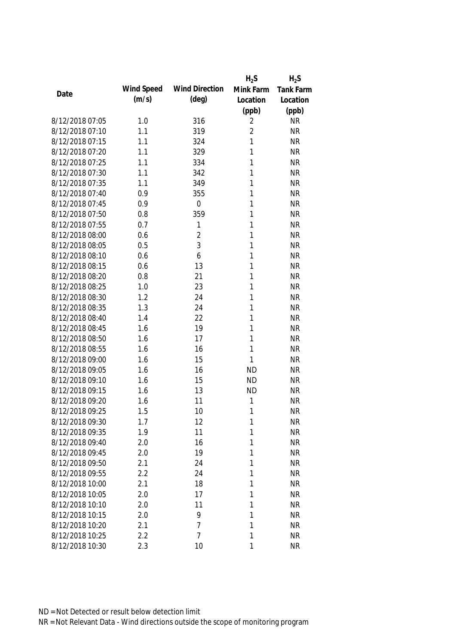|                 |            |                       | $H_2S$         | $H_2S$           |
|-----------------|------------|-----------------------|----------------|------------------|
| Date            | Wind Speed | <b>Wind Direction</b> | Mink Farm      | <b>Tank Farm</b> |
|                 | (m/s)      | $(\text{deg})$        | Location       | Location         |
|                 |            |                       | (ppb)          | (ppb)            |
| 8/12/2018 07:05 | 1.0        | 316                   | 2              | <b>NR</b>        |
| 8/12/2018 07:10 | 1.1        | 319                   | $\overline{2}$ | <b>NR</b>        |
| 8/12/2018 07:15 | 1.1        | 324                   | 1              | <b>NR</b>        |
| 8/12/2018 07:20 | 1.1        | 329                   | 1              | <b>NR</b>        |
| 8/12/2018 07:25 | 1.1        | 334                   | 1              | <b>NR</b>        |
| 8/12/2018 07:30 | 1.1        | 342                   | 1              | <b>NR</b>        |
| 8/12/2018 07:35 | 1.1        | 349                   | 1              | <b>NR</b>        |
| 8/12/2018 07:40 | 0.9        | 355                   | 1              | <b>NR</b>        |
| 8/12/2018 07:45 | 0.9        | $\mathbf 0$           | 1              | <b>NR</b>        |
| 8/12/2018 07:50 | 0.8        | 359                   | 1              | <b>NR</b>        |
| 8/12/2018 07:55 | 0.7        | 1                     | 1              | <b>NR</b>        |
| 8/12/2018 08:00 | 0.6        | $\overline{2}$        | 1              | <b>NR</b>        |
| 8/12/2018 08:05 | 0.5        | 3                     | 1              | <b>NR</b>        |
| 8/12/2018 08:10 | 0.6        | 6                     | 1              | <b>NR</b>        |
| 8/12/2018 08:15 | 0.6        | 13                    | 1              | <b>NR</b>        |
| 8/12/2018 08:20 | 0.8        | 21                    | 1              | <b>NR</b>        |
| 8/12/2018 08:25 | 1.0        | 23                    | 1              | <b>NR</b>        |
| 8/12/2018 08:30 | 1.2        | 24                    | 1              | <b>NR</b>        |
| 8/12/2018 08:35 | 1.3        | 24                    | 1              | <b>NR</b>        |
| 8/12/2018 08:40 | 1.4        | 22                    | 1              | <b>NR</b>        |
| 8/12/2018 08:45 | 1.6        | 19                    | 1              | <b>NR</b>        |
| 8/12/2018 08:50 | 1.6        | 17                    | 1              | <b>NR</b>        |
| 8/12/2018 08:55 | 1.6        | 16                    | 1              | <b>NR</b>        |
| 8/12/2018 09:00 | 1.6        | 15                    | 1              | <b>NR</b>        |
| 8/12/2018 09:05 | 1.6        | 16                    | <b>ND</b>      | <b>NR</b>        |
| 8/12/2018 09:10 | 1.6        | 15                    | <b>ND</b>      | <b>NR</b>        |
| 8/12/2018 09:15 | 1.6        | 13                    | <b>ND</b>      | <b>NR</b>        |
| 8/12/2018 09:20 | 1.6        | 11                    | 1              | <b>NR</b>        |
| 8/12/2018 09:25 | 1.5        | 10                    | 1              | <b>NR</b>        |
| 8/12/2018 09:30 | 1.7        | 12                    | 1              | <b>NR</b>        |
| 8/12/2018 09:35 | 1.9        | 11                    | 1              | <b>NR</b>        |
| 8/12/2018 09:40 | 2.0        | 16                    | 1              | <b>NR</b>        |
| 8/12/2018 09:45 | 2.0        | 19                    | 1              | <b>NR</b>        |
| 8/12/2018 09:50 | 2.1        | 24                    | 1              | <b>NR</b>        |
| 8/12/2018 09:55 | 2.2        | 24                    | 1              | <b>NR</b>        |
| 8/12/2018 10:00 | 2.1        | 18                    | 1              | <b>NR</b>        |
| 8/12/2018 10:05 | 2.0        | 17                    | 1              | <b>NR</b>        |
| 8/12/2018 10:10 | 2.0        | 11                    | 1              | <b>NR</b>        |
| 8/12/2018 10:15 | 2.0        | 9                     | 1              | <b>NR</b>        |
| 8/12/2018 10:20 | 2.1        | 7                     | 1              | <b>NR</b>        |
| 8/12/2018 10:25 | 2.2        | $\overline{7}$        | 1              | <b>NR</b>        |
| 8/12/2018 10:30 | 2.3        | 10                    | 1              | <b>NR</b>        |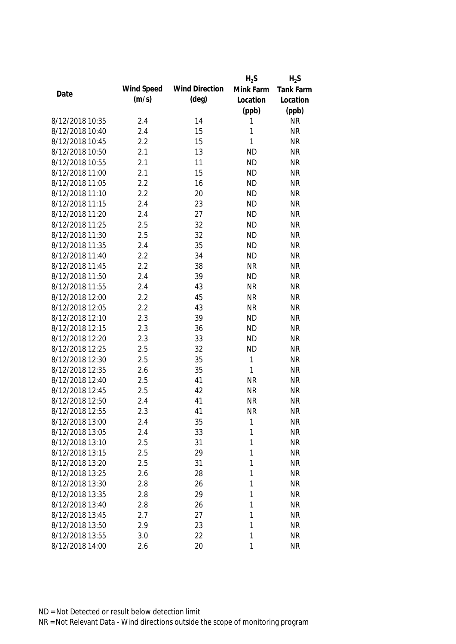|                 |            |                       | $H_2S$    | $H_2S$    |
|-----------------|------------|-----------------------|-----------|-----------|
| Date            | Wind Speed | <b>Wind Direction</b> | Mink Farm | Tank Farm |
|                 | (m/s)      | $(\text{deg})$        | Location  | Location  |
|                 |            |                       | (ppb)     | (ppb)     |
| 8/12/2018 10:35 | 2.4        | 14                    | 1         | <b>NR</b> |
| 8/12/2018 10:40 | 2.4        | 15                    | 1         | <b>NR</b> |
| 8/12/2018 10:45 | 2.2        | 15                    | 1         | <b>NR</b> |
| 8/12/2018 10:50 | 2.1        | 13                    | <b>ND</b> | <b>NR</b> |
| 8/12/2018 10:55 | 2.1        | 11                    | <b>ND</b> | <b>NR</b> |
| 8/12/2018 11:00 | 2.1        | 15                    | <b>ND</b> | <b>NR</b> |
| 8/12/2018 11:05 | 2.2        | 16                    | <b>ND</b> | <b>NR</b> |
| 8/12/2018 11:10 | 2.2        | 20                    | <b>ND</b> | <b>NR</b> |
| 8/12/2018 11:15 | 2.4        | 23                    | <b>ND</b> | <b>NR</b> |
| 8/12/2018 11:20 | 2.4        | 27                    | <b>ND</b> | <b>NR</b> |
| 8/12/2018 11:25 | 2.5        | 32                    | <b>ND</b> | <b>NR</b> |
| 8/12/2018 11:30 | 2.5        | 32                    | <b>ND</b> | <b>NR</b> |
| 8/12/2018 11:35 | 2.4        | 35                    | <b>ND</b> | <b>NR</b> |
| 8/12/2018 11:40 | 2.2        | 34                    | <b>ND</b> | <b>NR</b> |
| 8/12/2018 11:45 | 2.2        | 38                    | <b>NR</b> | <b>NR</b> |
| 8/12/2018 11:50 | 2.4        | 39                    | <b>ND</b> | <b>NR</b> |
| 8/12/2018 11:55 | 2.4        | 43                    | <b>NR</b> | <b>NR</b> |
| 8/12/2018 12:00 | 2.2        | 45                    | <b>NR</b> | <b>NR</b> |
| 8/12/2018 12:05 | 2.2        | 43                    | <b>NR</b> | <b>NR</b> |
| 8/12/2018 12:10 | 2.3        | 39                    | <b>ND</b> | <b>NR</b> |
| 8/12/2018 12:15 | 2.3        | 36                    | <b>ND</b> | <b>NR</b> |
| 8/12/2018 12:20 | 2.3        | 33                    | <b>ND</b> | <b>NR</b> |
| 8/12/2018 12:25 | 2.5        | 32                    | <b>ND</b> | <b>NR</b> |
| 8/12/2018 12:30 | 2.5        | 35                    | 1         | <b>NR</b> |
| 8/12/2018 12:35 | 2.6        | 35                    | 1         | <b>NR</b> |
| 8/12/2018 12:40 | 2.5        | 41                    | <b>NR</b> | <b>NR</b> |
| 8/12/2018 12:45 | 2.5        | 42                    | <b>NR</b> | <b>NR</b> |
| 8/12/2018 12:50 | 2.4        | 41                    | <b>NR</b> | <b>NR</b> |
| 8/12/2018 12:55 | 2.3        | 41                    | <b>NR</b> | <b>NR</b> |
| 8/12/2018 13:00 | 2.4        | 35                    | 1         | <b>NR</b> |
| 8/12/2018 13:05 | 2.4        | 33                    | 1         | <b>NR</b> |
| 8/12/2018 13:10 | 2.5        | 31                    | 1         | <b>NR</b> |
| 8/12/2018 13:15 | 2.5        | 29                    | 1         | <b>NR</b> |
| 8/12/2018 13:20 | 2.5        | 31                    | 1         | <b>NR</b> |
| 8/12/2018 13:25 | 2.6        | 28                    | 1         | <b>NR</b> |
| 8/12/2018 13:30 | 2.8        | 26                    | 1         | <b>NR</b> |
| 8/12/2018 13:35 | 2.8        | 29                    | 1         | <b>NR</b> |
| 8/12/2018 13:40 | 2.8        | 26                    | 1         | <b>NR</b> |
| 8/12/2018 13:45 | 2.7        | 27                    | 1         | <b>NR</b> |
| 8/12/2018 13:50 | 2.9        | 23                    | 1         | <b>NR</b> |
| 8/12/2018 13:55 | 3.0        | 22                    | 1         | <b>NR</b> |
| 8/12/2018 14:00 | 2.6        | 20                    | 1         | <b>NR</b> |
|                 |            |                       |           |           |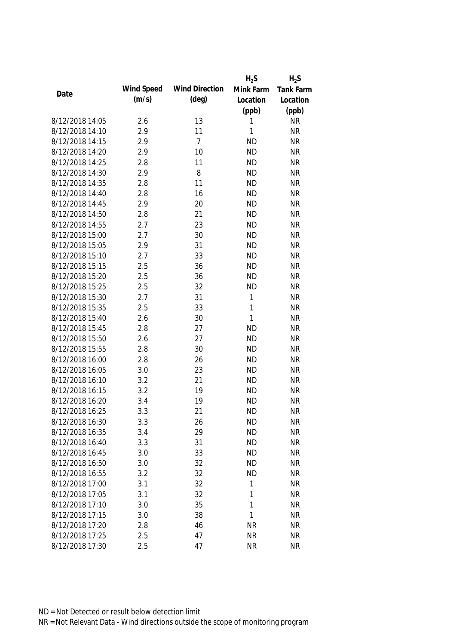|                 |            |                       | $H_2S$    | $H_2S$           |
|-----------------|------------|-----------------------|-----------|------------------|
| Date            | Wind Speed | <b>Wind Direction</b> | Mink Farm | <b>Tank Farm</b> |
|                 | (m/s)      | $(\text{deg})$        | Location  | Location         |
|                 |            |                       | (ppb)     | (ppb)            |
| 8/12/2018 14:05 | 2.6        | 13                    | 1         | <b>NR</b>        |
| 8/12/2018 14:10 | 2.9        | 11                    | 1         | <b>NR</b>        |
| 8/12/2018 14:15 | 2.9        | $\overline{7}$        | <b>ND</b> | <b>NR</b>        |
| 8/12/2018 14:20 | 2.9        | 10                    | <b>ND</b> | <b>NR</b>        |
| 8/12/2018 14:25 | 2.8        | 11                    | <b>ND</b> | <b>NR</b>        |
| 8/12/2018 14:30 | 2.9        | 8                     | <b>ND</b> | <b>NR</b>        |
| 8/12/2018 14:35 | 2.8        | 11                    | <b>ND</b> | <b>NR</b>        |
| 8/12/2018 14:40 | 2.8        | 16                    | <b>ND</b> | <b>NR</b>        |
| 8/12/2018 14:45 | 2.9        | 20                    | <b>ND</b> | <b>NR</b>        |
| 8/12/2018 14:50 | 2.8        | 21                    | <b>ND</b> | <b>NR</b>        |
| 8/12/2018 14:55 | 2.7        | 23                    | <b>ND</b> | <b>NR</b>        |
| 8/12/2018 15:00 | 2.7        | 30                    | <b>ND</b> | <b>NR</b>        |
| 8/12/2018 15:05 | 2.9        | 31                    | <b>ND</b> | <b>NR</b>        |
| 8/12/2018 15:10 | 2.7        | 33                    | <b>ND</b> | <b>NR</b>        |
| 8/12/2018 15:15 | 2.5        | 36                    | <b>ND</b> | <b>NR</b>        |
| 8/12/2018 15:20 | 2.5        | 36                    | <b>ND</b> | <b>NR</b>        |
| 8/12/2018 15:25 | 2.5        | 32                    | <b>ND</b> | <b>NR</b>        |
| 8/12/2018 15:30 | 2.7        | 31                    | 1         | <b>NR</b>        |
| 8/12/2018 15:35 | 2.5        | 33                    | 1         | <b>NR</b>        |
| 8/12/2018 15:40 | 2.6        | 30                    | 1         | <b>NR</b>        |
| 8/12/2018 15:45 | 2.8        | 27                    | <b>ND</b> | <b>NR</b>        |
| 8/12/2018 15:50 | 2.6        | 27                    | <b>ND</b> | <b>NR</b>        |
| 8/12/2018 15:55 | 2.8        | 30                    | <b>ND</b> | <b>NR</b>        |
| 8/12/2018 16:00 | 2.8        | 26                    | <b>ND</b> | <b>NR</b>        |
| 8/12/2018 16:05 | 3.0        | 23                    | <b>ND</b> | <b>NR</b>        |
| 8/12/2018 16:10 | 3.2        | 21                    | <b>ND</b> | <b>NR</b>        |
| 8/12/2018 16:15 | 3.2        | 19                    | <b>ND</b> | <b>NR</b>        |
| 8/12/2018 16:20 | 3.4        | 19                    | <b>ND</b> | <b>NR</b>        |
| 8/12/2018 16:25 | 3.3        | 21                    | <b>ND</b> | <b>NR</b>        |
| 8/12/2018 16:30 | 3.3        | 26                    | <b>ND</b> | <b>NR</b>        |
| 8/12/2018 16:35 | 3.4        | 29                    | <b>ND</b> | <b>NR</b>        |
| 8/12/2018 16:40 | 3.3        | 31                    | <b>ND</b> | <b>NR</b>        |
| 8/12/2018 16:45 | 3.0        | 33                    | <b>ND</b> | <b>NR</b>        |
| 8/12/2018 16:50 | 3.0        | 32                    | <b>ND</b> | <b>NR</b>        |
| 8/12/2018 16:55 | 3.2        | 32                    | <b>ND</b> | <b>NR</b>        |
| 8/12/2018 17:00 | 3.1        | 32                    | 1         | <b>NR</b>        |
| 8/12/2018 17:05 | 3.1        | 32                    | 1         | <b>NR</b>        |
| 8/12/2018 17:10 | 3.0        | 35                    | 1         | <b>NR</b>        |
| 8/12/2018 17:15 | 3.0        | 38                    | 1         | <b>NR</b>        |
| 8/12/2018 17:20 | 2.8        | 46                    | <b>NR</b> | <b>NR</b>        |
| 8/12/2018 17:25 | 2.5        | 47                    | <b>NR</b> | <b>NR</b>        |
| 8/12/2018 17:30 | 2.5        | 47                    | <b>NR</b> | <b>NR</b>        |
|                 |            |                       |           |                  |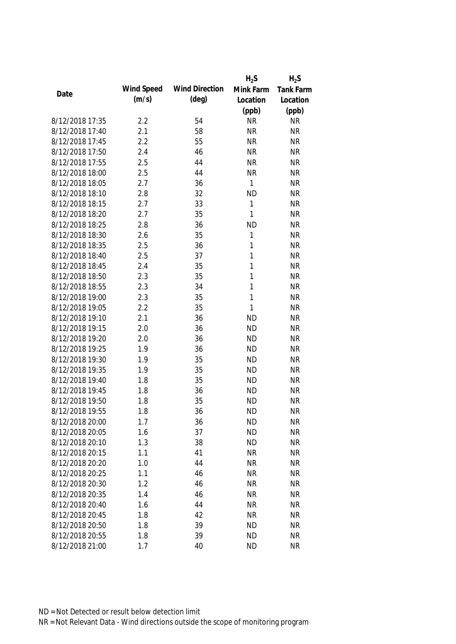|                 |            |                       | $H_2S$       | $H_2S$    |
|-----------------|------------|-----------------------|--------------|-----------|
|                 | Wind Speed | <b>Wind Direction</b> | Mink Farm    | Tank Farm |
| Date            | (m/s)      | $(\text{deg})$        | Location     | Location  |
|                 |            |                       | (ppb)        | (ppb)     |
| 8/12/2018 17:35 | 2.2        | 54                    | <b>NR</b>    | <b>NR</b> |
| 8/12/2018 17:40 | 2.1        | 58                    | <b>NR</b>    | <b>NR</b> |
| 8/12/2018 17:45 | 2.2        | 55                    | <b>NR</b>    | <b>NR</b> |
| 8/12/2018 17:50 | 2.4        | 46                    | <b>NR</b>    | <b>NR</b> |
| 8/12/2018 17:55 | 2.5        | 44                    | <b>NR</b>    | <b>NR</b> |
| 8/12/2018 18:00 | 2.5        | 44                    | <b>NR</b>    | <b>NR</b> |
| 8/12/2018 18:05 | 2.7        | 36                    | 1            | <b>NR</b> |
| 8/12/2018 18:10 | 2.8        | 32                    | <b>ND</b>    | <b>NR</b> |
| 8/12/2018 18:15 | 2.7        | 33                    | 1            | <b>NR</b> |
| 8/12/2018 18:20 | 2.7        | 35                    | 1            | <b>NR</b> |
| 8/12/2018 18:25 | 2.8        | 36                    | <b>ND</b>    | <b>NR</b> |
| 8/12/2018 18:30 | 2.6        | 35                    | 1            | <b>NR</b> |
| 8/12/2018 18:35 | 2.5        | 36                    | 1            | <b>NR</b> |
| 8/12/2018 18:40 | 2.5        | 37                    | 1            | <b>NR</b> |
| 8/12/2018 18:45 | 2.4        | 35                    | 1            | <b>NR</b> |
| 8/12/2018 18:50 | 2.3        | 35                    | $\mathbf{1}$ | <b>NR</b> |
| 8/12/2018 18:55 | 2.3        | 34                    | 1            | <b>NR</b> |
| 8/12/2018 19:00 | 2.3        | 35                    | $\mathbf{1}$ | <b>NR</b> |
| 8/12/2018 19:05 | 2.2        | 35                    | 1            | <b>NR</b> |
| 8/12/2018 19:10 | 2.1        | 36                    | <b>ND</b>    | <b>NR</b> |
| 8/12/2018 19:15 | 2.0        | 36                    | <b>ND</b>    | <b>NR</b> |
| 8/12/2018 19:20 | 2.0        | 36                    | <b>ND</b>    | <b>NR</b> |
| 8/12/2018 19:25 | 1.9        | 36                    | <b>ND</b>    | <b>NR</b> |
| 8/12/2018 19:30 | 1.9        | 35                    | <b>ND</b>    | <b>NR</b> |
| 8/12/2018 19:35 | 1.9        | 35                    | <b>ND</b>    | <b>NR</b> |
| 8/12/2018 19:40 | 1.8        | 35                    | <b>ND</b>    | <b>NR</b> |
| 8/12/2018 19:45 | 1.8        | 36                    | <b>ND</b>    | <b>NR</b> |
| 8/12/2018 19:50 | 1.8        | 35                    | <b>ND</b>    | <b>NR</b> |
| 8/12/2018 19:55 | 1.8        | 36                    | <b>ND</b>    | <b>NR</b> |
| 8/12/2018 20:00 | 1.7        | 36                    | <b>ND</b>    | <b>NR</b> |
| 8/12/2018 20:05 | 1.6        | 37                    | <b>ND</b>    | <b>NR</b> |
| 8/12/2018 20:10 | 1.3        | 38                    | <b>ND</b>    | <b>NR</b> |
| 8/12/2018 20:15 | 1.1        | 41                    | <b>NR</b>    | <b>NR</b> |
| 8/12/2018 20:20 | 1.0        | 44                    | <b>NR</b>    | <b>NR</b> |
| 8/12/2018 20:25 | 1.1        | 46                    | <b>NR</b>    | <b>NR</b> |
| 8/12/2018 20:30 | 1.2        | 46                    | <b>NR</b>    | <b>NR</b> |
| 8/12/2018 20:35 | 1.4        | 46                    | <b>NR</b>    | <b>NR</b> |
| 8/12/2018 20:40 | 1.6        | 44                    | <b>NR</b>    | <b>NR</b> |
| 8/12/2018 20:45 | 1.8        | 42                    | <b>NR</b>    | <b>NR</b> |
|                 |            |                       |              |           |
| 8/12/2018 20:50 | 1.8        | 39                    | <b>ND</b>    | <b>NR</b> |
| 8/12/2018 20:55 | 1.8        | 39                    | <b>ND</b>    | <b>NR</b> |
| 8/12/2018 21:00 | 1.7        | 40                    | <b>ND</b>    | <b>NR</b> |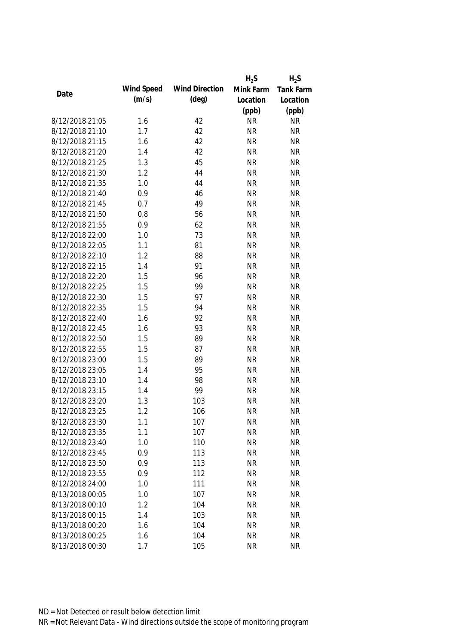|      |                 |            |                       | $H_2S$    | $H_2S$    |
|------|-----------------|------------|-----------------------|-----------|-----------|
|      |                 | Wind Speed | <b>Wind Direction</b> | Mink Farm | Tank Farm |
| Date |                 | (m/s)      | $(\text{deg})$        | Location  | Location  |
|      |                 |            |                       | (ppb)     | (ppb)     |
|      | 8/12/2018 21:05 | 1.6        | 42                    | <b>NR</b> | <b>NR</b> |
|      | 8/12/2018 21:10 | 1.7        | 42                    | <b>NR</b> | <b>NR</b> |
|      | 8/12/2018 21:15 | 1.6        | 42                    | <b>NR</b> | <b>NR</b> |
|      | 8/12/2018 21:20 | 1.4        | 42                    | <b>NR</b> | <b>NR</b> |
|      | 8/12/2018 21:25 | 1.3        | 45                    | <b>NR</b> | <b>NR</b> |
|      | 8/12/2018 21:30 | 1.2        | 44                    | <b>NR</b> | <b>NR</b> |
|      | 8/12/2018 21:35 | 1.0        | 44                    | <b>NR</b> | <b>NR</b> |
|      | 8/12/2018 21:40 | 0.9        | 46                    | <b>NR</b> | <b>NR</b> |
|      | 8/12/2018 21:45 | 0.7        | 49                    | <b>NR</b> | <b>NR</b> |
|      | 8/12/2018 21:50 | 0.8        | 56                    | <b>NR</b> | <b>NR</b> |
|      | 8/12/2018 21:55 | 0.9        | 62                    | <b>NR</b> | <b>NR</b> |
|      | 8/12/2018 22:00 | 1.0        | 73                    | <b>NR</b> | <b>NR</b> |
|      | 8/12/2018 22:05 | 1.1        | 81                    | <b>NR</b> | <b>NR</b> |
|      | 8/12/2018 22:10 | 1.2        | 88                    | <b>NR</b> | <b>NR</b> |
|      | 8/12/2018 22:15 | 1.4        | 91                    | <b>NR</b> | <b>NR</b> |
|      | 8/12/2018 22:20 | 1.5        | 96                    | <b>NR</b> | <b>NR</b> |
|      | 8/12/2018 22:25 | 1.5        | 99                    | <b>NR</b> | <b>NR</b> |
|      | 8/12/2018 22:30 | 1.5        | 97                    | <b>NR</b> | <b>NR</b> |
|      | 8/12/2018 22:35 | 1.5        | 94                    | <b>NR</b> | <b>NR</b> |
|      | 8/12/2018 22:40 | 1.6        | 92                    | <b>NR</b> | <b>NR</b> |
|      | 8/12/2018 22:45 | 1.6        | 93                    | <b>NR</b> | <b>NR</b> |
|      | 8/12/2018 22:50 | 1.5        | 89                    | <b>NR</b> | <b>NR</b> |
|      | 8/12/2018 22:55 | 1.5        | 87                    | <b>NR</b> | <b>NR</b> |
|      | 8/12/2018 23:00 | 1.5        | 89                    | <b>NR</b> | <b>NR</b> |
|      | 8/12/2018 23:05 | 1.4        | 95                    | <b>NR</b> | <b>NR</b> |
|      | 8/12/2018 23:10 | 1.4        | 98                    | <b>NR</b> | <b>NR</b> |
|      | 8/12/2018 23:15 | 1.4        | 99                    | <b>NR</b> | <b>NR</b> |
|      | 8/12/2018 23:20 | 1.3        | 103                   | <b>NR</b> | <b>NR</b> |
|      | 8/12/2018 23:25 | 1.2        | 106                   | <b>NR</b> | <b>NR</b> |
|      | 8/12/2018 23:30 | 1.1        | 107                   | <b>NR</b> | <b>NR</b> |
|      | 8/12/2018 23:35 | 1.1        | 107                   | <b>NR</b> | <b>NR</b> |
|      | 8/12/2018 23:40 | 1.0        | 110                   | <b>NR</b> | <b>NR</b> |
|      | 8/12/2018 23:45 | 0.9        | 113                   | <b>NR</b> | <b>NR</b> |
|      | 8/12/2018 23:50 | 0.9        | 113                   | <b>NR</b> | <b>NR</b> |
|      | 8/12/2018 23:55 | 0.9        | 112                   | <b>NR</b> | <b>NR</b> |
|      | 8/12/2018 24:00 | 1.0        | 111                   | <b>NR</b> | <b>NR</b> |
|      | 8/13/2018 00:05 | 1.0        | 107                   | <b>NR</b> | <b>NR</b> |
|      | 8/13/2018 00:10 | 1.2        | 104                   | <b>NR</b> | <b>NR</b> |
|      | 8/13/2018 00:15 | 1.4        | 103                   | <b>NR</b> | <b>NR</b> |
|      | 8/13/2018 00:20 | 1.6        | 104                   | <b>NR</b> | <b>NR</b> |
|      | 8/13/2018 00:25 | 1.6        | 104                   | <b>NR</b> | <b>NR</b> |
|      | 8/13/2018 00:30 | 1.7        | 105                   | <b>NR</b> | <b>NR</b> |
|      |                 |            |                       |           |           |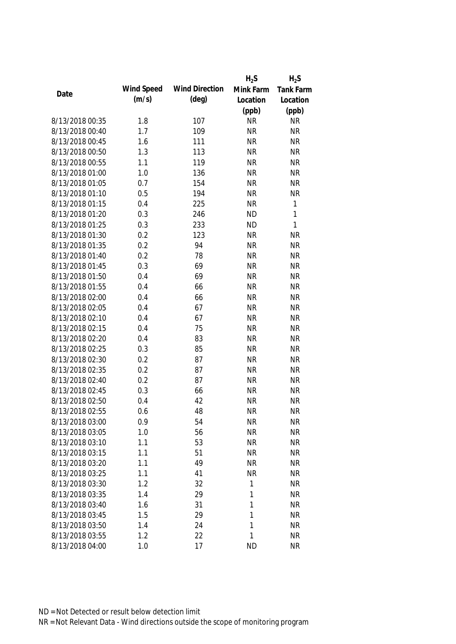|                 |            |                       | $H_2S$    | $H_2S$           |
|-----------------|------------|-----------------------|-----------|------------------|
| Date            | Wind Speed | <b>Wind Direction</b> | Mink Farm | <b>Tank Farm</b> |
|                 | (m/s)      | $(\text{deg})$        | Location  | Location         |
|                 |            |                       | (ppb)     | (ppb)            |
| 8/13/2018 00:35 | 1.8        | 107                   | <b>NR</b> | <b>NR</b>        |
| 8/13/2018 00:40 | 1.7        | 109                   | <b>NR</b> | <b>NR</b>        |
| 8/13/2018 00:45 | 1.6        | 111                   | <b>NR</b> | <b>NR</b>        |
| 8/13/2018 00:50 | 1.3        | 113                   | <b>NR</b> | <b>NR</b>        |
| 8/13/2018 00:55 | 1.1        | 119                   | <b>NR</b> | <b>NR</b>        |
| 8/13/2018 01:00 | 1.0        | 136                   | <b>NR</b> | <b>NR</b>        |
| 8/13/2018 01:05 | 0.7        | 154                   | <b>NR</b> | <b>NR</b>        |
| 8/13/2018 01:10 | 0.5        | 194                   | <b>NR</b> | <b>NR</b>        |
| 8/13/2018 01:15 | 0.4        | 225                   | <b>NR</b> | $\mathbf{1}$     |
| 8/13/2018 01:20 | 0.3        | 246                   | <b>ND</b> | $\mathbf{1}$     |
| 8/13/2018 01:25 | 0.3        | 233                   | <b>ND</b> | $\mathbf{1}$     |
| 8/13/2018 01:30 | 0.2        | 123                   | <b>NR</b> | <b>NR</b>        |
| 8/13/2018 01:35 | 0.2        | 94                    | <b>NR</b> | <b>NR</b>        |
| 8/13/2018 01:40 | 0.2        | 78                    | <b>NR</b> | <b>NR</b>        |
| 8/13/2018 01:45 | 0.3        | 69                    | <b>NR</b> | <b>NR</b>        |
| 8/13/2018 01:50 | 0.4        | 69                    | <b>NR</b> | <b>NR</b>        |
| 8/13/2018 01:55 | 0.4        | 66                    | <b>NR</b> | <b>NR</b>        |
| 8/13/2018 02:00 | 0.4        | 66                    | <b>NR</b> | <b>NR</b>        |
| 8/13/2018 02:05 | 0.4        | 67                    | <b>NR</b> | <b>NR</b>        |
| 8/13/2018 02:10 | 0.4        | 67                    | <b>NR</b> | <b>NR</b>        |
| 8/13/2018 02:15 | 0.4        | 75                    | <b>NR</b> | <b>NR</b>        |
| 8/13/2018 02:20 | 0.4        | 83                    | <b>NR</b> | <b>NR</b>        |
| 8/13/2018 02:25 | 0.3        | 85                    | <b>NR</b> | <b>NR</b>        |
| 8/13/2018 02:30 | 0.2        | 87                    | <b>NR</b> | <b>NR</b>        |
| 8/13/2018 02:35 | 0.2        | 87                    | <b>NR</b> | <b>NR</b>        |
| 8/13/2018 02:40 | 0.2        | 87                    | <b>NR</b> | <b>NR</b>        |
| 8/13/2018 02:45 | 0.3        | 66                    | <b>NR</b> | <b>NR</b>        |
| 8/13/2018 02:50 | 0.4        | 42                    | <b>NR</b> | <b>NR</b>        |
| 8/13/2018 02:55 | 0.6        | 48                    | <b>NR</b> | <b>NR</b>        |
| 8/13/2018 03:00 | 0.9        | 54                    | <b>NR</b> | <b>NR</b>        |
| 8/13/2018 03:05 | 1.0        | 56                    | <b>NR</b> | <b>NR</b>        |
| 8/13/2018 03:10 | 1.1        | 53                    | <b>NR</b> | <b>NR</b>        |
| 8/13/2018 03:15 | 1.1        | 51                    | <b>NR</b> | <b>NR</b>        |
| 8/13/2018 03:20 | 1.1        | 49                    | <b>NR</b> | <b>NR</b>        |
| 8/13/2018 03:25 | 1.1        | 41                    | <b>NR</b> | <b>NR</b>        |
| 8/13/2018 03:30 | 1.2        | 32                    | 1         | <b>NR</b>        |
| 8/13/2018 03:35 | 1.4        | 29                    | 1         | <b>NR</b>        |
| 8/13/2018 03:40 | 1.6        | 31                    | 1         | <b>NR</b>        |
| 8/13/2018 03:45 | 1.5        | 29                    | 1         | <b>NR</b>        |
| 8/13/2018 03:50 | 1.4        | 24                    | 1         | <b>NR</b>        |
| 8/13/2018 03:55 | 1.2        | 22                    | 1         | <b>NR</b>        |
| 8/13/2018 04:00 | 1.0        | 17                    | <b>ND</b> | <b>NR</b>        |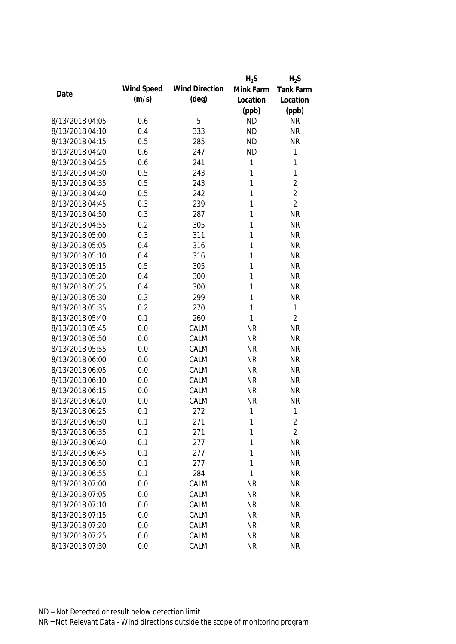|                 |            |                       | $H_2S$    | $H_2S$           |
|-----------------|------------|-----------------------|-----------|------------------|
| Date            | Wind Speed | <b>Wind Direction</b> | Mink Farm | <b>Tank Farm</b> |
|                 | (m/s)      | $(\text{deg})$        | Location  | Location         |
|                 |            |                       | (ppb)     | (ppb)            |
| 8/13/2018 04:05 | 0.6        | 5                     | <b>ND</b> | <b>NR</b>        |
| 8/13/2018 04:10 | 0.4        | 333                   | <b>ND</b> | <b>NR</b>        |
| 8/13/2018 04:15 | 0.5        | 285                   | <b>ND</b> | <b>NR</b>        |
| 8/13/2018 04:20 | 0.6        | 247                   | <b>ND</b> | $\mathbf{1}$     |
| 8/13/2018 04:25 | 0.6        | 241                   | 1         | 1                |
| 8/13/2018 04:30 | 0.5        | 243                   | 1         | $\mathbf{1}$     |
| 8/13/2018 04:35 | 0.5        | 243                   | 1         | $\overline{2}$   |
| 8/13/2018 04:40 | 0.5        | 242                   | 1         | $\overline{2}$   |
| 8/13/2018 04:45 | 0.3        | 239                   | 1         | $\overline{2}$   |
| 8/13/2018 04:50 | 0.3        | 287                   | 1         | <b>NR</b>        |
| 8/13/2018 04:55 | 0.2        | 305                   | 1         | <b>NR</b>        |
| 8/13/2018 05:00 | 0.3        | 311                   | 1         | <b>NR</b>        |
| 8/13/2018 05:05 | 0.4        | 316                   | 1         | <b>NR</b>        |
| 8/13/2018 05:10 | 0.4        | 316                   | 1         | <b>NR</b>        |
| 8/13/2018 05:15 | 0.5        | 305                   | 1         | <b>NR</b>        |
| 8/13/2018 05:20 | 0.4        | 300                   | 1         | <b>NR</b>        |
| 8/13/2018 05:25 | 0.4        | 300                   | 1         | <b>NR</b>        |
| 8/13/2018 05:30 | 0.3        | 299                   | 1         | <b>NR</b>        |
| 8/13/2018 05:35 | 0.2        | 270                   | 1         | $\mathbf{1}$     |
| 8/13/2018 05:40 | 0.1        | 260                   | 1         | $\overline{2}$   |
| 8/13/2018 05:45 | 0.0        | CALM                  | <b>NR</b> | <b>NR</b>        |
| 8/13/2018 05:50 | 0.0        | CALM                  | <b>NR</b> | <b>NR</b>        |
| 8/13/2018 05:55 | 0.0        | CALM                  | <b>NR</b> | <b>NR</b>        |
| 8/13/2018 06:00 | 0.0        | CALM                  | <b>NR</b> | <b>NR</b>        |
| 8/13/2018 06:05 | 0.0        | CALM                  | <b>NR</b> | <b>NR</b>        |
| 8/13/2018 06:10 | 0.0        | CALM                  | <b>NR</b> | <b>NR</b>        |
| 8/13/2018 06:15 | 0.0        | CALM                  | <b>NR</b> | <b>NR</b>        |
| 8/13/2018 06:20 | 0.0        | CALM                  | <b>NR</b> | <b>NR</b>        |
| 8/13/2018 06:25 | 0.1        | 272                   | 1         | $\mathbf{1}$     |
| 8/13/2018 06:30 | 0.1        | 271                   | 1         | $\overline{c}$   |
| 8/13/2018 06:35 | 0.1        | 271                   | 1         | $\overline{2}$   |
| 8/13/2018 06:40 | 0.1        | 277                   | 1         | <b>NR</b>        |
| 8/13/2018 06:45 | 0.1        | 277                   | 1         | <b>NR</b>        |
| 8/13/2018 06:50 | 0.1        | 277                   | 1         | <b>NR</b>        |
| 8/13/2018 06:55 | 0.1        | 284                   | 1         | <b>NR</b>        |
| 8/13/2018 07:00 | 0.0        | CALM                  | <b>NR</b> | <b>NR</b>        |
| 8/13/2018 07:05 | 0.0        | CALM                  | <b>NR</b> | <b>NR</b>        |
| 8/13/2018 07:10 | 0.0        | CALM                  | <b>NR</b> | <b>NR</b>        |
| 8/13/2018 07:15 | 0.0        | CALM                  | <b>NR</b> | <b>NR</b>        |
| 8/13/2018 07:20 | 0.0        | CALM                  | <b>NR</b> | <b>NR</b>        |
| 8/13/2018 07:25 | 0.0        | CALM                  | <b>NR</b> | <b>NR</b>        |
| 8/13/2018 07:30 | 0.0        | CALM                  | <b>NR</b> | <b>NR</b>        |
|                 |            |                       |           |                  |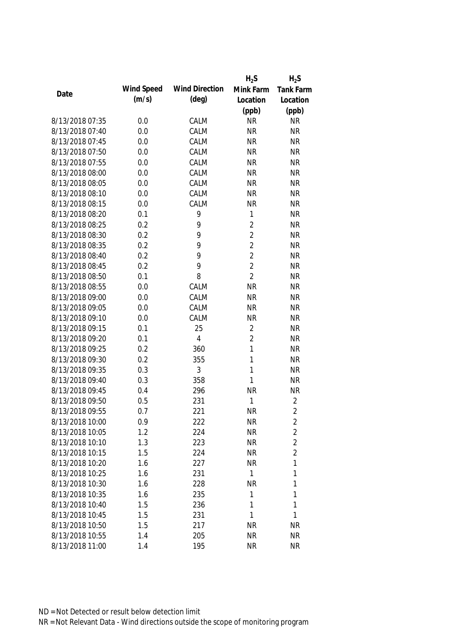|                 |            |                       | $H_2S$         | $H_2S$           |
|-----------------|------------|-----------------------|----------------|------------------|
| Date            | Wind Speed | <b>Wind Direction</b> | Mink Farm      | <b>Tank Farm</b> |
|                 | (m/s)      | $(\text{deg})$        | Location       | Location         |
|                 |            |                       | (ppb)          | (ppb)            |
| 8/13/2018 07:35 | 0.0        | CALM                  | <b>NR</b>      | <b>NR</b>        |
| 8/13/2018 07:40 | 0.0        | CALM                  | <b>NR</b>      | <b>NR</b>        |
| 8/13/2018 07:45 | 0.0        | CALM                  | <b>NR</b>      | <b>NR</b>        |
| 8/13/2018 07:50 | 0.0        | CALM                  | <b>NR</b>      | <b>NR</b>        |
| 8/13/2018 07:55 | 0.0        | CALM                  | <b>NR</b>      | <b>NR</b>        |
| 8/13/2018 08:00 | 0.0        | CALM                  | <b>NR</b>      | <b>NR</b>        |
| 8/13/2018 08:05 | 0.0        | CALM                  | <b>NR</b>      | <b>NR</b>        |
| 8/13/2018 08:10 | 0.0        | CALM                  | <b>NR</b>      | <b>NR</b>        |
| 8/13/2018 08:15 | 0.0        | CALM                  | <b>NR</b>      | <b>NR</b>        |
| 8/13/2018 08:20 | 0.1        | 9                     | 1              | <b>NR</b>        |
| 8/13/2018 08:25 | 0.2        | 9                     | $\overline{2}$ | <b>NR</b>        |
| 8/13/2018 08:30 | 0.2        | 9                     | $\overline{2}$ | <b>NR</b>        |
| 8/13/2018 08:35 | 0.2        | 9                     | $\overline{2}$ | <b>NR</b>        |
| 8/13/2018 08:40 | 0.2        | 9                     | $\overline{2}$ | <b>NR</b>        |
| 8/13/2018 08:45 | 0.2        | 9                     | $\overline{2}$ | <b>NR</b>        |
| 8/13/2018 08:50 | 0.1        | 8                     | $\overline{2}$ | <b>NR</b>        |
| 8/13/2018 08:55 | 0.0        | CALM                  | <b>NR</b>      | <b>NR</b>        |
| 8/13/2018 09:00 | 0.0        | CALM                  | <b>NR</b>      | <b>NR</b>        |
| 8/13/2018 09:05 | 0.0        | CALM                  | <b>NR</b>      | <b>NR</b>        |
| 8/13/2018 09:10 | 0.0        | CALM                  | <b>NR</b>      | <b>NR</b>        |
| 8/13/2018 09:15 | 0.1        | 25                    | $\overline{2}$ | <b>NR</b>        |
| 8/13/2018 09:20 | 0.1        | $\overline{4}$        | $\overline{2}$ | <b>NR</b>        |
| 8/13/2018 09:25 | 0.2        | 360                   | $\mathbf{1}$   | <b>NR</b>        |
| 8/13/2018 09:30 | 0.2        | 355                   | $\mathbf{1}$   | <b>NR</b>        |
| 8/13/2018 09:35 | 0.3        | 3                     | 1              | <b>NR</b>        |
| 8/13/2018 09:40 | 0.3        | 358                   | 1              | <b>NR</b>        |
| 8/13/2018 09:45 | 0.4        | 296                   | <b>NR</b>      | <b>NR</b>        |
| 8/13/2018 09:50 | 0.5        | 231                   | 1              | 2                |
| 8/13/2018 09:55 | 0.7        | 221                   | <b>NR</b>      | $\overline{2}$   |
| 8/13/2018 10:00 | 0.9        | 222                   | <b>NR</b>      | 2                |
| 8/13/2018 10:05 | 1.2        | 224                   | <b>NR</b>      | $\overline{c}$   |
| 8/13/2018 10:10 | 1.3        | 223                   | <b>NR</b>      | $\overline{c}$   |
| 8/13/2018 10:15 | 1.5        | 224                   | <b>NR</b>      | $\overline{2}$   |
| 8/13/2018 10:20 | 1.6        | 227                   | <b>NR</b>      | 1                |
| 8/13/2018 10:25 | 1.6        | 231                   | 1              | 1                |
| 8/13/2018 10:30 | 1.6        | 228                   | <b>NR</b>      | 1                |
| 8/13/2018 10:35 | 1.6        | 235                   | 1              | 1                |
| 8/13/2018 10:40 | 1.5        | 236                   | 1              | 1                |
| 8/13/2018 10:45 | 1.5        | 231                   | 1              | 1                |
| 8/13/2018 10:50 | 1.5        | 217                   | <b>NR</b>      | <b>NR</b>        |
| 8/13/2018 10:55 | 1.4        | 205                   | <b>NR</b>      | <b>NR</b>        |
| 8/13/2018 11:00 | 1.4        | 195                   | <b>NR</b>      | <b>NR</b>        |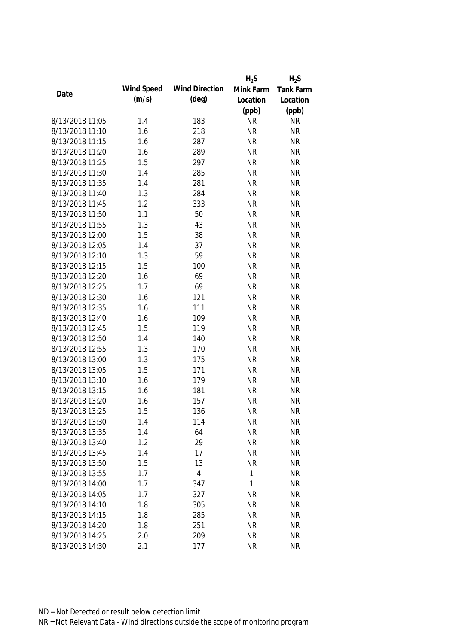|                 |            |                       | $H_2S$    | $H_2S$    |
|-----------------|------------|-----------------------|-----------|-----------|
| Date            | Wind Speed | <b>Wind Direction</b> | Mink Farm | Tank Farm |
|                 | (m/s)      | $(\text{deg})$        | Location  | Location  |
|                 |            |                       | (ppb)     | (ppb)     |
| 8/13/2018 11:05 | 1.4        | 183                   | <b>NR</b> | <b>NR</b> |
| 8/13/2018 11:10 | 1.6        | 218                   | <b>NR</b> | <b>NR</b> |
| 8/13/2018 11:15 | 1.6        | 287                   | <b>NR</b> | <b>NR</b> |
| 8/13/2018 11:20 | 1.6        | 289                   | <b>NR</b> | <b>NR</b> |
| 8/13/2018 11:25 | 1.5        | 297                   | <b>NR</b> | <b>NR</b> |
| 8/13/2018 11:30 | 1.4        | 285                   | <b>NR</b> | <b>NR</b> |
| 8/13/2018 11:35 | 1.4        | 281                   | <b>NR</b> | <b>NR</b> |
| 8/13/2018 11:40 | 1.3        | 284                   | <b>NR</b> | <b>NR</b> |
| 8/13/2018 11:45 | 1.2        | 333                   | <b>NR</b> | <b>NR</b> |
| 8/13/2018 11:50 | 1.1        | 50                    | <b>NR</b> | <b>NR</b> |
| 8/13/2018 11:55 | 1.3        | 43                    | <b>NR</b> | <b>NR</b> |
| 8/13/2018 12:00 | 1.5        | 38                    | <b>NR</b> | <b>NR</b> |
| 8/13/2018 12:05 | 1.4        | 37                    | <b>NR</b> | <b>NR</b> |
| 8/13/2018 12:10 | 1.3        | 59                    | <b>NR</b> | <b>NR</b> |
| 8/13/2018 12:15 | 1.5        | 100                   | <b>NR</b> | <b>NR</b> |
| 8/13/2018 12:20 | 1.6        | 69                    | <b>NR</b> | <b>NR</b> |
| 8/13/2018 12:25 | 1.7        | 69                    | <b>NR</b> | <b>NR</b> |
| 8/13/2018 12:30 | 1.6        | 121                   | <b>NR</b> | <b>NR</b> |
| 8/13/2018 12:35 | 1.6        | 111                   | <b>NR</b> | <b>NR</b> |
| 8/13/2018 12:40 | 1.6        | 109                   | <b>NR</b> | <b>NR</b> |
| 8/13/2018 12:45 | 1.5        | 119                   | <b>NR</b> | <b>NR</b> |
| 8/13/2018 12:50 | 1.4        | 140                   | <b>NR</b> | <b>NR</b> |
| 8/13/2018 12:55 | 1.3        | 170                   | <b>NR</b> | <b>NR</b> |
| 8/13/2018 13:00 | 1.3        | 175                   | <b>NR</b> | <b>NR</b> |
| 8/13/2018 13:05 | 1.5        | 171                   | <b>NR</b> | <b>NR</b> |
| 8/13/2018 13:10 | 1.6        | 179                   | <b>NR</b> | <b>NR</b> |
| 8/13/2018 13:15 | 1.6        | 181                   | <b>NR</b> | <b>NR</b> |
| 8/13/2018 13:20 | 1.6        | 157                   | <b>NR</b> | <b>NR</b> |
| 8/13/2018 13:25 | 1.5        | 136                   | <b>NR</b> | <b>NR</b> |
| 8/13/2018 13:30 | 1.4        | 114                   | <b>NR</b> | <b>NR</b> |
| 8/13/2018 13:35 | 1.4        | 64                    | <b>NR</b> | <b>NR</b> |
| 8/13/2018 13:40 | 1.2        | 29                    | <b>NR</b> | <b>NR</b> |
| 8/13/2018 13:45 | 1.4        | 17                    | <b>NR</b> | <b>NR</b> |
| 8/13/2018 13:50 | 1.5        | 13                    | <b>NR</b> | <b>NR</b> |
| 8/13/2018 13:55 | 1.7        | 4                     | 1         | <b>NR</b> |
| 8/13/2018 14:00 | 1.7        | 347                   | 1         | <b>NR</b> |
| 8/13/2018 14:05 | 1.7        | 327                   | <b>NR</b> | <b>NR</b> |
| 8/13/2018 14:10 | 1.8        | 305                   | <b>NR</b> | <b>NR</b> |
| 8/13/2018 14:15 | 1.8        | 285                   | <b>NR</b> | <b>NR</b> |
| 8/13/2018 14:20 | 1.8        | 251                   | <b>NR</b> | <b>NR</b> |
| 8/13/2018 14:25 | 2.0        | 209                   | <b>NR</b> | <b>NR</b> |
| 8/13/2018 14:30 | 2.1        | 177                   | <b>NR</b> | <b>NR</b> |
|                 |            |                       |           |           |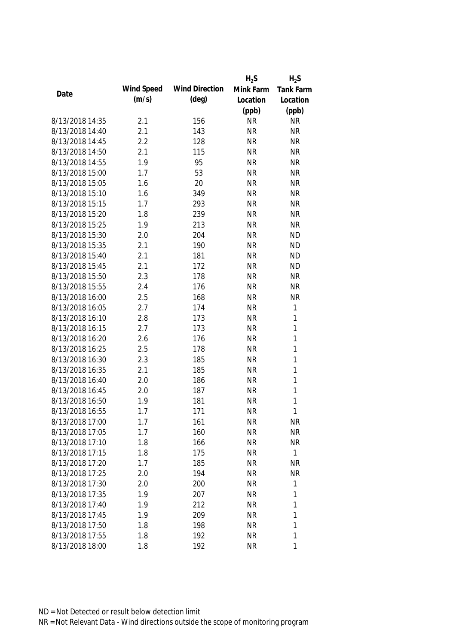|                 |            |                       | $H_2S$    | $H_2S$       |
|-----------------|------------|-----------------------|-----------|--------------|
|                 | Wind Speed | <b>Wind Direction</b> | Mink Farm | Tank Farm    |
| Date            | (m/s)      | $(\text{deg})$        | Location  | Location     |
|                 |            |                       | (ppb)     | (ppb)        |
| 8/13/2018 14:35 | 2.1        | 156                   | <b>NR</b> | <b>NR</b>    |
| 8/13/2018 14:40 | 2.1        | 143                   | <b>NR</b> | <b>NR</b>    |
| 8/13/2018 14:45 | 2.2        | 128                   | <b>NR</b> | <b>NR</b>    |
| 8/13/2018 14:50 | 2.1        | 115                   | <b>NR</b> | <b>NR</b>    |
| 8/13/2018 14:55 | 1.9        | 95                    | <b>NR</b> | <b>NR</b>    |
| 8/13/2018 15:00 | 1.7        | 53                    | <b>NR</b> | <b>NR</b>    |
| 8/13/2018 15:05 | 1.6        | 20                    | <b>NR</b> | <b>NR</b>    |
| 8/13/2018 15:10 | 1.6        | 349                   | <b>NR</b> | <b>NR</b>    |
| 8/13/2018 15:15 | 1.7        | 293                   | <b>NR</b> | <b>NR</b>    |
| 8/13/2018 15:20 | 1.8        | 239                   | <b>NR</b> | <b>NR</b>    |
| 8/13/2018 15:25 | 1.9        | 213                   | <b>NR</b> | <b>NR</b>    |
| 8/13/2018 15:30 | 2.0        | 204                   | <b>NR</b> | <b>ND</b>    |
| 8/13/2018 15:35 | 2.1        | 190                   | <b>NR</b> | <b>ND</b>    |
| 8/13/2018 15:40 | 2.1        | 181                   | <b>NR</b> | <b>ND</b>    |
| 8/13/2018 15:45 | 2.1        | 172                   | <b>NR</b> | <b>ND</b>    |
| 8/13/2018 15:50 | 2.3        | 178                   | <b>NR</b> | <b>NR</b>    |
| 8/13/2018 15:55 | 2.4        | 176                   | <b>NR</b> | <b>NR</b>    |
| 8/13/2018 16:00 | 2.5        | 168                   | <b>NR</b> | <b>NR</b>    |
| 8/13/2018 16:05 | 2.7        | 174                   | <b>NR</b> | $\mathbf{1}$ |
| 8/13/2018 16:10 | 2.8        | 173                   | <b>NR</b> | $\mathbf{1}$ |
| 8/13/2018 16:15 | 2.7        | 173                   | <b>NR</b> | $\mathbf{1}$ |
| 8/13/2018 16:20 | 2.6        | 176                   | <b>NR</b> | $\mathbf{1}$ |
| 8/13/2018 16:25 | 2.5        | 178                   | <b>NR</b> | $\mathbf{1}$ |
| 8/13/2018 16:30 | 2.3        | 185                   | <b>NR</b> | $\mathbf{1}$ |
| 8/13/2018 16:35 | 2.1        | 185                   | <b>NR</b> | $\mathbf{1}$ |
| 8/13/2018 16:40 | 2.0        | 186                   | <b>NR</b> | $\mathbf{1}$ |
| 8/13/2018 16:45 | 2.0        | 187                   | <b>NR</b> | $\mathbf{1}$ |
| 8/13/2018 16:50 | 1.9        | 181                   | <b>NR</b> | $\mathbf{1}$ |
| 8/13/2018 16:55 | 1.7        | 171                   | <b>NR</b> | $\mathbf{1}$ |
| 8/13/2018 17:00 | 1.7        | 161                   | <b>NR</b> | <b>NR</b>    |
| 8/13/2018 17:05 | 1.7        | 160                   | <b>NR</b> | <b>NR</b>    |
| 8/13/2018 17:10 | 1.8        | 166                   | <b>NR</b> | <b>NR</b>    |
| 8/13/2018 17:15 | 1.8        | 175                   | <b>NR</b> | $\mathbf{1}$ |
| 8/13/2018 17:20 | 1.7        | 185                   | <b>NR</b> | <b>NR</b>    |
| 8/13/2018 17:25 | 2.0        | 194                   | <b>NR</b> | <b>NR</b>    |
| 8/13/2018 17:30 | 2.0        | 200                   | <b>NR</b> | $\mathbf 1$  |
| 8/13/2018 17:35 | 1.9        | 207                   | <b>NR</b> | 1            |
| 8/13/2018 17:40 | 1.9        | 212                   | <b>NR</b> | 1            |
| 8/13/2018 17:45 | 1.9        | 209                   | <b>NR</b> | 1            |
| 8/13/2018 17:50 | 1.8        | 198                   | <b>NR</b> | 1            |
| 8/13/2018 17:55 | 1.8        | 192                   | <b>NR</b> | 1            |
|                 |            |                       |           | 1            |
| 8/13/2018 18:00 | 1.8        | 192                   | <b>NR</b> |              |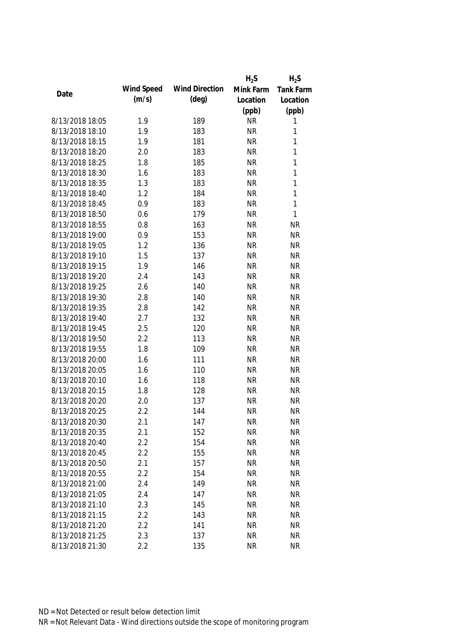|                 |            |                       | $H_2S$                 | $H_2S$                 |
|-----------------|------------|-----------------------|------------------------|------------------------|
|                 | Wind Speed | <b>Wind Direction</b> | Mink Farm              | <b>Tank Farm</b>       |
| Date            | (m/s)      | $(\text{deg})$        | Location               | Location               |
|                 |            |                       | (ppb)                  | (ppb)                  |
| 8/13/2018 18:05 | 1.9        | 189                   | <b>NR</b>              | 1                      |
| 8/13/2018 18:10 | 1.9        | 183                   | <b>NR</b>              | 1                      |
| 8/13/2018 18:15 | 1.9        | 181                   | <b>NR</b>              | 1                      |
| 8/13/2018 18:20 | 2.0        | 183                   | <b>NR</b>              | 1                      |
| 8/13/2018 18:25 | 1.8        | 185                   | <b>NR</b>              | 1                      |
| 8/13/2018 18:30 | 1.6        | 183                   | <b>NR</b>              | 1                      |
| 8/13/2018 18:35 | 1.3        | 183                   | <b>NR</b>              | 1                      |
| 8/13/2018 18:40 | 1.2        | 184                   | <b>NR</b>              | $\mathbf{1}$           |
| 8/13/2018 18:45 | 0.9        | 183                   | <b>NR</b>              | $\mathbf{1}$           |
| 8/13/2018 18:50 | 0.6        | 179                   | <b>NR</b>              | $\mathbf{1}$           |
| 8/13/2018 18:55 | 0.8        | 163                   | <b>NR</b>              | <b>NR</b>              |
| 8/13/2018 19:00 | 0.9        | 153                   | <b>NR</b>              | <b>NR</b>              |
| 8/13/2018 19:05 | 1.2        | 136                   | <b>NR</b>              | <b>NR</b>              |
| 8/13/2018 19:10 | 1.5        | 137                   | <b>NR</b>              | <b>NR</b>              |
| 8/13/2018 19:15 | 1.9        | 146                   | <b>NR</b>              | <b>NR</b>              |
| 8/13/2018 19:20 | 2.4        | 143                   | <b>NR</b>              | <b>NR</b>              |
| 8/13/2018 19:25 | 2.6        | 140                   | <b>NR</b>              | <b>NR</b>              |
| 8/13/2018 19:30 | 2.8        | 140                   | <b>NR</b>              | <b>NR</b>              |
| 8/13/2018 19:35 | 2.8        | 142                   | <b>NR</b>              | <b>NR</b>              |
| 8/13/2018 19:40 | 2.7        | 132                   | <b>NR</b>              | <b>NR</b>              |
| 8/13/2018 19:45 | 2.5        | 120                   | <b>NR</b>              | <b>NR</b>              |
| 8/13/2018 19:50 | 2.2        | 113                   | <b>NR</b>              | <b>NR</b>              |
| 8/13/2018 19:55 | 1.8        | 109                   | <b>NR</b>              | <b>NR</b>              |
| 8/13/2018 20:00 | 1.6        | 111                   | <b>NR</b>              | <b>NR</b>              |
| 8/13/2018 20:05 | 1.6        | 110                   | <b>NR</b>              | <b>NR</b>              |
| 8/13/2018 20:10 | 1.6        | 118                   | <b>NR</b>              | <b>NR</b>              |
| 8/13/2018 20:15 | 1.8        | 128                   | <b>NR</b>              | <b>NR</b>              |
| 8/13/2018 20:20 | 2.0        | 137                   | <b>NR</b>              | <b>NR</b>              |
| 8/13/2018 20:25 | 2.2        | 144                   | <b>NR</b>              | <b>NR</b>              |
| 8/13/2018 20:30 | 2.1        | 147                   | <b>NR</b>              | <b>NR</b>              |
| 8/13/2018 20:35 | 2.1        | 152                   | <b>NR</b>              | <b>NR</b>              |
| 8/13/2018 20:40 | 2.2        | 154                   | <b>NR</b>              | <b>NR</b>              |
| 8/13/2018 20:45 | 2.2        | 155                   | <b>NR</b>              | <b>NR</b>              |
| 8/13/2018 20:50 | 2.1        | 157                   | <b>NR</b>              | <b>NR</b>              |
| 8/13/2018 20:55 | 2.2        | 154                   | <b>NR</b>              | <b>NR</b>              |
| 8/13/2018 21:00 |            |                       |                        |                        |
| 8/13/2018 21:05 | 2.4<br>2.4 | 149<br>147            | <b>NR</b><br><b>NR</b> | <b>NR</b><br><b>NR</b> |
|                 |            |                       |                        |                        |
| 8/13/2018 21:10 | 2.3        | 145                   | <b>NR</b>              | <b>NR</b>              |
| 8/13/2018 21:15 | 2.2        | 143                   | <b>NR</b>              | <b>NR</b>              |
| 8/13/2018 21:20 | 2.2        | 141                   | <b>NR</b>              | <b>NR</b>              |
| 8/13/2018 21:25 | 2.3        | 137                   | <b>NR</b>              | <b>NR</b>              |
| 8/13/2018 21:30 | 2.2        | 135                   | <b>NR</b>              | <b>NR</b>              |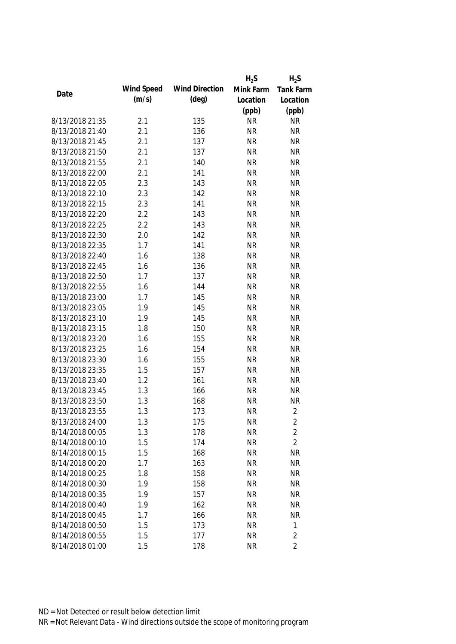|                 |            |                       | $H_2S$    | $H_2S$           |
|-----------------|------------|-----------------------|-----------|------------------|
| Date            | Wind Speed | <b>Wind Direction</b> | Mink Farm | <b>Tank Farm</b> |
|                 | (m/s)      | $(\text{deg})$        | Location  | Location         |
|                 |            |                       | (ppb)     | (ppb)            |
| 8/13/2018 21:35 | 2.1        | 135                   | <b>NR</b> | <b>NR</b>        |
| 8/13/2018 21:40 | 2.1        | 136                   | <b>NR</b> | <b>NR</b>        |
| 8/13/2018 21:45 | 2.1        | 137                   | <b>NR</b> | <b>NR</b>        |
| 8/13/2018 21:50 | 2.1        | 137                   | <b>NR</b> | <b>NR</b>        |
| 8/13/2018 21:55 | 2.1        | 140                   | <b>NR</b> | <b>NR</b>        |
| 8/13/2018 22:00 | 2.1        | 141                   | <b>NR</b> | <b>NR</b>        |
| 8/13/2018 22:05 | 2.3        | 143                   | <b>NR</b> | <b>NR</b>        |
| 8/13/2018 22:10 | 2.3        | 142                   | <b>NR</b> | <b>NR</b>        |
| 8/13/2018 22:15 | 2.3        | 141                   | <b>NR</b> | <b>NR</b>        |
| 8/13/2018 22:20 | 2.2        | 143                   | <b>NR</b> | <b>NR</b>        |
| 8/13/2018 22:25 | 2.2        | 143                   | <b>NR</b> | <b>NR</b>        |
| 8/13/2018 22:30 | 2.0        | 142                   | <b>NR</b> | <b>NR</b>        |
| 8/13/2018 22:35 | 1.7        | 141                   | <b>NR</b> | <b>NR</b>        |
| 8/13/2018 22:40 | 1.6        | 138                   | <b>NR</b> | <b>NR</b>        |
| 8/13/2018 22:45 | 1.6        | 136                   | <b>NR</b> | <b>NR</b>        |
| 8/13/2018 22:50 | 1.7        | 137                   | <b>NR</b> | <b>NR</b>        |
| 8/13/2018 22:55 | 1.6        | 144                   | <b>NR</b> | <b>NR</b>        |
| 8/13/2018 23:00 | 1.7        | 145                   | <b>NR</b> | <b>NR</b>        |
| 8/13/2018 23:05 | 1.9        | 145                   | <b>NR</b> | <b>NR</b>        |
| 8/13/2018 23:10 | 1.9        | 145                   | <b>NR</b> | <b>NR</b>        |
| 8/13/2018 23:15 | 1.8        | 150                   | <b>NR</b> | <b>NR</b>        |
| 8/13/2018 23:20 | 1.6        | 155                   | <b>NR</b> | <b>NR</b>        |
| 8/13/2018 23:25 | 1.6        | 154                   | <b>NR</b> | <b>NR</b>        |
| 8/13/2018 23:30 | 1.6        | 155                   | <b>NR</b> | <b>NR</b>        |
| 8/13/2018 23:35 | 1.5        | 157                   | <b>NR</b> | <b>NR</b>        |
| 8/13/2018 23:40 | 1.2        | 161                   | <b>NR</b> | <b>NR</b>        |
| 8/13/2018 23:45 | 1.3        | 166                   | <b>NR</b> | <b>NR</b>        |
| 8/13/2018 23:50 | 1.3        | 168                   | <b>NR</b> | <b>NR</b>        |
| 8/13/2018 23:55 | 1.3        | 173                   | <b>NR</b> | $\overline{2}$   |
| 8/13/2018 24:00 | 1.3        | 175                   | <b>NR</b> | 2                |
| 8/14/2018 00:05 | 1.3        | 178                   | <b>NR</b> | $\overline{2}$   |
| 8/14/2018 00:10 | 1.5        | 174                   | <b>NR</b> | $\overline{2}$   |
| 8/14/2018 00:15 | 1.5        | 168                   | <b>NR</b> | <b>NR</b>        |
| 8/14/2018 00:20 | 1.7        | 163                   | <b>NR</b> | <b>NR</b>        |
| 8/14/2018 00:25 | 1.8        | 158                   | <b>NR</b> | <b>NR</b>        |
| 8/14/2018 00:30 | 1.9        | 158                   | <b>NR</b> | <b>NR</b>        |
| 8/14/2018 00:35 | 1.9        | 157                   | <b>NR</b> | <b>NR</b>        |
| 8/14/2018 00:40 | 1.9        | 162                   | <b>NR</b> | <b>NR</b>        |
| 8/14/2018 00:45 | 1.7        | 166                   | <b>NR</b> | <b>NR</b>        |
| 8/14/2018 00:50 | 1.5        | 173                   | <b>NR</b> | 1                |
| 8/14/2018 00:55 | 1.5        | 177                   | <b>NR</b> | $\sqrt{2}$       |
| 8/14/2018 01:00 | 1.5        | 178                   | <b>NR</b> | $\overline{2}$   |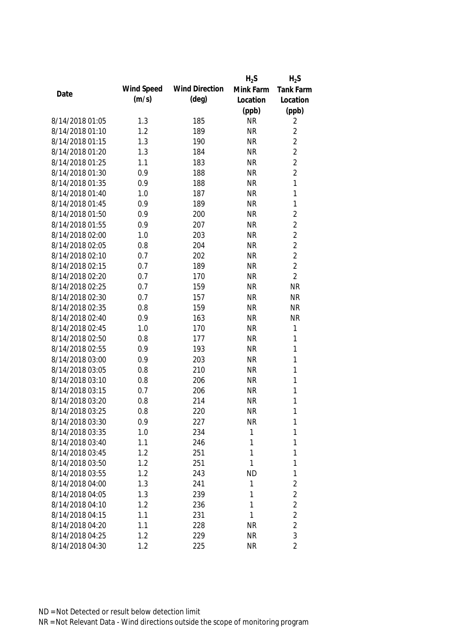|                 |            |                       | $H_2S$    | $H_2S$           |
|-----------------|------------|-----------------------|-----------|------------------|
| Date            | Wind Speed | <b>Wind Direction</b> | Mink Farm | <b>Tank Farm</b> |
|                 | (m/s)      | $(\text{deg})$        | Location  | Location         |
|                 |            |                       | (ppb)     | (ppb)            |
| 8/14/2018 01:05 | 1.3        | 185                   | <b>NR</b> | 2                |
| 8/14/2018 01:10 | 1.2        | 189                   | <b>NR</b> | $\overline{2}$   |
| 8/14/2018 01:15 | 1.3        | 190                   | <b>NR</b> | $\overline{2}$   |
| 8/14/2018 01:20 | 1.3        | 184                   | <b>NR</b> | $\overline{2}$   |
| 8/14/2018 01:25 | 1.1        | 183                   | <b>NR</b> | $\overline{2}$   |
| 8/14/2018 01:30 | 0.9        | 188                   | <b>NR</b> | $\overline{2}$   |
| 8/14/2018 01:35 | 0.9        | 188                   | <b>NR</b> | $\mathbf{1}$     |
| 8/14/2018 01:40 | 1.0        | 187                   | <b>NR</b> | $\mathbf{1}$     |
| 8/14/2018 01:45 | 0.9        | 189                   | <b>NR</b> | $\mathbf{1}$     |
| 8/14/2018 01:50 | 0.9        | 200                   | <b>NR</b> | $\overline{2}$   |
| 8/14/2018 01:55 | 0.9        | 207                   | <b>NR</b> | $\overline{2}$   |
| 8/14/2018 02:00 | 1.0        | 203                   | <b>NR</b> | $\overline{2}$   |
| 8/14/2018 02:05 | 0.8        | 204                   | <b>NR</b> | $\overline{2}$   |
| 8/14/2018 02:10 | 0.7        | 202                   | <b>NR</b> | $\overline{2}$   |
| 8/14/2018 02:15 | 0.7        | 189                   | <b>NR</b> | $\overline{2}$   |
| 8/14/2018 02:20 | 0.7        | 170                   | <b>NR</b> | $\overline{2}$   |
| 8/14/2018 02:25 | 0.7        | 159                   | <b>NR</b> | <b>NR</b>        |
| 8/14/2018 02:30 | 0.7        | 157                   | <b>NR</b> | <b>NR</b>        |
| 8/14/2018 02:35 | 0.8        | 159                   | <b>NR</b> | <b>NR</b>        |
| 8/14/2018 02:40 | 0.9        | 163                   | <b>NR</b> | <b>NR</b>        |
| 8/14/2018 02:45 | 1.0        | 170                   | <b>NR</b> | 1                |
| 8/14/2018 02:50 | 0.8        | 177                   | <b>NR</b> | 1                |
| 8/14/2018 02:55 | 0.9        | 193                   | <b>NR</b> | $\mathbf{1}$     |
| 8/14/2018 03:00 | 0.9        | 203                   | <b>NR</b> | $\mathbf{1}$     |
| 8/14/2018 03:05 | 0.8        | 210                   | <b>NR</b> | $\mathbf{1}$     |
| 8/14/2018 03:10 | 0.8        | 206                   | <b>NR</b> | $\mathbf{1}$     |
| 8/14/2018 03:15 | 0.7        | 206                   | <b>NR</b> | 1                |
| 8/14/2018 03:20 | 0.8        | 214                   | <b>NR</b> | 1                |
| 8/14/2018 03:25 | 0.8        | 220                   | <b>NR</b> | 1                |
| 8/14/2018 03:30 | 0.9        | 227                   | <b>NR</b> | 1                |
| 8/14/2018 03:35 | 1.0        | 234                   | 1         | 1                |
| 8/14/2018 03:40 | 1.1        | 246                   | 1         | 1                |
| 8/14/2018 03:45 | 1.2        | 251                   | 1         | 1                |
| 8/14/2018 03:50 | 1.2        | 251                   | 1         | 1                |
| 8/14/2018 03:55 | 1.2        | 243                   | <b>ND</b> | 1                |
| 8/14/2018 04:00 | 1.3        | 241                   | 1         | $\overline{2}$   |
| 8/14/2018 04:05 | 1.3        | 239                   | 1         | $\overline{2}$   |
| 8/14/2018 04:10 | 1.2        | 236                   | 1         | $\overline{2}$   |
| 8/14/2018 04:15 | 1.1        | 231                   | 1         | $\overline{2}$   |
| 8/14/2018 04:20 | 1.1        | 228                   | <b>NR</b> | $\overline{2}$   |
| 8/14/2018 04:25 | 1.2        | 229                   | <b>NR</b> | 3                |
| 8/14/2018 04:30 | 1.2        | 225                   | <b>NR</b> | $\overline{2}$   |
|                 |            |                       |           |                  |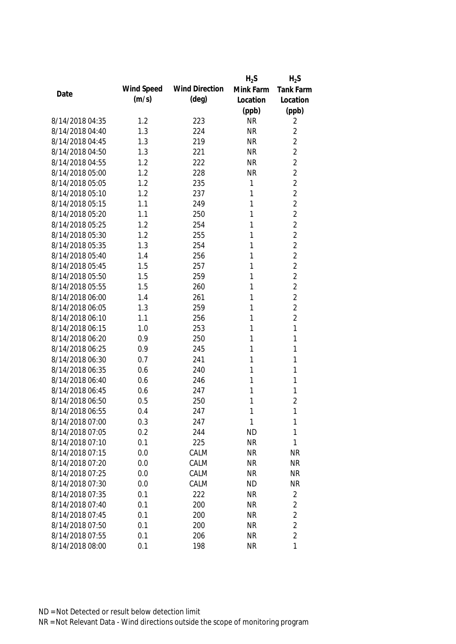|                 |            |                       | $H_2S$    | $H_2S$           |
|-----------------|------------|-----------------------|-----------|------------------|
| Date            | Wind Speed | <b>Wind Direction</b> | Mink Farm | <b>Tank Farm</b> |
|                 | (m/s)      | $(\text{deg})$        | Location  | Location         |
|                 |            |                       | (ppb)     | (ppb)            |
| 8/14/2018 04:35 | 1.2        | 223                   | <b>NR</b> | 2                |
| 8/14/2018 04:40 | 1.3        | 224                   | <b>NR</b> | $\overline{2}$   |
| 8/14/2018 04:45 | 1.3        | 219                   | <b>NR</b> | $\overline{2}$   |
| 8/14/2018 04:50 | 1.3        | 221                   | <b>NR</b> | $\overline{2}$   |
| 8/14/2018 04:55 | 1.2        | 222                   | <b>NR</b> | $\overline{2}$   |
| 8/14/2018 05:00 | 1.2        | 228                   | <b>NR</b> | $\overline{2}$   |
| 8/14/2018 05:05 | 1.2        | 235                   | 1         | $\overline{2}$   |
| 8/14/2018 05:10 | 1.2        | 237                   | 1         | $\overline{2}$   |
| 8/14/2018 05:15 | 1.1        | 249                   | 1         | $\overline{2}$   |
| 8/14/2018 05:20 | 1.1        | 250                   | 1         | $\overline{2}$   |
| 8/14/2018 05:25 | 1.2        | 254                   | 1         | $\overline{2}$   |
| 8/14/2018 05:30 | 1.2        | 255                   | 1         | $\overline{2}$   |
| 8/14/2018 05:35 | 1.3        | 254                   | 1         | $\overline{2}$   |
| 8/14/2018 05:40 | 1.4        | 256                   | 1         | $\overline{2}$   |
| 8/14/2018 05:45 | 1.5        | 257                   | 1         | $\overline{2}$   |
| 8/14/2018 05:50 | 1.5        | 259                   | 1         | $\overline{2}$   |
| 8/14/2018 05:55 | 1.5        | 260                   | 1         | $\overline{2}$   |
| 8/14/2018 06:00 | 1.4        | 261                   | 1         | $\overline{2}$   |
| 8/14/2018 06:05 | 1.3        | 259                   | 1         | $\overline{2}$   |
| 8/14/2018 06:10 | 1.1        | 256                   | 1         | $\overline{2}$   |
| 8/14/2018 06:15 | 1.0        | 253                   | 1         | 1                |
| 8/14/2018 06:20 | 0.9        | 250                   | 1         | 1                |
| 8/14/2018 06:25 | 0.9        | 245                   | 1         | 1                |
| 8/14/2018 06:30 | 0.7        | 241                   | 1         | 1                |
| 8/14/2018 06:35 | 0.6        | 240                   | 1         | 1                |
| 8/14/2018 06:40 | 0.6        | 246                   | 1         | 1                |
| 8/14/2018 06:45 | 0.6        | 247                   | 1         | 1                |
| 8/14/2018 06:50 | 0.5        | 250                   | 1         | $\overline{2}$   |
| 8/14/2018 06:55 | 0.4        | 247                   | 1         | 1                |
| 8/14/2018 07:00 | 0.3        | 247                   | 1         | 1                |
| 8/14/2018 07:05 | 0.2        | 244                   | <b>ND</b> | 1                |
| 8/14/2018 07:10 | 0.1        | 225                   | <b>NR</b> | 1                |
| 8/14/2018 07:15 | 0.0        | CALM                  | <b>NR</b> | <b>NR</b>        |
| 8/14/2018 07:20 | 0.0        | CALM                  | <b>NR</b> | <b>NR</b>        |
| 8/14/2018 07:25 | 0.0        | CALM                  | <b>NR</b> | <b>NR</b>        |
| 8/14/2018 07:30 | 0.0        | CALM                  | <b>ND</b> | <b>NR</b>        |
| 8/14/2018 07:35 | 0.1        | 222                   | <b>NR</b> | $\overline{2}$   |
| 8/14/2018 07:40 | 0.1        | 200                   | <b>NR</b> | $\overline{2}$   |
| 8/14/2018 07:45 | 0.1        | 200                   | <b>NR</b> | $\overline{2}$   |
| 8/14/2018 07:50 | 0.1        | 200                   | <b>NR</b> | $\overline{2}$   |
| 8/14/2018 07:55 | 0.1        | 206                   | <b>NR</b> | $\overline{2}$   |
| 8/14/2018 08:00 | 0.1        | 198                   | <b>NR</b> | $\mathbf{1}$     |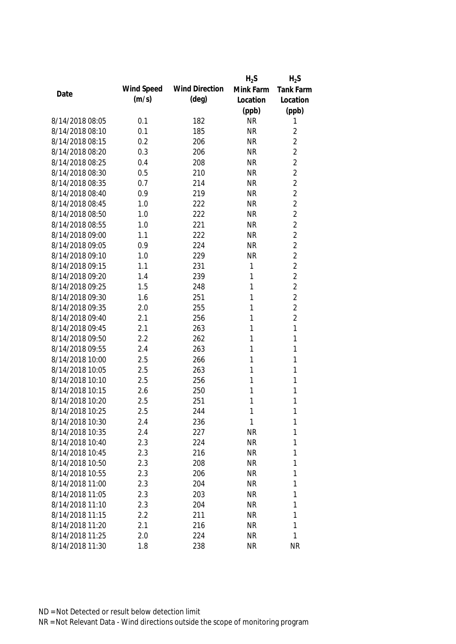|                 |            |                       | $H_2S$    | $H_2S$           |
|-----------------|------------|-----------------------|-----------|------------------|
| Date            | Wind Speed | <b>Wind Direction</b> | Mink Farm | <b>Tank Farm</b> |
|                 | (m/s)      | $(\text{deg})$        | Location  | Location         |
|                 |            |                       | (ppb)     | (ppb)            |
| 8/14/2018 08:05 | 0.1        | 182                   | <b>NR</b> | 1                |
| 8/14/2018 08:10 | 0.1        | 185                   | <b>NR</b> | $\overline{2}$   |
| 8/14/2018 08:15 | 0.2        | 206                   | <b>NR</b> | $\overline{2}$   |
| 8/14/2018 08:20 | 0.3        | 206                   | <b>NR</b> | $\overline{2}$   |
| 8/14/2018 08:25 | 0.4        | 208                   | <b>NR</b> | $\overline{2}$   |
| 8/14/2018 08:30 | 0.5        | 210                   | <b>NR</b> | $\overline{2}$   |
| 8/14/2018 08:35 | 0.7        | 214                   | <b>NR</b> | $\overline{2}$   |
| 8/14/2018 08:40 | 0.9        | 219                   | <b>NR</b> | $\overline{2}$   |
| 8/14/2018 08:45 | 1.0        | 222                   | <b>NR</b> | $\overline{2}$   |
| 8/14/2018 08:50 | 1.0        | 222                   | <b>NR</b> | $\overline{2}$   |
| 8/14/2018 08:55 | 1.0        | 221                   | <b>NR</b> | $\overline{2}$   |
| 8/14/2018 09:00 | 1.1        | 222                   | <b>NR</b> | $\overline{2}$   |
| 8/14/2018 09:05 | 0.9        | 224                   | <b>NR</b> | $\overline{2}$   |
| 8/14/2018 09:10 | 1.0        | 229                   | <b>NR</b> | $\overline{2}$   |
| 8/14/2018 09:15 | 1.1        | 231                   | 1         | $\overline{2}$   |
| 8/14/2018 09:20 | 1.4        | 239                   | 1         | $\overline{2}$   |
| 8/14/2018 09:25 | 1.5        | 248                   | 1         | $\overline{2}$   |
| 8/14/2018 09:30 | 1.6        | 251                   | 1         | $\overline{2}$   |
| 8/14/2018 09:35 | 2.0        | 255                   | 1         | $\overline{2}$   |
| 8/14/2018 09:40 | 2.1        | 256                   | 1         | $\overline{2}$   |
| 8/14/2018 09:45 | 2.1        | 263                   | 1         | 1                |
| 8/14/2018 09:50 | 2.2        | 262                   | 1         | $\mathbf{1}$     |
| 8/14/2018 09:55 | 2.4        | 263                   | 1         | $\mathbf{1}$     |
| 8/14/2018 10:00 | 2.5        | 266                   | 1         | 1                |
| 8/14/2018 10:05 | 2.5        | 263                   | 1         | 1                |
| 8/14/2018 10:10 | 2.5        | 256                   | 1         | 1                |
| 8/14/2018 10:15 | 2.6        | 250                   | 1         | 1                |
| 8/14/2018 10:20 | 2.5        | 251                   | 1         | 1                |
| 8/14/2018 10:25 | 2.5        | 244                   | 1         | 1                |
| 8/14/2018 10:30 | 2.4        | 236                   | 1         | 1                |
| 8/14/2018 10:35 | 2.4        | 227                   | <b>NR</b> | 1                |
| 8/14/2018 10:40 | 2.3        | 224                   | <b>NR</b> | 1                |
| 8/14/2018 10:45 | 2.3        | 216                   | <b>NR</b> | 1                |
| 8/14/2018 10:50 | 2.3        | 208                   | <b>NR</b> | 1                |
| 8/14/2018 10:55 | 2.3        | 206                   | <b>NR</b> | 1                |
| 8/14/2018 11:00 | 2.3        | 204                   | <b>NR</b> | 1                |
| 8/14/2018 11:05 | 2.3        | 203                   | <b>NR</b> | 1                |
| 8/14/2018 11:10 | 2.3        | 204                   | <b>NR</b> | 1                |
| 8/14/2018 11:15 | 2.2        | 211                   | <b>NR</b> | 1                |
| 8/14/2018 11:20 | 2.1        | 216                   | <b>NR</b> | 1                |
| 8/14/2018 11:25 | 2.0        | 224                   | <b>NR</b> | 1                |
| 8/14/2018 11:30 | 1.8        | 238                   | <b>NR</b> | <b>NR</b>        |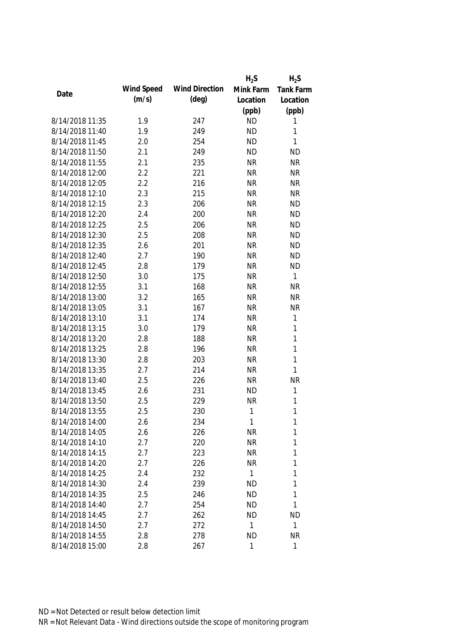|                 |            |                       | $H_2S$    | $H_2S$           |
|-----------------|------------|-----------------------|-----------|------------------|
| Date            | Wind Speed | <b>Wind Direction</b> | Mink Farm | <b>Tank Farm</b> |
|                 | (m/s)      | $(\text{deg})$        | Location  | Location         |
|                 |            |                       | (ppb)     | (ppb)            |
| 8/14/2018 11:35 | 1.9        | 247                   | <b>ND</b> | 1                |
| 8/14/2018 11:40 | 1.9        | 249                   | <b>ND</b> | 1                |
| 8/14/2018 11:45 | 2.0        | 254                   | <b>ND</b> | $\mathbf{1}$     |
| 8/14/2018 11:50 | 2.1        | 249                   | <b>ND</b> | <b>ND</b>        |
| 8/14/2018 11:55 | 2.1        | 235                   | <b>NR</b> | <b>NR</b>        |
| 8/14/2018 12:00 | 2.2        | 221                   | <b>NR</b> | <b>NR</b>        |
| 8/14/2018 12:05 | 2.2        | 216                   | <b>NR</b> | <b>NR</b>        |
| 8/14/2018 12:10 | 2.3        | 215                   | <b>NR</b> | <b>NR</b>        |
| 8/14/2018 12:15 | 2.3        | 206                   | <b>NR</b> | <b>ND</b>        |
| 8/14/2018 12:20 | 2.4        | 200                   | <b>NR</b> | <b>ND</b>        |
| 8/14/2018 12:25 | 2.5        | 206                   | <b>NR</b> | <b>ND</b>        |
| 8/14/2018 12:30 | 2.5        | 208                   | <b>NR</b> | <b>ND</b>        |
| 8/14/2018 12:35 | 2.6        | 201                   | <b>NR</b> | <b>ND</b>        |
| 8/14/2018 12:40 | 2.7        | 190                   | <b>NR</b> | <b>ND</b>        |
| 8/14/2018 12:45 | 2.8        | 179                   | <b>NR</b> | <b>ND</b>        |
| 8/14/2018 12:50 | 3.0        | 175                   | <b>NR</b> | 1                |
| 8/14/2018 12:55 | 3.1        | 168                   | <b>NR</b> | <b>NR</b>        |
| 8/14/2018 13:00 | 3.2        | 165                   | <b>NR</b> | <b>NR</b>        |
| 8/14/2018 13:05 | 3.1        | 167                   | <b>NR</b> | <b>NR</b>        |
| 8/14/2018 13:10 | 3.1        | 174                   | <b>NR</b> | 1                |
| 8/14/2018 13:15 | 3.0        | 179                   | <b>NR</b> | 1                |
| 8/14/2018 13:20 | 2.8        | 188                   | <b>NR</b> | 1                |
| 8/14/2018 13:25 | 2.8        | 196                   | <b>NR</b> | 1                |
| 8/14/2018 13:30 | 2.8        | 203                   | <b>NR</b> | 1                |
| 8/14/2018 13:35 | 2.7        | 214                   | <b>NR</b> | $\mathbf{1}$     |
| 8/14/2018 13:40 | 2.5        | 226                   | <b>NR</b> | <b>NR</b>        |
| 8/14/2018 13:45 | 2.6        | 231                   | <b>ND</b> | 1                |
| 8/14/2018 13:50 | 2.5        | 229                   | <b>NR</b> | 1                |
| 8/14/2018 13:55 | 2.5        | 230                   | 1         | 1                |
| 8/14/2018 14:00 | 2.6        | 234                   | 1         | 1                |
| 8/14/2018 14:05 | 2.6        | 226                   | <b>NR</b> | 1                |
| 8/14/2018 14:10 | 2.7        | 220                   | <b>NR</b> | 1                |
| 8/14/2018 14:15 | 2.7        | 223                   | <b>NR</b> | 1                |
| 8/14/2018 14:20 | 2.7        | 226                   | <b>NR</b> | 1                |
| 8/14/2018 14:25 | 2.4        | 232                   | 1         | 1                |
| 8/14/2018 14:30 | 2.4        | 239                   | <b>ND</b> | 1                |
| 8/14/2018 14:35 | 2.5        | 246                   | <b>ND</b> | 1                |
| 8/14/2018 14:40 | 2.7        | 254                   | <b>ND</b> | $\mathbf{1}$     |
| 8/14/2018 14:45 | 2.7        | 262                   | <b>ND</b> | <b>ND</b>        |
| 8/14/2018 14:50 | 2.7        | 272                   | 1         | $\mathbf{1}$     |
| 8/14/2018 14:55 | 2.8        | 278                   | <b>ND</b> | <b>NR</b>        |
| 8/14/2018 15:00 | 2.8        | 267                   | 1         | 1                |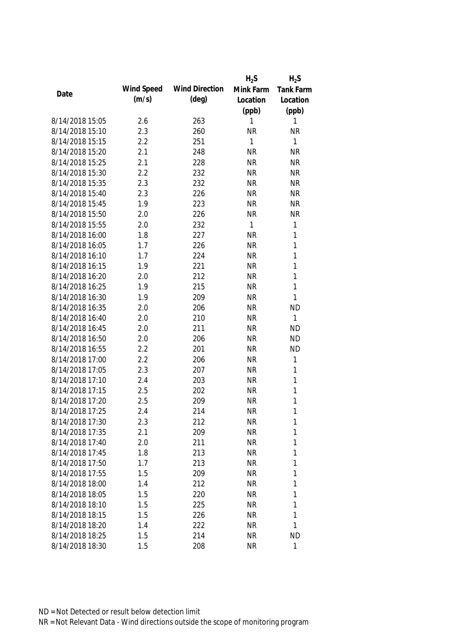|                 |            |                       | $H_2S$       | $H_2S$       |
|-----------------|------------|-----------------------|--------------|--------------|
|                 | Wind Speed | <b>Wind Direction</b> | Mink Farm    | Tank Farm    |
| Date            | (m/s)      | $(\text{deg})$        | Location     | Location     |
|                 |            |                       | (ppb)        | (ppb)        |
| 8/14/2018 15:05 | 2.6        | 263                   | 1            | 1            |
| 8/14/2018 15:10 | 2.3        | 260                   | <b>NR</b>    | <b>NR</b>    |
| 8/14/2018 15:15 | 2.2        | 251                   | 1            | 1            |
| 8/14/2018 15:20 | 2.1        | 248                   | <b>NR</b>    | <b>NR</b>    |
| 8/14/2018 15:25 | 2.1        | 228                   | <b>NR</b>    | <b>NR</b>    |
| 8/14/2018 15:30 | 2.2        | 232                   | <b>NR</b>    | <b>NR</b>    |
| 8/14/2018 15:35 | 2.3        | 232                   | <b>NR</b>    | <b>NR</b>    |
| 8/14/2018 15:40 | 2.3        | 226                   | <b>NR</b>    | <b>NR</b>    |
| 8/14/2018 15:45 | 1.9        | 223                   | <b>NR</b>    | <b>NR</b>    |
| 8/14/2018 15:50 | 2.0        | 226                   | <b>NR</b>    | <b>NR</b>    |
| 8/14/2018 15:55 | 2.0        | 232                   | $\mathbf{1}$ | $\mathbf{1}$ |
| 8/14/2018 16:00 | 1.8        | 227                   | <b>NR</b>    | 1            |
| 8/14/2018 16:05 | 1.7        | 226                   | <b>NR</b>    | 1            |
| 8/14/2018 16:10 | 1.7        | 224                   | <b>NR</b>    | 1            |
| 8/14/2018 16:15 | 1.9        | 221                   | <b>NR</b>    | 1            |
| 8/14/2018 16:20 | 2.0        | 212                   | <b>NR</b>    | 1            |
| 8/14/2018 16:25 | 1.9        | 215                   | <b>NR</b>    | 1            |
| 8/14/2018 16:30 | 1.9        | 209                   | <b>NR</b>    | 1            |
| 8/14/2018 16:35 | 2.0        | 206                   | <b>NR</b>    | <b>ND</b>    |
| 8/14/2018 16:40 | 2.0        | 210                   | <b>NR</b>    | 1            |
| 8/14/2018 16:45 | 2.0        | 211                   | <b>NR</b>    | <b>ND</b>    |
| 8/14/2018 16:50 | 2.0        | 206                   | <b>NR</b>    | <b>ND</b>    |
| 8/14/2018 16:55 | 2.2        | 201                   | <b>NR</b>    | <b>ND</b>    |
| 8/14/2018 17:00 | 2.2        | 206                   | <b>NR</b>    | $\mathbf{1}$ |
| 8/14/2018 17:05 | 2.3        | 207                   | <b>NR</b>    | 1            |
| 8/14/2018 17:10 | 2.4        | 203                   | <b>NR</b>    | $\mathbf{1}$ |
| 8/14/2018 17:15 | 2.5        | 202                   | <b>NR</b>    | 1            |
| 8/14/2018 17:20 | 2.5        | 209                   | <b>NR</b>    | 1            |
| 8/14/2018 17:25 | 2.4        | 214                   | <b>NR</b>    | 1            |
| 8/14/2018 17:30 | 2.3        | 212                   | <b>NR</b>    | 1            |
| 8/14/2018 17:35 | 2.1        | 209                   | <b>NR</b>    | 1            |
| 8/14/2018 17:40 | 2.0        | 211                   | <b>NR</b>    | 1            |
| 8/14/2018 17:45 | 1.8        | 213                   | <b>NR</b>    | 1            |
| 8/14/2018 17:50 | 1.7        | 213                   | <b>NR</b>    | 1            |
| 8/14/2018 17:55 | 1.5        | 209                   | <b>NR</b>    | 1            |
| 8/14/2018 18:00 | 1.4        | 212                   | <b>NR</b>    | 1            |
| 8/14/2018 18:05 | 1.5        | 220                   | <b>NR</b>    | 1            |
| 8/14/2018 18:10 | 1.5        | 225                   | <b>NR</b>    | 1            |
| 8/14/2018 18:15 | 1.5        | 226                   | <b>NR</b>    | 1            |
| 8/14/2018 18:20 | 1.4        | 222                   | <b>NR</b>    | 1            |
| 8/14/2018 18:25 | 1.5        | 214                   | <b>NR</b>    | <b>ND</b>    |
| 8/14/2018 18:30 | 1.5        | 208                   | <b>NR</b>    | 1            |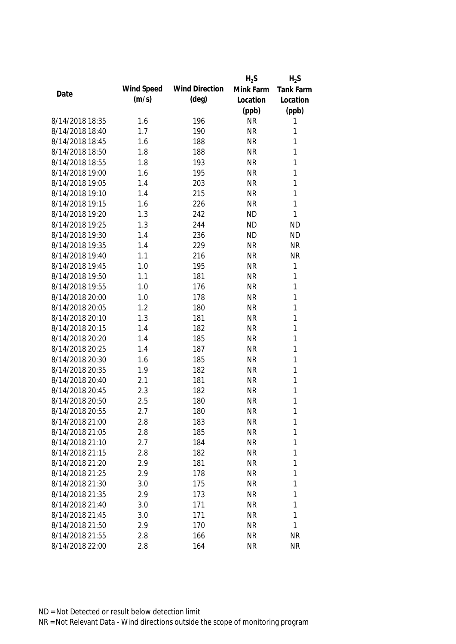|                 |            |                       | $H_2S$    | $H_2S$           |
|-----------------|------------|-----------------------|-----------|------------------|
|                 | Wind Speed | <b>Wind Direction</b> | Mink Farm | <b>Tank Farm</b> |
| Date            | (m/s)      | $(\text{deg})$        | Location  | Location         |
|                 |            |                       | (ppb)     | (ppb)            |
| 8/14/2018 18:35 | 1.6        | 196                   | <b>NR</b> | 1                |
| 8/14/2018 18:40 | 1.7        | 190                   | <b>NR</b> | 1                |
| 8/14/2018 18:45 | 1.6        | 188                   | <b>NR</b> | 1                |
| 8/14/2018 18:50 | 1.8        | 188                   | <b>NR</b> | 1                |
| 8/14/2018 18:55 | 1.8        | 193                   | <b>NR</b> | 1                |
| 8/14/2018 19:00 | 1.6        | 195                   | <b>NR</b> | 1                |
| 8/14/2018 19:05 | 1.4        | 203                   | <b>NR</b> | 1                |
| 8/14/2018 19:10 | 1.4        | 215                   | <b>NR</b> | 1                |
| 8/14/2018 19:15 | 1.6        | 226                   | <b>NR</b> | 1                |
| 8/14/2018 19:20 | 1.3        | 242                   | <b>ND</b> | 1                |
| 8/14/2018 19:25 | 1.3        | 244                   | <b>ND</b> | <b>ND</b>        |
| 8/14/2018 19:30 | 1.4        | 236                   | <b>ND</b> | <b>ND</b>        |
| 8/14/2018 19:35 | 1.4        | 229                   | <b>NR</b> | <b>NR</b>        |
| 8/14/2018 19:40 | 1.1        | 216                   | <b>NR</b> | <b>NR</b>        |
| 8/14/2018 19:45 | 1.0        | 195                   | <b>NR</b> | 1                |
| 8/14/2018 19:50 | 1.1        | 181                   | <b>NR</b> | 1                |
| 8/14/2018 19:55 | 1.0        | 176                   | <b>NR</b> | 1                |
| 8/14/2018 20:00 | 1.0        | 178                   | <b>NR</b> | 1                |
| 8/14/2018 20:05 | 1.2        | 180                   | <b>NR</b> | 1                |
| 8/14/2018 20:10 | 1.3        | 181                   | <b>NR</b> | 1                |
| 8/14/2018 20:15 | 1.4        | 182                   | <b>NR</b> | 1                |
| 8/14/2018 20:20 | 1.4        | 185                   | <b>NR</b> | 1                |
| 8/14/2018 20:25 | 1.4        | 187                   | <b>NR</b> | 1                |
| 8/14/2018 20:30 | 1.6        | 185                   | <b>NR</b> | 1                |
| 8/14/2018 20:35 | 1.9        | 182                   | <b>NR</b> | 1                |
| 8/14/2018 20:40 | 2.1        | 181                   | <b>NR</b> | 1                |
| 8/14/2018 20:45 | 2.3        | 182                   | <b>NR</b> | 1                |
| 8/14/2018 20:50 | 2.5        | 180                   | <b>NR</b> | 1                |
| 8/14/2018 20:55 | 2.7        | 180                   | <b>NR</b> | 1                |
| 8/14/2018 21:00 | 2.8        | 183                   | <b>NR</b> | 1                |
| 8/14/2018 21:05 | 2.8        | 185                   | <b>NR</b> | 1                |
| 8/14/2018 21:10 | 2.7        | 184                   | <b>NR</b> | 1                |
| 8/14/2018 21:15 | 2.8        | 182                   | <b>NR</b> | 1                |
| 8/14/2018 21:20 | 2.9        | 181                   | <b>NR</b> | 1                |
| 8/14/2018 21:25 | 2.9        | 178                   | <b>NR</b> | 1                |
| 8/14/2018 21:30 | 3.0        | 175                   | <b>NR</b> | 1                |
| 8/14/2018 21:35 | 2.9        | 173                   | <b>NR</b> | 1                |
| 8/14/2018 21:40 | 3.0        | 171                   | <b>NR</b> | 1                |
| 8/14/2018 21:45 | 3.0        | 171                   | <b>NR</b> | 1                |
| 8/14/2018 21:50 | 2.9        | 170                   | <b>NR</b> | 1                |
| 8/14/2018 21:55 | 2.8        | 166                   | <b>NR</b> | <b>NR</b>        |
| 8/14/2018 22:00 | 2.8        | 164                   | <b>NR</b> | <b>NR</b>        |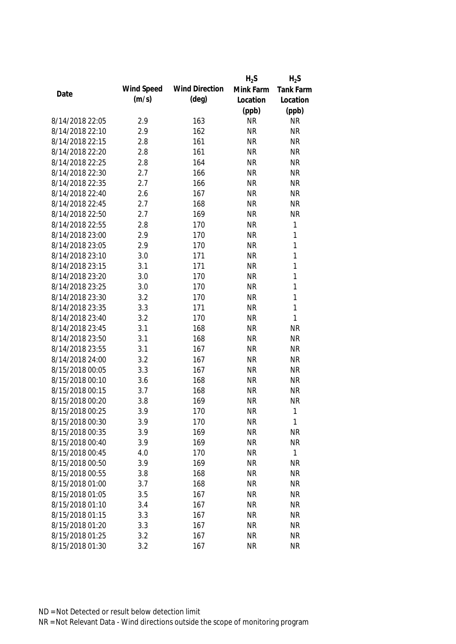|                 |            |                       | $H_2S$    | $H_2S$       |
|-----------------|------------|-----------------------|-----------|--------------|
|                 | Wind Speed | <b>Wind Direction</b> | Mink Farm | Tank Farm    |
| Date            | (m/s)      | $(\text{deg})$        | Location  | Location     |
|                 |            |                       | (ppb)     | (ppb)        |
| 8/14/2018 22:05 | 2.9        | 163                   | <b>NR</b> | <b>NR</b>    |
| 8/14/2018 22:10 | 2.9        | 162                   | <b>NR</b> | <b>NR</b>    |
| 8/14/2018 22:15 | 2.8        | 161                   | <b>NR</b> | <b>NR</b>    |
| 8/14/2018 22:20 | 2.8        | 161                   | <b>NR</b> | <b>NR</b>    |
| 8/14/2018 22:25 | 2.8        | 164                   | <b>NR</b> | <b>NR</b>    |
| 8/14/2018 22:30 | 2.7        | 166                   | <b>NR</b> | <b>NR</b>    |
| 8/14/2018 22:35 | 2.7        | 166                   | <b>NR</b> | <b>NR</b>    |
| 8/14/2018 22:40 | 2.6        | 167                   | <b>NR</b> | <b>NR</b>    |
| 8/14/2018 22:45 | 2.7        | 168                   | <b>NR</b> | <b>NR</b>    |
| 8/14/2018 22:50 | 2.7        | 169                   | <b>NR</b> | <b>NR</b>    |
| 8/14/2018 22:55 | 2.8        | 170                   | <b>NR</b> | $\mathbf{1}$ |
| 8/14/2018 23:00 | 2.9        | 170                   | <b>NR</b> | $\mathbf{1}$ |
| 8/14/2018 23:05 | 2.9        | 170                   | <b>NR</b> | $\mathbf{1}$ |
| 8/14/2018 23:10 | 3.0        | 171                   | <b>NR</b> | $\mathbf{1}$ |
| 8/14/2018 23:15 | 3.1        | 171                   | <b>NR</b> | $\mathbf{1}$ |
| 8/14/2018 23:20 | 3.0        | 170                   | <b>NR</b> | $\mathbf{1}$ |
| 8/14/2018 23:25 | 3.0        | 170                   | <b>NR</b> | $\mathbf{1}$ |
| 8/14/2018 23:30 | 3.2        | 170                   | <b>NR</b> | $\mathbf{1}$ |
| 8/14/2018 23:35 | 3.3        | 171                   | <b>NR</b> | $\mathbf{1}$ |
| 8/14/2018 23:40 | 3.2        | 170                   | <b>NR</b> | $\mathbf{1}$ |
| 8/14/2018 23:45 | 3.1        | 168                   | <b>NR</b> | <b>NR</b>    |
| 8/14/2018 23:50 | 3.1        | 168                   | <b>NR</b> | <b>NR</b>    |
| 8/14/2018 23:55 | 3.1        | 167                   | <b>NR</b> | <b>NR</b>    |
| 8/14/2018 24:00 | 3.2        | 167                   | <b>NR</b> | <b>NR</b>    |
| 8/15/2018 00:05 | 3.3        | 167                   | <b>NR</b> | <b>NR</b>    |
| 8/15/2018 00:10 | 3.6        | 168                   | <b>NR</b> | <b>NR</b>    |
| 8/15/2018 00:15 | 3.7        | 168                   | <b>NR</b> | <b>NR</b>    |
| 8/15/2018 00:20 | 3.8        | 169                   | <b>NR</b> | <b>NR</b>    |
| 8/15/2018 00:25 | 3.9        | 170                   | <b>NR</b> | $\mathbf{1}$ |
| 8/15/2018 00:30 | 3.9        | 170                   | <b>NR</b> | $\mathbf{1}$ |
| 8/15/2018 00:35 | 3.9        | 169                   | <b>NR</b> | <b>NR</b>    |
| 8/15/2018 00:40 | 3.9        | 169                   | <b>NR</b> | <b>NR</b>    |
| 8/15/2018 00:45 | 4.0        | 170                   | <b>NR</b> | $\mathbf{1}$ |
| 8/15/2018 00:50 | 3.9        | 169                   | <b>NR</b> | <b>NR</b>    |
| 8/15/2018 00:55 | 3.8        | 168                   | <b>NR</b> | <b>NR</b>    |
| 8/15/2018 01:00 | 3.7        | 168                   | <b>NR</b> | <b>NR</b>    |
| 8/15/2018 01:05 | 3.5        | 167                   | <b>NR</b> | <b>NR</b>    |
| 8/15/2018 01:10 | 3.4        | 167                   | <b>NR</b> | <b>NR</b>    |
| 8/15/2018 01:15 | 3.3        | 167                   | <b>NR</b> | <b>NR</b>    |
| 8/15/2018 01:20 | 3.3        | 167                   | <b>NR</b> | <b>NR</b>    |
| 8/15/2018 01:25 | 3.2        | 167                   | <b>NR</b> | <b>NR</b>    |
| 8/15/2018 01:30 | 3.2        | 167                   | <b>NR</b> | <b>NR</b>    |
|                 |            |                       |           |              |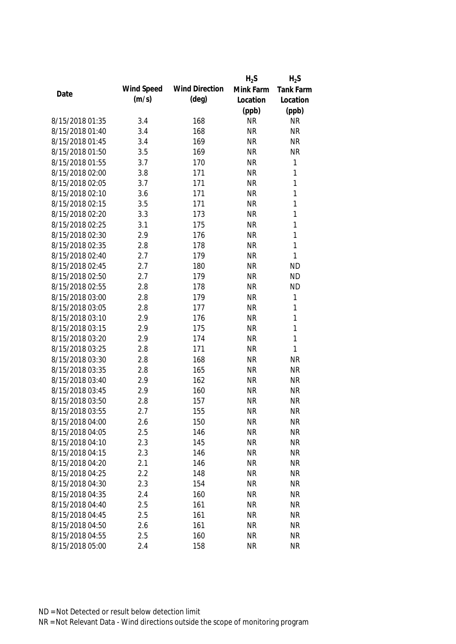|                 |            |                       | $H_2S$    | $H_2S$       |
|-----------------|------------|-----------------------|-----------|--------------|
|                 | Wind Speed | <b>Wind Direction</b> | Mink Farm | Tank Farm    |
| Date            | (m/s)      | $(\text{deg})$        | Location  | Location     |
|                 |            |                       | (ppb)     | (ppb)        |
| 8/15/2018 01:35 | 3.4        | 168                   | <b>NR</b> | <b>NR</b>    |
| 8/15/2018 01:40 | 3.4        | 168                   | <b>NR</b> | <b>NR</b>    |
| 8/15/2018 01:45 | 3.4        | 169                   | <b>NR</b> | <b>NR</b>    |
| 8/15/2018 01:50 | 3.5        | 169                   | <b>NR</b> | <b>NR</b>    |
| 8/15/2018 01:55 | 3.7        | 170                   | <b>NR</b> | 1            |
| 8/15/2018 02:00 | 3.8        | 171                   | <b>NR</b> | 1            |
| 8/15/2018 02:05 | 3.7        | 171                   | <b>NR</b> | 1            |
| 8/15/2018 02:10 | 3.6        | 171                   | <b>NR</b> | 1            |
| 8/15/2018 02:15 | 3.5        | 171                   | <b>NR</b> | 1            |
| 8/15/2018 02:20 | 3.3        | 173                   | <b>NR</b> | 1            |
| 8/15/2018 02:25 | 3.1        | 175                   | <b>NR</b> | 1            |
| 8/15/2018 02:30 | 2.9        | 176                   | <b>NR</b> | 1            |
| 8/15/2018 02:35 | 2.8        | 178                   | <b>NR</b> | 1            |
| 8/15/2018 02:40 | 2.7        | 179                   | <b>NR</b> | 1            |
| 8/15/2018 02:45 | 2.7        | 180                   | <b>NR</b> | <b>ND</b>    |
| 8/15/2018 02:50 | 2.7        | 179                   | <b>NR</b> | <b>ND</b>    |
| 8/15/2018 02:55 | 2.8        | 178                   | <b>NR</b> | <b>ND</b>    |
| 8/15/2018 03:00 | 2.8        | 179                   | <b>NR</b> | $\mathbf{1}$ |
| 8/15/2018 03:05 | 2.8        | 177                   | <b>NR</b> | 1            |
| 8/15/2018 03:10 | 2.9        | 176                   | <b>NR</b> | 1            |
| 8/15/2018 03:15 | 2.9        | 175                   | <b>NR</b> | 1            |
| 8/15/2018 03:20 | 2.9        | 174                   | <b>NR</b> | $\mathbf{1}$ |
| 8/15/2018 03:25 | 2.8        | 171                   | <b>NR</b> | 1            |
| 8/15/2018 03:30 | 2.8        | 168                   | <b>NR</b> | <b>NR</b>    |
| 8/15/2018 03:35 | 2.8        | 165                   | <b>NR</b> | <b>NR</b>    |
| 8/15/2018 03:40 | 2.9        | 162                   | <b>NR</b> | <b>NR</b>    |
| 8/15/2018 03:45 | 2.9        | 160                   | <b>NR</b> | <b>NR</b>    |
| 8/15/2018 03:50 | 2.8        | 157                   | <b>NR</b> | <b>NR</b>    |
| 8/15/2018 03:55 | 2.7        | 155                   | <b>NR</b> | <b>NR</b>    |
| 8/15/2018 04:00 | 2.6        | 150                   | <b>NR</b> | <b>NR</b>    |
| 8/15/2018 04:05 | 2.5        | 146                   | <b>NR</b> | <b>NR</b>    |
| 8/15/2018 04:10 | 2.3        | 145                   | <b>NR</b> | <b>NR</b>    |
| 8/15/2018 04:15 | 2.3        | 146                   | <b>NR</b> | <b>NR</b>    |
| 8/15/2018 04:20 | 2.1        | 146                   | <b>NR</b> | <b>NR</b>    |
| 8/15/2018 04:25 | 2.2        | 148                   | <b>NR</b> | <b>NR</b>    |
| 8/15/2018 04:30 | 2.3        | 154                   | <b>NR</b> | <b>NR</b>    |
| 8/15/2018 04:35 | 2.4        | 160                   | <b>NR</b> | <b>NR</b>    |
| 8/15/2018 04:40 | 2.5        | 161                   | <b>NR</b> | <b>NR</b>    |
| 8/15/2018 04:45 | 2.5        | 161                   | <b>NR</b> | <b>NR</b>    |
| 8/15/2018 04:50 | 2.6        | 161                   | <b>NR</b> | <b>NR</b>    |
| 8/15/2018 04:55 | 2.5        | 160                   | <b>NR</b> | <b>NR</b>    |
| 8/15/2018 05:00 | 2.4        | 158                   | <b>NR</b> | <b>NR</b>    |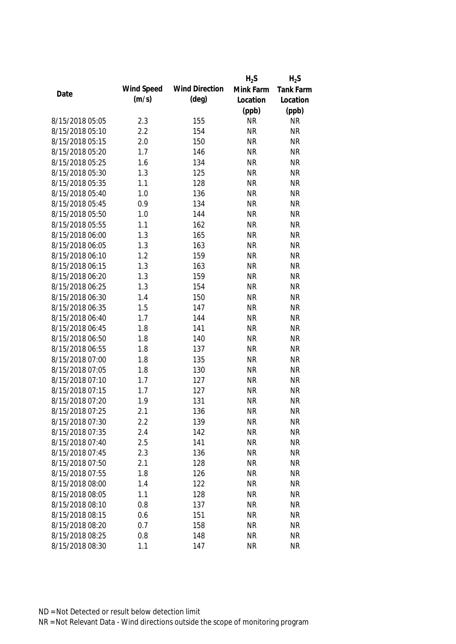|                 |            |                       | $H_2S$    | $H_2S$    |
|-----------------|------------|-----------------------|-----------|-----------|
|                 | Wind Speed | <b>Wind Direction</b> | Mink Farm | Tank Farm |
| Date            | (m/s)      | $(\text{deg})$        | Location  | Location  |
|                 |            |                       | (ppb)     | (ppb)     |
| 8/15/2018 05:05 | 2.3        | 155                   | <b>NR</b> | <b>NR</b> |
| 8/15/2018 05:10 | 2.2        | 154                   | <b>NR</b> | <b>NR</b> |
| 8/15/2018 05:15 | 2.0        | 150                   | <b>NR</b> | <b>NR</b> |
| 8/15/2018 05:20 | 1.7        | 146                   | <b>NR</b> | <b>NR</b> |
| 8/15/2018 05:25 | 1.6        | 134                   | <b>NR</b> | <b>NR</b> |
| 8/15/2018 05:30 | 1.3        | 125                   | <b>NR</b> | <b>NR</b> |
| 8/15/2018 05:35 | 1.1        | 128                   | <b>NR</b> | <b>NR</b> |
| 8/15/2018 05:40 | 1.0        | 136                   | <b>NR</b> | <b>NR</b> |
| 8/15/2018 05:45 | 0.9        | 134                   | <b>NR</b> | <b>NR</b> |
| 8/15/2018 05:50 | 1.0        | 144                   | <b>NR</b> | <b>NR</b> |
| 8/15/2018 05:55 | 1.1        | 162                   | <b>NR</b> | <b>NR</b> |
| 8/15/2018 06:00 | 1.3        | 165                   | <b>NR</b> | <b>NR</b> |
| 8/15/2018 06:05 | 1.3        | 163                   | <b>NR</b> | <b>NR</b> |
| 8/15/2018 06:10 | 1.2        | 159                   | <b>NR</b> | <b>NR</b> |
| 8/15/2018 06:15 | 1.3        | 163                   | <b>NR</b> | <b>NR</b> |
| 8/15/2018 06:20 | 1.3        | 159                   | <b>NR</b> | <b>NR</b> |
| 8/15/2018 06:25 | 1.3        | 154                   | <b>NR</b> | <b>NR</b> |
| 8/15/2018 06:30 | 1.4        | 150                   | <b>NR</b> | <b>NR</b> |
| 8/15/2018 06:35 | 1.5        | 147                   | <b>NR</b> | <b>NR</b> |
| 8/15/2018 06:40 | 1.7        | 144                   | <b>NR</b> | <b>NR</b> |
| 8/15/2018 06:45 | 1.8        | 141                   | <b>NR</b> | <b>NR</b> |
| 8/15/2018 06:50 | 1.8        | 140                   | <b>NR</b> | <b>NR</b> |
| 8/15/2018 06:55 | 1.8        | 137                   | <b>NR</b> | <b>NR</b> |
| 8/15/2018 07:00 | 1.8        | 135                   | <b>NR</b> | <b>NR</b> |
| 8/15/2018 07:05 | 1.8        | 130                   | <b>NR</b> | <b>NR</b> |
| 8/15/2018 07:10 | 1.7        | 127                   | <b>NR</b> | <b>NR</b> |
| 8/15/2018 07:15 | 1.7        | 127                   | <b>NR</b> | <b>NR</b> |
| 8/15/2018 07:20 | 1.9        | 131                   | <b>NR</b> | <b>NR</b> |
| 8/15/2018 07:25 | 2.1        | 136                   | <b>NR</b> | <b>NR</b> |
| 8/15/2018 07:30 | 2.2        | 139                   | <b>NR</b> | <b>NR</b> |
| 8/15/2018 07:35 | 2.4        | 142                   | <b>NR</b> | <b>NR</b> |
| 8/15/2018 07:40 | 2.5        | 141                   | <b>NR</b> | <b>NR</b> |
| 8/15/2018 07:45 | 2.3        | 136                   | <b>NR</b> | <b>NR</b> |
| 8/15/2018 07:50 | 2.1        | 128                   | <b>NR</b> | <b>NR</b> |
| 8/15/2018 07:55 | 1.8        | 126                   | <b>NR</b> | <b>NR</b> |
| 8/15/2018 08:00 | 1.4        | 122                   | <b>NR</b> | <b>NR</b> |
| 8/15/2018 08:05 | 1.1        | 128                   | <b>NR</b> | <b>NR</b> |
| 8/15/2018 08:10 | 0.8        | 137                   | <b>NR</b> | <b>NR</b> |
| 8/15/2018 08:15 | 0.6        | 151                   | <b>NR</b> | <b>NR</b> |
|                 | 0.7        |                       |           | <b>NR</b> |
| 8/15/2018 08:20 |            | 158                   | <b>NR</b> |           |
| 8/15/2018 08:25 | 0.8        | 148                   | <b>NR</b> | <b>NR</b> |
| 8/15/2018 08:30 | 1.1        | 147                   | <b>NR</b> | <b>NR</b> |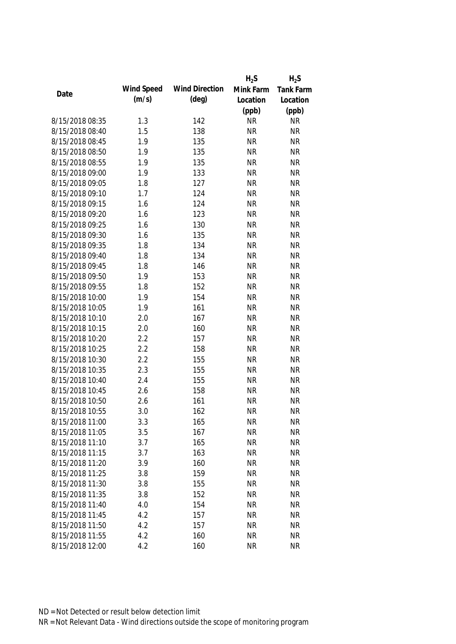|                 |            |                       | $H_2S$    | $H_2S$           |
|-----------------|------------|-----------------------|-----------|------------------|
|                 | Wind Speed | <b>Wind Direction</b> | Mink Farm | <b>Tank Farm</b> |
| Date            | (m/s)      | $(\text{deg})$        | Location  | Location         |
|                 |            |                       | (ppb)     | (ppb)            |
| 8/15/2018 08:35 | 1.3        | 142                   | <b>NR</b> | <b>NR</b>        |
| 8/15/2018 08:40 | 1.5        | 138                   | <b>NR</b> | <b>NR</b>        |
| 8/15/2018 08:45 | 1.9        | 135                   | <b>NR</b> | <b>NR</b>        |
| 8/15/2018 08:50 | 1.9        | 135                   | <b>NR</b> | <b>NR</b>        |
| 8/15/2018 08:55 | 1.9        | 135                   | <b>NR</b> | <b>NR</b>        |
| 8/15/2018 09:00 | 1.9        | 133                   | <b>NR</b> | <b>NR</b>        |
| 8/15/2018 09:05 | 1.8        | 127                   | <b>NR</b> | <b>NR</b>        |
| 8/15/2018 09:10 | 1.7        | 124                   | <b>NR</b> | <b>NR</b>        |
| 8/15/2018 09:15 | 1.6        | 124                   | <b>NR</b> | <b>NR</b>        |
| 8/15/2018 09:20 | 1.6        | 123                   | <b>NR</b> | <b>NR</b>        |
| 8/15/2018 09:25 | 1.6        | 130                   | <b>NR</b> | <b>NR</b>        |
| 8/15/2018 09:30 | 1.6        | 135                   | <b>NR</b> | <b>NR</b>        |
| 8/15/2018 09:35 | 1.8        | 134                   | <b>NR</b> | <b>NR</b>        |
| 8/15/2018 09:40 | 1.8        | 134                   | <b>NR</b> | <b>NR</b>        |
| 8/15/2018 09:45 | 1.8        | 146                   | <b>NR</b> | <b>NR</b>        |
| 8/15/2018 09:50 | 1.9        | 153                   | <b>NR</b> | <b>NR</b>        |
| 8/15/2018 09:55 | 1.8        | 152                   | <b>NR</b> | <b>NR</b>        |
| 8/15/2018 10:00 | 1.9        | 154                   | <b>NR</b> | <b>NR</b>        |
| 8/15/2018 10:05 | 1.9        | 161                   | <b>NR</b> | <b>NR</b>        |
| 8/15/2018 10:10 | 2.0        | 167                   | <b>NR</b> | <b>NR</b>        |
| 8/15/2018 10:15 | 2.0        | 160                   | <b>NR</b> | <b>NR</b>        |
| 8/15/2018 10:20 | 2.2        | 157                   | <b>NR</b> | <b>NR</b>        |
| 8/15/2018 10:25 | 2.2        | 158                   | <b>NR</b> | <b>NR</b>        |
| 8/15/2018 10:30 | 2.2        | 155                   | <b>NR</b> | <b>NR</b>        |
| 8/15/2018 10:35 | 2.3        | 155                   | <b>NR</b> | <b>NR</b>        |
| 8/15/2018 10:40 | 2.4        | 155                   | <b>NR</b> | <b>NR</b>        |
| 8/15/2018 10:45 | 2.6        | 158                   | <b>NR</b> | <b>NR</b>        |
| 8/15/2018 10:50 | 2.6        | 161                   | <b>NR</b> | <b>NR</b>        |
| 8/15/2018 10:55 | 3.0        | 162                   | <b>NR</b> | <b>NR</b>        |
| 8/15/2018 11:00 | 3.3        | 165                   | <b>NR</b> | <b>NR</b>        |
| 8/15/2018 11:05 | 3.5        | 167                   | <b>NR</b> | <b>NR</b>        |
| 8/15/2018 11:10 | 3.7        | 165                   | <b>NR</b> | <b>NR</b>        |
| 8/15/2018 11:15 | 3.7        | 163                   | <b>NR</b> | <b>NR</b>        |
| 8/15/2018 11:20 | 3.9        | 160                   | <b>NR</b> | <b>NR</b>        |
| 8/15/2018 11:25 | 3.8        | 159                   | <b>NR</b> | <b>NR</b>        |
| 8/15/2018 11:30 | 3.8        | 155                   | <b>NR</b> | <b>NR</b>        |
| 8/15/2018 11:35 | 3.8        | 152                   | <b>NR</b> | <b>NR</b>        |
| 8/15/2018 11:40 | 4.0        | 154                   | <b>NR</b> | <b>NR</b>        |
| 8/15/2018 11:45 | 4.2        | 157                   | <b>NR</b> | <b>NR</b>        |
| 8/15/2018 11:50 | 4.2        | 157                   | <b>NR</b> | <b>NR</b>        |
| 8/15/2018 11:55 | 4.2        | 160                   | <b>NR</b> | <b>NR</b>        |
| 8/15/2018 12:00 | 4.2        | 160                   | <b>NR</b> | <b>NR</b>        |
|                 |            |                       |           |                  |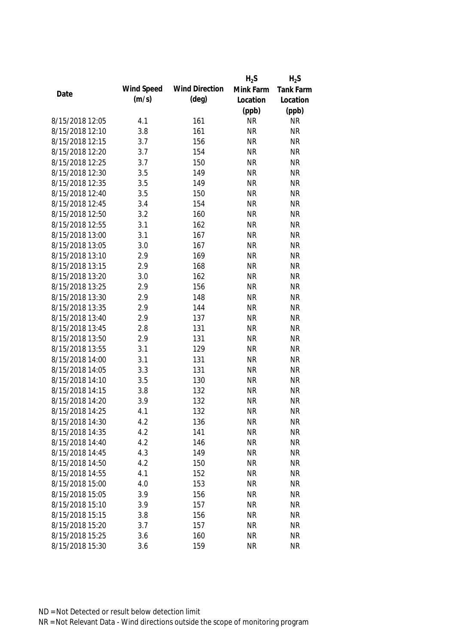|                 |            |                       | $H_2S$    | $H_2S$           |
|-----------------|------------|-----------------------|-----------|------------------|
|                 | Wind Speed | <b>Wind Direction</b> | Mink Farm | <b>Tank Farm</b> |
| Date            | (m/s)      | $(\text{deg})$        | Location  | Location         |
|                 |            |                       | (ppb)     | (ppb)            |
| 8/15/2018 12:05 | 4.1        | 161                   | <b>NR</b> | <b>NR</b>        |
| 8/15/2018 12:10 | 3.8        | 161                   | <b>NR</b> | <b>NR</b>        |
| 8/15/2018 12:15 | 3.7        | 156                   | <b>NR</b> | <b>NR</b>        |
| 8/15/2018 12:20 | 3.7        | 154                   | <b>NR</b> | <b>NR</b>        |
| 8/15/2018 12:25 | 3.7        | 150                   | <b>NR</b> | <b>NR</b>        |
| 8/15/2018 12:30 | 3.5        | 149                   | <b>NR</b> | <b>NR</b>        |
| 8/15/2018 12:35 | 3.5        | 149                   | <b>NR</b> | <b>NR</b>        |
| 8/15/2018 12:40 | 3.5        | 150                   | <b>NR</b> | <b>NR</b>        |
| 8/15/2018 12:45 | 3.4        | 154                   | <b>NR</b> | <b>NR</b>        |
| 8/15/2018 12:50 | 3.2        | 160                   | <b>NR</b> | <b>NR</b>        |
| 8/15/2018 12:55 | 3.1        | 162                   | <b>NR</b> | <b>NR</b>        |
| 8/15/2018 13:00 | 3.1        | 167                   | <b>NR</b> | <b>NR</b>        |
| 8/15/2018 13:05 | 3.0        | 167                   | <b>NR</b> | <b>NR</b>        |
| 8/15/2018 13:10 | 2.9        | 169                   | <b>NR</b> | <b>NR</b>        |
| 8/15/2018 13:15 | 2.9        | 168                   | <b>NR</b> | <b>NR</b>        |
| 8/15/2018 13:20 | 3.0        | 162                   | <b>NR</b> | <b>NR</b>        |
| 8/15/2018 13:25 | 2.9        | 156                   | <b>NR</b> | <b>NR</b>        |
| 8/15/2018 13:30 | 2.9        | 148                   | <b>NR</b> | <b>NR</b>        |
| 8/15/2018 13:35 | 2.9        | 144                   | <b>NR</b> | <b>NR</b>        |
| 8/15/2018 13:40 | 2.9        | 137                   | <b>NR</b> | <b>NR</b>        |
| 8/15/2018 13:45 | 2.8        | 131                   | <b>NR</b> | <b>NR</b>        |
| 8/15/2018 13:50 | 2.9        | 131                   | <b>NR</b> | <b>NR</b>        |
| 8/15/2018 13:55 | 3.1        | 129                   | <b>NR</b> | <b>NR</b>        |
| 8/15/2018 14:00 | 3.1        | 131                   | <b>NR</b> | <b>NR</b>        |
| 8/15/2018 14:05 | 3.3        | 131                   | <b>NR</b> | <b>NR</b>        |
| 8/15/2018 14:10 | 3.5        | 130                   | <b>NR</b> | <b>NR</b>        |
| 8/15/2018 14:15 | 3.8        | 132                   | <b>NR</b> | <b>NR</b>        |
| 8/15/2018 14:20 | 3.9        | 132                   | <b>NR</b> | <b>NR</b>        |
| 8/15/2018 14:25 | 4.1        | 132                   | <b>NR</b> | <b>NR</b>        |
| 8/15/2018 14:30 | 4.2        | 136                   | <b>NR</b> | <b>NR</b>        |
| 8/15/2018 14:35 | 4.2        | 141                   | <b>NR</b> | <b>NR</b>        |
| 8/15/2018 14:40 | 4.2        | 146                   | <b>NR</b> | <b>NR</b>        |
| 8/15/2018 14:45 | 4.3        | 149                   | <b>NR</b> | <b>NR</b>        |
| 8/15/2018 14:50 | 4.2        | 150                   | <b>NR</b> | <b>NR</b>        |
| 8/15/2018 14:55 | 4.1        | 152                   | <b>NR</b> | <b>NR</b>        |
| 8/15/2018 15:00 | 4.0        | 153                   | <b>NR</b> | <b>NR</b>        |
| 8/15/2018 15:05 | 3.9        | 156                   | <b>NR</b> | <b>NR</b>        |
| 8/15/2018 15:10 | 3.9        | 157                   | <b>NR</b> | <b>NR</b>        |
| 8/15/2018 15:15 | 3.8        | 156                   | <b>NR</b> | <b>NR</b>        |
| 8/15/2018 15:20 | 3.7        | 157                   | <b>NR</b> | <b>NR</b>        |
| 8/15/2018 15:25 | 3.6        | 160                   | <b>NR</b> | <b>NR</b>        |
| 8/15/2018 15:30 | 3.6        | 159                   | <b>NR</b> | <b>NR</b>        |
|                 |            |                       |           |                  |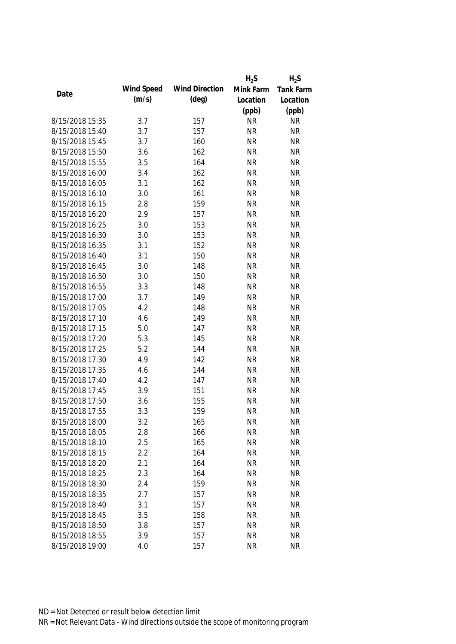|                 |            |                       | $H_2S$    | $H_2S$    |
|-----------------|------------|-----------------------|-----------|-----------|
|                 | Wind Speed | <b>Wind Direction</b> | Mink Farm | Tank Farm |
| Date            | (m/s)      | $(\text{deg})$        | Location  | Location  |
|                 |            |                       | (ppb)     | (ppb)     |
| 8/15/2018 15:35 | 3.7        | 157                   | <b>NR</b> | <b>NR</b> |
| 8/15/2018 15:40 | 3.7        | 157                   | <b>NR</b> | <b>NR</b> |
| 8/15/2018 15:45 | 3.7        | 160                   | <b>NR</b> | <b>NR</b> |
| 8/15/2018 15:50 | 3.6        | 162                   | <b>NR</b> | <b>NR</b> |
| 8/15/2018 15:55 | 3.5        | 164                   | <b>NR</b> | <b>NR</b> |
| 8/15/2018 16:00 | 3.4        | 162                   | <b>NR</b> | <b>NR</b> |
| 8/15/2018 16:05 | 3.1        | 162                   | <b>NR</b> | <b>NR</b> |
| 8/15/2018 16:10 | 3.0        | 161                   | <b>NR</b> | <b>NR</b> |
| 8/15/2018 16:15 | 2.8        | 159                   | <b>NR</b> | <b>NR</b> |
| 8/15/2018 16:20 | 2.9        | 157                   | <b>NR</b> | <b>NR</b> |
| 8/15/2018 16:25 | 3.0        | 153                   | <b>NR</b> | <b>NR</b> |
| 8/15/2018 16:30 | 3.0        | 153                   | <b>NR</b> | <b>NR</b> |
| 8/15/2018 16:35 | 3.1        | 152                   | <b>NR</b> | <b>NR</b> |
| 8/15/2018 16:40 | 3.1        | 150                   | <b>NR</b> | <b>NR</b> |
| 8/15/2018 16:45 | 3.0        | 148                   | <b>NR</b> | <b>NR</b> |
| 8/15/2018 16:50 | 3.0        | 150                   | <b>NR</b> | <b>NR</b> |
| 8/15/2018 16:55 | 3.3        | 148                   | <b>NR</b> | <b>NR</b> |
| 8/15/2018 17:00 | 3.7        | 149                   | <b>NR</b> | <b>NR</b> |
| 8/15/2018 17:05 | 4.2        | 148                   | <b>NR</b> | <b>NR</b> |
| 8/15/2018 17:10 | 4.6        | 149                   | <b>NR</b> | <b>NR</b> |
| 8/15/2018 17:15 | 5.0        | 147                   | <b>NR</b> | <b>NR</b> |
| 8/15/2018 17:20 | 5.3        | 145                   | <b>NR</b> | <b>NR</b> |
| 8/15/2018 17:25 | 5.2        | 144                   | <b>NR</b> | <b>NR</b> |
| 8/15/2018 17:30 | 4.9        | 142                   | <b>NR</b> | <b>NR</b> |
| 8/15/2018 17:35 | 4.6        | 144                   | <b>NR</b> | <b>NR</b> |
| 8/15/2018 17:40 | 4.2        | 147                   | <b>NR</b> | <b>NR</b> |
| 8/15/2018 17:45 | 3.9        | 151                   | <b>NR</b> | <b>NR</b> |
| 8/15/2018 17:50 | 3.6        | 155                   | <b>NR</b> | <b>NR</b> |
| 8/15/2018 17:55 | 3.3        | 159                   | <b>NR</b> | <b>NR</b> |
| 8/15/2018 18:00 | 3.2        | 165                   | <b>NR</b> | <b>NR</b> |
| 8/15/2018 18:05 | 2.8        | 166                   | <b>NR</b> | <b>NR</b> |
| 8/15/2018 18:10 | 2.5        | 165                   | <b>NR</b> | <b>NR</b> |
| 8/15/2018 18:15 | 2.2        | 164                   | <b>NR</b> | <b>NR</b> |
| 8/15/2018 18:20 | 2.1        | 164                   | <b>NR</b> | <b>NR</b> |
| 8/15/2018 18:25 | 2.3        | 164                   | <b>NR</b> | <b>NR</b> |
| 8/15/2018 18:30 | 2.4        | 159                   | <b>NR</b> | <b>NR</b> |
| 8/15/2018 18:35 | 2.7        | 157                   | <b>NR</b> | <b>NR</b> |
| 8/15/2018 18:40 | 3.1        | 157                   | <b>NR</b> | <b>NR</b> |
| 8/15/2018 18:45 | 3.5        | 158                   | <b>NR</b> | <b>NR</b> |
| 8/15/2018 18:50 | 3.8        | 157                   | <b>NR</b> | <b>NR</b> |
| 8/15/2018 18:55 | 3.9        | 157                   | <b>NR</b> | <b>NR</b> |
| 8/15/2018 19:00 | 4.0        | 157                   | <b>NR</b> | <b>NR</b> |
|                 |            |                       |           |           |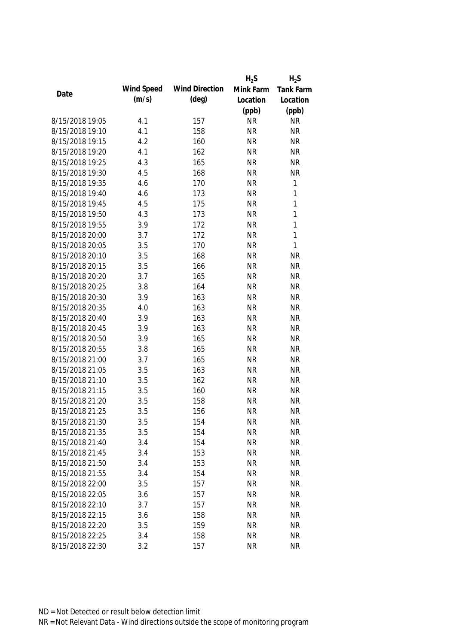|                                    |            |                       | $H_2S$                 | $H_2S$       |
|------------------------------------|------------|-----------------------|------------------------|--------------|
|                                    | Wind Speed | <b>Wind Direction</b> | Mink Farm              | Tank Farm    |
| Date                               | (m/s)      | $(\text{deg})$        | Location               | Location     |
|                                    |            |                       | (ppb)                  | (ppb)        |
| 8/15/2018 19:05                    | 4.1        | 157                   | <b>NR</b>              | <b>NR</b>    |
| 8/15/2018 19:10                    | 4.1        | 158                   | <b>NR</b>              | <b>NR</b>    |
| 8/15/2018 19:15                    | 4.2        | 160                   | <b>NR</b>              | <b>NR</b>    |
| 8/15/2018 19:20                    | 4.1        | 162                   | <b>NR</b>              | <b>NR</b>    |
| 8/15/2018 19:25                    | 4.3        | 165                   | <b>NR</b>              | <b>NR</b>    |
| 8/15/2018 19:30                    | 4.5        | 168                   | <b>NR</b>              | <b>NR</b>    |
| 8/15/2018 19:35                    | 4.6        | 170                   | <b>NR</b>              | $\mathbf{1}$ |
| 8/15/2018 19:40                    | 4.6        | 173                   | <b>NR</b>              | $\mathbf{1}$ |
| 8/15/2018 19:45                    | 4.5        | 175                   | <b>NR</b>              | $\mathbf{1}$ |
| 8/15/2018 19:50                    | 4.3        | 173                   | <b>NR</b>              | $\mathbf{1}$ |
| 8/15/2018 19:55                    | 3.9        | 172                   | <b>NR</b>              | $\mathbf{1}$ |
| 8/15/2018 20:00                    | 3.7        | 172                   | <b>NR</b>              | $\mathbf{1}$ |
| 8/15/2018 20:05                    | 3.5        | 170                   | <b>NR</b>              | $\mathbf{1}$ |
| 8/15/2018 20:10                    | 3.5        | 168                   | <b>NR</b>              | <b>NR</b>    |
| 8/15/2018 20:15                    | 3.5        | 166                   | <b>NR</b>              | <b>NR</b>    |
| 8/15/2018 20:20                    | 3.7        | 165                   | <b>NR</b>              | <b>NR</b>    |
| 8/15/2018 20:25                    | 3.8        | 164                   | <b>NR</b>              | <b>NR</b>    |
| 8/15/2018 20:30                    | 3.9        | 163                   | <b>NR</b>              | <b>NR</b>    |
| 8/15/2018 20:35                    | 4.0        | 163                   | <b>NR</b>              | <b>NR</b>    |
| 8/15/2018 20:40                    | 3.9        | 163                   | <b>NR</b>              | <b>NR</b>    |
| 8/15/2018 20:45                    | 3.9        | 163                   | <b>NR</b>              | <b>NR</b>    |
| 8/15/2018 20:50                    | 3.9        | 165                   | <b>NR</b>              | <b>NR</b>    |
| 8/15/2018 20:55                    | 3.8        | 165                   | <b>NR</b>              | <b>NR</b>    |
| 8/15/2018 21:00                    | 3.7        | 165                   | <b>NR</b>              | <b>NR</b>    |
| 8/15/2018 21:05                    | 3.5        | 163                   | <b>NR</b>              | <b>NR</b>    |
| 8/15/2018 21:10                    | 3.5        | 162                   | <b>NR</b>              | <b>NR</b>    |
| 8/15/2018 21:15                    | 3.5        | 160                   | <b>NR</b>              | <b>NR</b>    |
| 8/15/2018 21:20                    | 3.5        | 158                   | <b>NR</b>              | <b>NR</b>    |
| 8/15/2018 21:25                    | 3.5        | 156                   | <b>NR</b>              | <b>NR</b>    |
| 8/15/2018 21:30                    | 3.5        | 154                   | <b>NR</b>              | <b>NR</b>    |
| 8/15/2018 21:35                    | 3.5        | 154                   | <b>NR</b>              | <b>NR</b>    |
| 8/15/2018 21:40                    | 3.4        | 154                   | <b>NR</b>              | <b>NR</b>    |
| 8/15/2018 21:45                    | 3.4        | 153                   | <b>NR</b>              | <b>NR</b>    |
| 8/15/2018 21:50                    | 3.4        | 153                   | <b>NR</b>              | <b>NR</b>    |
| 8/15/2018 21:55                    | 3.4        | 154                   | <b>NR</b>              | <b>NR</b>    |
|                                    |            |                       |                        | <b>NR</b>    |
| 8/15/2018 22:00<br>8/15/2018 22:05 | 3.5        | 157<br>157            | <b>NR</b><br><b>NR</b> | <b>NR</b>    |
|                                    | 3.6        |                       |                        |              |
| 8/15/2018 22:10                    | 3.7        | 157                   | <b>NR</b>              | <b>NR</b>    |
| 8/15/2018 22:15                    | 3.6        | 158                   | <b>NR</b>              | <b>NR</b>    |
| 8/15/2018 22:20                    | 3.5        | 159                   | <b>NR</b>              | <b>NR</b>    |
| 8/15/2018 22:25                    | 3.4        | 158                   | <b>NR</b>              | <b>NR</b>    |
| 8/15/2018 22:30                    | 3.2        | 157                   | <b>NR</b>              | <b>NR</b>    |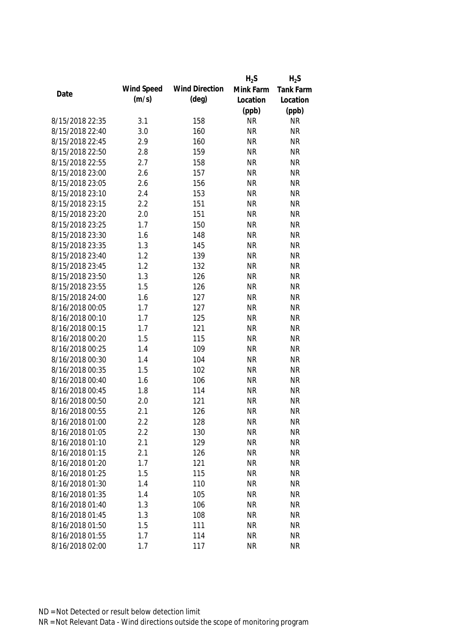|                 |            |                       | $H_2S$    | $H_2S$           |
|-----------------|------------|-----------------------|-----------|------------------|
|                 | Wind Speed | <b>Wind Direction</b> | Mink Farm | <b>Tank Farm</b> |
| Date            | (m/s)      | $(\text{deg})$        | Location  | Location         |
|                 |            |                       | (ppb)     | (ppb)            |
| 8/15/2018 22:35 | 3.1        | 158                   | <b>NR</b> | <b>NR</b>        |
| 8/15/2018 22:40 | 3.0        | 160                   | <b>NR</b> | <b>NR</b>        |
| 8/15/2018 22:45 | 2.9        | 160                   | <b>NR</b> | <b>NR</b>        |
| 8/15/2018 22:50 | 2.8        | 159                   | <b>NR</b> | <b>NR</b>        |
| 8/15/2018 22:55 | 2.7        | 158                   | <b>NR</b> | <b>NR</b>        |
| 8/15/2018 23:00 | 2.6        | 157                   | <b>NR</b> | <b>NR</b>        |
| 8/15/2018 23:05 | 2.6        | 156                   | <b>NR</b> | <b>NR</b>        |
| 8/15/2018 23:10 | 2.4        | 153                   | <b>NR</b> | <b>NR</b>        |
| 8/15/2018 23:15 | 2.2        | 151                   | <b>NR</b> | <b>NR</b>        |
| 8/15/2018 23:20 | 2.0        | 151                   | <b>NR</b> | <b>NR</b>        |
| 8/15/2018 23:25 | 1.7        | 150                   | <b>NR</b> | <b>NR</b>        |
| 8/15/2018 23:30 | 1.6        | 148                   | <b>NR</b> | <b>NR</b>        |
| 8/15/2018 23:35 | 1.3        | 145                   | <b>NR</b> | <b>NR</b>        |
| 8/15/2018 23:40 | 1.2        | 139                   | <b>NR</b> | <b>NR</b>        |
| 8/15/2018 23:45 | 1.2        | 132                   | <b>NR</b> | <b>NR</b>        |
| 8/15/2018 23:50 | 1.3        | 126                   | <b>NR</b> | <b>NR</b>        |
| 8/15/2018 23:55 | 1.5        | 126                   | <b>NR</b> | <b>NR</b>        |
| 8/15/2018 24:00 | 1.6        | 127                   | <b>NR</b> | <b>NR</b>        |
| 8/16/2018 00:05 | 1.7        | 127                   | <b>NR</b> | <b>NR</b>        |
| 8/16/2018 00:10 | 1.7        | 125                   | <b>NR</b> | <b>NR</b>        |
| 8/16/2018 00:15 | 1.7        | 121                   | <b>NR</b> | <b>NR</b>        |
| 8/16/2018 00:20 | 1.5        | 115                   | <b>NR</b> | <b>NR</b>        |
| 8/16/2018 00:25 | 1.4        | 109                   | <b>NR</b> | <b>NR</b>        |
| 8/16/2018 00:30 | 1.4        | 104                   | <b>NR</b> | <b>NR</b>        |
| 8/16/2018 00:35 | 1.5        | 102                   | <b>NR</b> | <b>NR</b>        |
| 8/16/2018 00:40 | 1.6        | 106                   | <b>NR</b> | <b>NR</b>        |
| 8/16/2018 00:45 | 1.8        | 114                   | <b>NR</b> | <b>NR</b>        |
| 8/16/2018 00:50 | 2.0        | 121                   | <b>NR</b> | <b>NR</b>        |
| 8/16/2018 00:55 | 2.1        | 126                   | <b>NR</b> | <b>NR</b>        |
| 8/16/2018 01:00 | 2.2        | 128                   | <b>NR</b> | <b>NR</b>        |
| 8/16/2018 01:05 | 2.2        | 130                   | <b>NR</b> | <b>NR</b>        |
| 8/16/2018 01:10 | 2.1        | 129                   | <b>NR</b> | <b>NR</b>        |
| 8/16/2018 01:15 | 2.1        | 126                   | <b>NR</b> | <b>NR</b>        |
| 8/16/2018 01:20 | 1.7        | 121                   | <b>NR</b> | <b>NR</b>        |
| 8/16/2018 01:25 | 1.5        | 115                   | <b>NR</b> | <b>NR</b>        |
| 8/16/2018 01:30 |            | 110                   | <b>NR</b> | <b>NR</b>        |
|                 | 1.4        |                       |           |                  |
| 8/16/2018 01:35 | 1.4        | 105                   | <b>NR</b> | <b>NR</b>        |
| 8/16/2018 01:40 | 1.3        | 106                   | <b>NR</b> | <b>NR</b>        |
| 8/16/2018 01:45 | 1.3        | 108                   | <b>NR</b> | <b>NR</b>        |
| 8/16/2018 01:50 | 1.5        | 111                   | <b>NR</b> | <b>NR</b>        |
| 8/16/2018 01:55 | 1.7        | 114                   | <b>NR</b> | <b>NR</b>        |
| 8/16/2018 02:00 | 1.7        | 117                   | <b>NR</b> | <b>NR</b>        |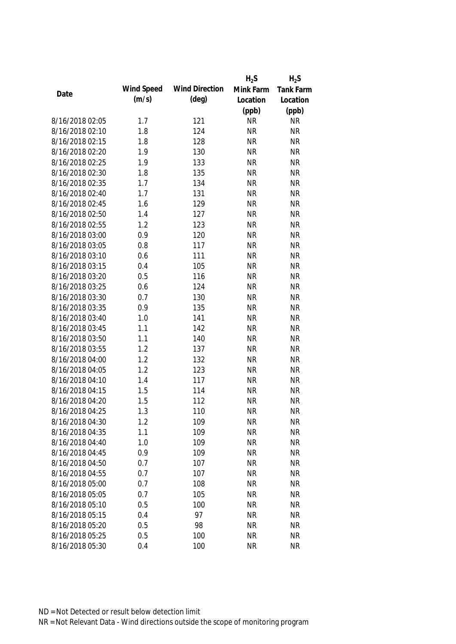|                 |            |                       | $H_2S$    | $H_2S$    |
|-----------------|------------|-----------------------|-----------|-----------|
|                 | Wind Speed | <b>Wind Direction</b> | Mink Farm | Tank Farm |
| Date            | (m/s)      | $(\text{deg})$        | Location  | Location  |
|                 |            |                       | (ppb)     | (ppb)     |
| 8/16/2018 02:05 | 1.7        | 121                   | <b>NR</b> | <b>NR</b> |
| 8/16/2018 02:10 | 1.8        | 124                   | <b>NR</b> | <b>NR</b> |
| 8/16/2018 02:15 | 1.8        | 128                   | <b>NR</b> | <b>NR</b> |
| 8/16/2018 02:20 | 1.9        | 130                   | <b>NR</b> | <b>NR</b> |
| 8/16/2018 02:25 | 1.9        | 133                   | <b>NR</b> | <b>NR</b> |
| 8/16/2018 02:30 | 1.8        | 135                   | <b>NR</b> | <b>NR</b> |
| 8/16/2018 02:35 | 1.7        | 134                   | <b>NR</b> | <b>NR</b> |
| 8/16/2018 02:40 | 1.7        | 131                   | <b>NR</b> | <b>NR</b> |
| 8/16/2018 02:45 | 1.6        | 129                   | <b>NR</b> | <b>NR</b> |
| 8/16/2018 02:50 | 1.4        | 127                   | <b>NR</b> | <b>NR</b> |
| 8/16/2018 02:55 | 1.2        | 123                   | <b>NR</b> | <b>NR</b> |
| 8/16/2018 03:00 | 0.9        | 120                   | <b>NR</b> | <b>NR</b> |
| 8/16/2018 03:05 | 0.8        | 117                   | <b>NR</b> | <b>NR</b> |
| 8/16/2018 03:10 | 0.6        | 111                   | <b>NR</b> | <b>NR</b> |
| 8/16/2018 03:15 | 0.4        | 105                   | <b>NR</b> | <b>NR</b> |
| 8/16/2018 03:20 | 0.5        | 116                   | <b>NR</b> | <b>NR</b> |
| 8/16/2018 03:25 | 0.6        | 124                   | <b>NR</b> | <b>NR</b> |
| 8/16/2018 03:30 | 0.7        | 130                   | <b>NR</b> | <b>NR</b> |
| 8/16/2018 03:35 | 0.9        | 135                   | <b>NR</b> | <b>NR</b> |
| 8/16/2018 03:40 | 1.0        | 141                   | <b>NR</b> | <b>NR</b> |
| 8/16/2018 03:45 | 1.1        | 142                   | <b>NR</b> | <b>NR</b> |
| 8/16/2018 03:50 | 1.1        | 140                   | <b>NR</b> | <b>NR</b> |
| 8/16/2018 03:55 | 1.2        | 137                   | <b>NR</b> | <b>NR</b> |
| 8/16/2018 04:00 | 1.2        | 132                   | <b>NR</b> | <b>NR</b> |
| 8/16/2018 04:05 | 1.2        | 123                   | <b>NR</b> | <b>NR</b> |
| 8/16/2018 04:10 | 1.4        | 117                   | <b>NR</b> | <b>NR</b> |
| 8/16/2018 04:15 | 1.5        | 114                   | <b>NR</b> | <b>NR</b> |
| 8/16/2018 04:20 | 1.5        | 112                   | <b>NR</b> | <b>NR</b> |
| 8/16/2018 04:25 | 1.3        | 110                   | <b>NR</b> | <b>NR</b> |
| 8/16/2018 04:30 | 1.2        | 109                   | <b>NR</b> | <b>NR</b> |
| 8/16/2018 04:35 | 1.1        | 109                   | <b>NR</b> | <b>NR</b> |
| 8/16/2018 04:40 | 1.0        | 109                   | <b>NR</b> | <b>NR</b> |
| 8/16/2018 04:45 | 0.9        | 109                   | <b>NR</b> | <b>NR</b> |
| 8/16/2018 04:50 | 0.7        | 107                   | <b>NR</b> | <b>NR</b> |
| 8/16/2018 04:55 | 0.7        | 107                   | <b>NR</b> | <b>NR</b> |
| 8/16/2018 05:00 | 0.7        | 108                   | <b>NR</b> | <b>NR</b> |
| 8/16/2018 05:05 | 0.7        | 105                   | <b>NR</b> | <b>NR</b> |
| 8/16/2018 05:10 | 0.5        | 100                   | <b>NR</b> | <b>NR</b> |
| 8/16/2018 05:15 | 0.4        | 97                    | <b>NR</b> | <b>NR</b> |
|                 |            |                       |           | <b>NR</b> |
| 8/16/2018 05:20 | 0.5        | 98                    | <b>NR</b> |           |
| 8/16/2018 05:25 | 0.5        | 100                   | <b>NR</b> | <b>NR</b> |
| 8/16/2018 05:30 | 0.4        | 100                   | <b>NR</b> | <b>NR</b> |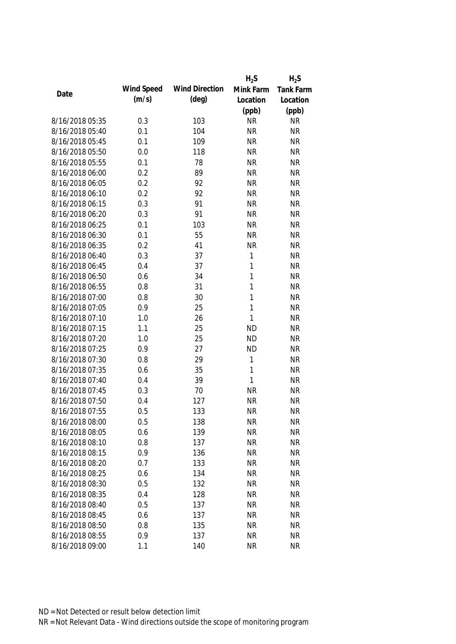|                 |            |                       | $H_2S$       | $H_2S$           |
|-----------------|------------|-----------------------|--------------|------------------|
|                 | Wind Speed | <b>Wind Direction</b> | Mink Farm    | <b>Tank Farm</b> |
| Date            | (m/s)      | $(\text{deg})$        | Location     | Location         |
|                 |            |                       | (ppb)        | (ppb)            |
| 8/16/2018 05:35 | 0.3        | 103                   | <b>NR</b>    | <b>NR</b>        |
| 8/16/2018 05:40 | 0.1        | 104                   | <b>NR</b>    | <b>NR</b>        |
| 8/16/2018 05:45 | 0.1        | 109                   | <b>NR</b>    | <b>NR</b>        |
| 8/16/2018 05:50 | 0.0        | 118                   | <b>NR</b>    | <b>NR</b>        |
| 8/16/2018 05:55 | 0.1        | 78                    | <b>NR</b>    | <b>NR</b>        |
| 8/16/2018 06:00 | 0.2        | 89                    | <b>NR</b>    | <b>NR</b>        |
| 8/16/2018 06:05 | 0.2        | 92                    | <b>NR</b>    | <b>NR</b>        |
| 8/16/2018 06:10 | 0.2        | 92                    | <b>NR</b>    | <b>NR</b>        |
| 8/16/2018 06:15 | 0.3        | 91                    | <b>NR</b>    | <b>NR</b>        |
| 8/16/2018 06:20 | 0.3        | 91                    | <b>NR</b>    | <b>NR</b>        |
| 8/16/2018 06:25 | 0.1        | 103                   | <b>NR</b>    | <b>NR</b>        |
| 8/16/2018 06:30 | 0.1        | 55                    | <b>NR</b>    | <b>NR</b>        |
| 8/16/2018 06:35 | 0.2        | 41                    | <b>NR</b>    | <b>NR</b>        |
| 8/16/2018 06:40 | 0.3        | 37                    | $\mathbf{1}$ | <b>NR</b>        |
| 8/16/2018 06:45 | 0.4        | 37                    | $\mathbf{1}$ | <b>NR</b>        |
| 8/16/2018 06:50 | 0.6        | 34                    | $\mathbf{1}$ | <b>NR</b>        |
| 8/16/2018 06:55 | 0.8        | 31                    | 1            | <b>NR</b>        |
| 8/16/2018 07:00 | 0.8        | 30                    | $\mathbf{1}$ | <b>NR</b>        |
| 8/16/2018 07:05 | 0.9        | 25                    | 1            | <b>NR</b>        |
| 8/16/2018 07:10 | 1.0        | 26                    | 1            | <b>NR</b>        |
| 8/16/2018 07:15 | 1.1        | 25                    | <b>ND</b>    | <b>NR</b>        |
| 8/16/2018 07:20 | 1.0        | 25                    | <b>ND</b>    | <b>NR</b>        |
| 8/16/2018 07:25 | 0.9        | 27                    | <b>ND</b>    | <b>NR</b>        |
| 8/16/2018 07:30 | 0.8        | 29                    | 1            | <b>NR</b>        |
| 8/16/2018 07:35 | 0.6        | 35                    | 1            | <b>NR</b>        |
| 8/16/2018 07:40 | 0.4        | 39                    | 1            | <b>NR</b>        |
| 8/16/2018 07:45 | 0.3        | 70                    | <b>NR</b>    | <b>NR</b>        |
| 8/16/2018 07:50 | 0.4        | 127                   | <b>NR</b>    | <b>NR</b>        |
| 8/16/2018 07:55 | 0.5        | 133                   | <b>NR</b>    | <b>NR</b>        |
| 8/16/2018 08:00 | 0.5        | 138                   | <b>NR</b>    | <b>NR</b>        |
| 8/16/2018 08:05 | 0.6        | 139                   | <b>NR</b>    | <b>NR</b>        |
| 8/16/2018 08:10 | 0.8        | 137                   | <b>NR</b>    | <b>NR</b>        |
| 8/16/2018 08:15 | 0.9        | 136                   | <b>NR</b>    | <b>NR</b>        |
| 8/16/2018 08:20 | 0.7        | 133                   | <b>NR</b>    | <b>NR</b>        |
| 8/16/2018 08:25 | 0.6        | 134                   | <b>NR</b>    | <b>NR</b>        |
| 8/16/2018 08:30 | 0.5        | 132                   | <b>NR</b>    | <b>NR</b>        |
| 8/16/2018 08:35 | 0.4        | 128                   | <b>NR</b>    | <b>NR</b>        |
| 8/16/2018 08:40 | 0.5        | 137                   | <b>NR</b>    | <b>NR</b>        |
| 8/16/2018 08:45 | 0.6        | 137                   | <b>NR</b>    | <b>NR</b>        |
| 8/16/2018 08:50 | 0.8        | 135                   | <b>NR</b>    | <b>NR</b>        |
| 8/16/2018 08:55 | 0.9        | 137                   | <b>NR</b>    | <b>NR</b>        |
| 8/16/2018 09:00 | 1.1        | 140                   | <b>NR</b>    | <b>NR</b>        |
|                 |            |                       |              |                  |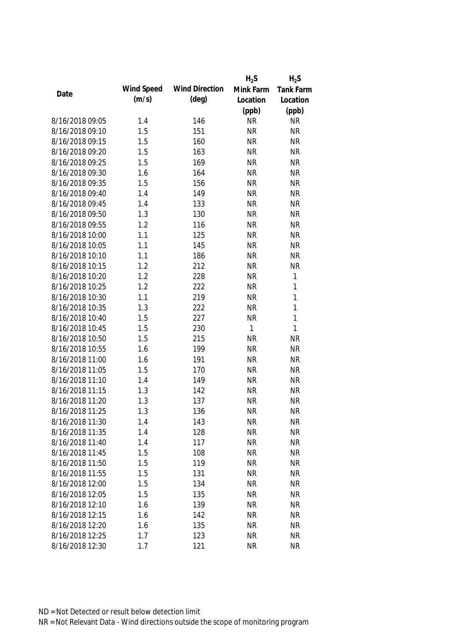|                 |            |                       | $H_2S$    | $H_2S$       |
|-----------------|------------|-----------------------|-----------|--------------|
|                 | Wind Speed | <b>Wind Direction</b> | Mink Farm | Tank Farm    |
| Date            | (m/s)      | $(\text{deg})$        | Location  | Location     |
|                 |            |                       | (ppb)     | (ppb)        |
| 8/16/2018 09:05 | 1.4        | 146                   | <b>NR</b> | <b>NR</b>    |
| 8/16/2018 09:10 | 1.5        | 151                   | <b>NR</b> | <b>NR</b>    |
| 8/16/2018 09:15 | 1.5        | 160                   | <b>NR</b> | <b>NR</b>    |
| 8/16/2018 09:20 | 1.5        | 163                   | <b>NR</b> | <b>NR</b>    |
| 8/16/2018 09:25 | 1.5        | 169                   | <b>NR</b> | <b>NR</b>    |
| 8/16/2018 09:30 | 1.6        | 164                   | <b>NR</b> | <b>NR</b>    |
| 8/16/2018 09:35 | 1.5        | 156                   | <b>NR</b> | <b>NR</b>    |
| 8/16/2018 09:40 | 1.4        | 149                   | <b>NR</b> | <b>NR</b>    |
| 8/16/2018 09:45 | 1.4        | 133                   | <b>NR</b> | <b>NR</b>    |
| 8/16/2018 09:50 | 1.3        | 130                   | <b>NR</b> | <b>NR</b>    |
| 8/16/2018 09:55 | 1.2        | 116                   | <b>NR</b> | <b>NR</b>    |
| 8/16/2018 10:00 | 1.1        | 125                   | <b>NR</b> | <b>NR</b>    |
| 8/16/2018 10:05 | 1.1        | 145                   | <b>NR</b> | <b>NR</b>    |
| 8/16/2018 10:10 | 1.1        | 186                   | <b>NR</b> | <b>NR</b>    |
| 8/16/2018 10:15 | 1.2        | 212                   | <b>NR</b> | <b>NR</b>    |
| 8/16/2018 10:20 | 1.2        | 228                   | <b>NR</b> | $\mathbf{1}$ |
| 8/16/2018 10:25 | 1.2        | 222                   | <b>NR</b> | 1            |
| 8/16/2018 10:30 | 1.1        | 219                   | <b>NR</b> | $\mathbf{1}$ |
| 8/16/2018 10:35 | 1.3        | 222                   | <b>NR</b> | 1            |
| 8/16/2018 10:40 | 1.5        | 227                   | <b>NR</b> | 1            |
| 8/16/2018 10:45 | 1.5        | 230                   | 1         | $\mathbf{1}$ |
| 8/16/2018 10:50 | 1.5        | 215                   | <b>NR</b> | <b>NR</b>    |
| 8/16/2018 10:55 | 1.6        | 199                   | <b>NR</b> | <b>NR</b>    |
| 8/16/2018 11:00 | 1.6        | 191                   | <b>NR</b> | <b>NR</b>    |
| 8/16/2018 11:05 | 1.5        | 170                   | <b>NR</b> | <b>NR</b>    |
| 8/16/2018 11:10 | 1.4        | 149                   | <b>NR</b> | <b>NR</b>    |
| 8/16/2018 11:15 | 1.3        | 142                   | <b>NR</b> | <b>NR</b>    |
| 8/16/2018 11:20 | 1.3        | 137                   | <b>NR</b> | <b>NR</b>    |
| 8/16/2018 11:25 | 1.3        | 136                   | <b>NR</b> | <b>NR</b>    |
| 8/16/2018 11:30 | 1.4        | 143                   | <b>NR</b> | <b>NR</b>    |
| 8/16/2018 11:35 | 1.4        | 128                   | <b>NR</b> | <b>NR</b>    |
| 8/16/2018 11:40 | 1.4        | 117                   | <b>NR</b> | <b>NR</b>    |
| 8/16/2018 11:45 | 1.5        | 108                   | <b>NR</b> | <b>NR</b>    |
| 8/16/2018 11:50 | 1.5        | 119                   | <b>NR</b> | <b>NR</b>    |
| 8/16/2018 11:55 | 1.5        | 131                   | <b>NR</b> | <b>NR</b>    |
| 8/16/2018 12:00 | 1.5        | 134                   | <b>NR</b> | <b>NR</b>    |
| 8/16/2018 12:05 | 1.5        | 135                   | <b>NR</b> | <b>NR</b>    |
| 8/16/2018 12:10 | 1.6        | 139                   | <b>NR</b> | <b>NR</b>    |
| 8/16/2018 12:15 | 1.6        | 142                   | <b>NR</b> | <b>NR</b>    |
|                 |            |                       |           | <b>NR</b>    |
| 8/16/2018 12:20 | 1.6        | 135                   | <b>NR</b> |              |
| 8/16/2018 12:25 | 1.7        | 123                   | <b>NR</b> | <b>NR</b>    |
| 8/16/2018 12:30 | 1.7        | 121                   | <b>NR</b> | <b>NR</b>    |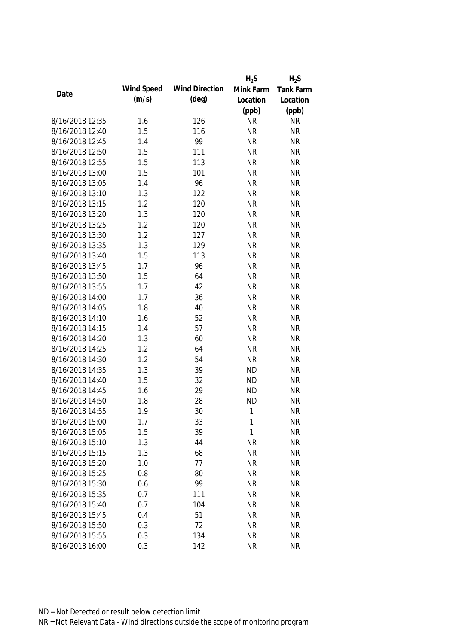|                 |            |                       | $H_2S$       | $H_2S$           |
|-----------------|------------|-----------------------|--------------|------------------|
|                 | Wind Speed | <b>Wind Direction</b> | Mink Farm    | <b>Tank Farm</b> |
| Date            | (m/s)      | $(\text{deg})$        | Location     | Location         |
|                 |            |                       | (ppb)        | (ppb)            |
| 8/16/2018 12:35 | 1.6        | 126                   | <b>NR</b>    | <b>NR</b>        |
| 8/16/2018 12:40 | 1.5        | 116                   | <b>NR</b>    | <b>NR</b>        |
| 8/16/2018 12:45 | 1.4        | 99                    | <b>NR</b>    | <b>NR</b>        |
| 8/16/2018 12:50 | 1.5        | 111                   | <b>NR</b>    | <b>NR</b>        |
| 8/16/2018 12:55 | 1.5        | 113                   | <b>NR</b>    | <b>NR</b>        |
| 8/16/2018 13:00 | 1.5        | 101                   | <b>NR</b>    | <b>NR</b>        |
| 8/16/2018 13:05 | 1.4        | 96                    | <b>NR</b>    | <b>NR</b>        |
| 8/16/2018 13:10 | 1.3        | 122                   | <b>NR</b>    | <b>NR</b>        |
| 8/16/2018 13:15 | 1.2        | 120                   | <b>NR</b>    | <b>NR</b>        |
| 8/16/2018 13:20 | 1.3        | 120                   | <b>NR</b>    | <b>NR</b>        |
| 8/16/2018 13:25 | 1.2        | 120                   | <b>NR</b>    | <b>NR</b>        |
| 8/16/2018 13:30 | 1.2        | 127                   | <b>NR</b>    | <b>NR</b>        |
| 8/16/2018 13:35 | 1.3        | 129                   | <b>NR</b>    | <b>NR</b>        |
| 8/16/2018 13:40 | 1.5        | 113                   | <b>NR</b>    | <b>NR</b>        |
| 8/16/2018 13:45 | 1.7        | 96                    | <b>NR</b>    | <b>NR</b>        |
| 8/16/2018 13:50 | 1.5        | 64                    | <b>NR</b>    | <b>NR</b>        |
| 8/16/2018 13:55 | 1.7        | 42                    | <b>NR</b>    | <b>NR</b>        |
| 8/16/2018 14:00 | 1.7        | 36                    | <b>NR</b>    | <b>NR</b>        |
| 8/16/2018 14:05 | 1.8        | 40                    | <b>NR</b>    | <b>NR</b>        |
| 8/16/2018 14:10 | 1.6        | 52                    | <b>NR</b>    | <b>NR</b>        |
| 8/16/2018 14:15 | 1.4        | 57                    | <b>NR</b>    | <b>NR</b>        |
| 8/16/2018 14:20 | 1.3        | 60                    | <b>NR</b>    | <b>NR</b>        |
| 8/16/2018 14:25 | 1.2        | 64                    | <b>NR</b>    | <b>NR</b>        |
| 8/16/2018 14:30 | 1.2        | 54                    | <b>NR</b>    | <b>NR</b>        |
| 8/16/2018 14:35 | 1.3        | 39                    | <b>ND</b>    | <b>NR</b>        |
| 8/16/2018 14:40 | 1.5        | 32                    | <b>ND</b>    | <b>NR</b>        |
| 8/16/2018 14:45 | 1.6        | 29                    | <b>ND</b>    | <b>NR</b>        |
| 8/16/2018 14:50 | 1.8        | 28                    | <b>ND</b>    | <b>NR</b>        |
| 8/16/2018 14:55 | 1.9        | 30                    | $\mathbf{1}$ | <b>NR</b>        |
| 8/16/2018 15:00 | 1.7        | 33                    | 1            | <b>NR</b>        |
| 8/16/2018 15:05 | 1.5        | 39                    | 1            | <b>NR</b>        |
| 8/16/2018 15:10 | 1.3        | 44                    | <b>NR</b>    | <b>NR</b>        |
| 8/16/2018 15:15 | 1.3        | 68                    | <b>NR</b>    | <b>NR</b>        |
| 8/16/2018 15:20 | 1.0        | 77                    | <b>NR</b>    | <b>NR</b>        |
| 8/16/2018 15:25 | 0.8        | 80                    | <b>NR</b>    | <b>NR</b>        |
| 8/16/2018 15:30 | 0.6        | 99                    | <b>NR</b>    | <b>NR</b>        |
| 8/16/2018 15:35 | 0.7        | 111                   | <b>NR</b>    | <b>NR</b>        |
| 8/16/2018 15:40 | 0.7        | 104                   | <b>NR</b>    | <b>NR</b>        |
| 8/16/2018 15:45 | 0.4        | 51                    | <b>NR</b>    | <b>NR</b>        |
| 8/16/2018 15:50 | 0.3        | 72                    | <b>NR</b>    | <b>NR</b>        |
|                 |            |                       |              |                  |
| 8/16/2018 15:55 | 0.3        | 134                   | <b>NR</b>    | <b>NR</b>        |
| 8/16/2018 16:00 | 0.3        | 142                   | <b>NR</b>    | <b>NR</b>        |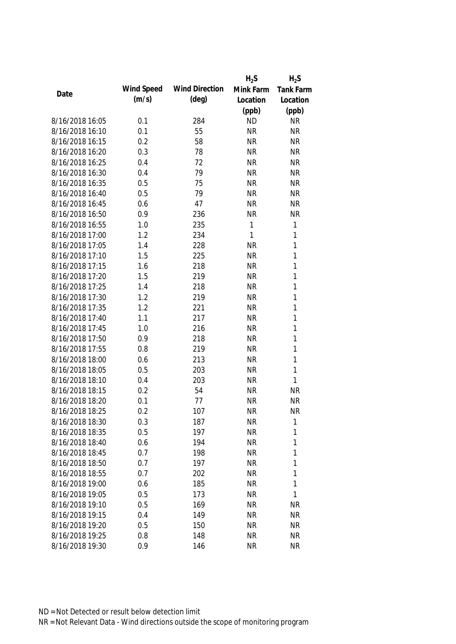|                 |            |                       | $H_2S$    | $H_2S$       |
|-----------------|------------|-----------------------|-----------|--------------|
|                 | Wind Speed | <b>Wind Direction</b> | Mink Farm | Tank Farm    |
| Date            | (m/s)      | $(\text{deg})$        | Location  | Location     |
|                 |            |                       | (ppb)     | (ppb)        |
| 8/16/2018 16:05 | 0.1        | 284                   | <b>ND</b> | <b>NR</b>    |
| 8/16/2018 16:10 | 0.1        | 55                    | <b>NR</b> | <b>NR</b>    |
| 8/16/2018 16:15 | 0.2        | 58                    | <b>NR</b> | <b>NR</b>    |
| 8/16/2018 16:20 | 0.3        | 78                    | <b>NR</b> | <b>NR</b>    |
| 8/16/2018 16:25 | 0.4        | 72                    | <b>NR</b> | <b>NR</b>    |
| 8/16/2018 16:30 | 0.4        | 79                    | <b>NR</b> | <b>NR</b>    |
| 8/16/2018 16:35 | 0.5        | 75                    | <b>NR</b> | <b>NR</b>    |
| 8/16/2018 16:40 | 0.5        | 79                    | <b>NR</b> | <b>NR</b>    |
| 8/16/2018 16:45 | 0.6        | 47                    | <b>NR</b> | <b>NR</b>    |
| 8/16/2018 16:50 | 0.9        | 236                   | <b>NR</b> | <b>NR</b>    |
| 8/16/2018 16:55 | 1.0        | 235                   | 1         | $\mathbf{1}$ |
| 8/16/2018 17:00 | 1.2        | 234                   | 1         | 1            |
| 8/16/2018 17:05 | 1.4        | 228                   | <b>NR</b> | 1            |
| 8/16/2018 17:10 | 1.5        | 225                   | <b>NR</b> | 1            |
| 8/16/2018 17:15 | 1.6        | 218                   | <b>NR</b> | 1            |
| 8/16/2018 17:20 | 1.5        | 219                   | <b>NR</b> | 1            |
| 8/16/2018 17:25 | 1.4        | 218                   | <b>NR</b> | 1            |
| 8/16/2018 17:30 | 1.2        | 219                   | <b>NR</b> | 1            |
| 8/16/2018 17:35 | 1.2        | 221                   | <b>NR</b> | 1            |
| 8/16/2018 17:40 | 1.1        | 217                   | <b>NR</b> | 1            |
| 8/16/2018 17:45 | 1.0        | 216                   | <b>NR</b> | 1            |
| 8/16/2018 17:50 | 0.9        | 218                   | <b>NR</b> | 1            |
| 8/16/2018 17:55 | 0.8        | 219                   | <b>NR</b> | $\mathbf{1}$ |
| 8/16/2018 18:00 | 0.6        | 213                   | <b>NR</b> | $\mathbf{1}$ |
| 8/16/2018 18:05 | 0.5        | 203                   | <b>NR</b> | $\mathbf{1}$ |
| 8/16/2018 18:10 | 0.4        | 203                   | <b>NR</b> | $\mathbf{1}$ |
| 8/16/2018 18:15 | 0.2        | 54                    | <b>NR</b> | <b>NR</b>    |
| 8/16/2018 18:20 | 0.1        | 77                    | <b>NR</b> | <b>NR</b>    |
| 8/16/2018 18:25 | 0.2        | 107                   | <b>NR</b> | <b>NR</b>    |
| 8/16/2018 18:30 | 0.3        | 187                   | <b>NR</b> | 1            |
| 8/16/2018 18:35 | 0.5        | 197                   | <b>NR</b> | 1            |
| 8/16/2018 18:40 | 0.6        | 194                   | <b>NR</b> | 1            |
| 8/16/2018 18:45 | 0.7        | 198                   | <b>NR</b> | 1            |
| 8/16/2018 18:50 | 0.7        | 197                   | <b>NR</b> | 1            |
| 8/16/2018 18:55 | 0.7        | 202                   | <b>NR</b> | 1            |
| 8/16/2018 19:00 | 0.6        | 185                   | <b>NR</b> | 1            |
| 8/16/2018 19:05 | 0.5        | 173                   | <b>NR</b> | 1            |
| 8/16/2018 19:10 | 0.5        | 169                   | <b>NR</b> | <b>NR</b>    |
| 8/16/2018 19:15 | 0.4        | 149                   | <b>NR</b> | <b>NR</b>    |
| 8/16/2018 19:20 | 0.5        | 150                   | <b>NR</b> | <b>NR</b>    |
| 8/16/2018 19:25 | 0.8        | 148                   | <b>NR</b> | <b>NR</b>    |
| 8/16/2018 19:30 | 0.9        | 146                   | <b>NR</b> | <b>NR</b>    |
|                 |            |                       |           |              |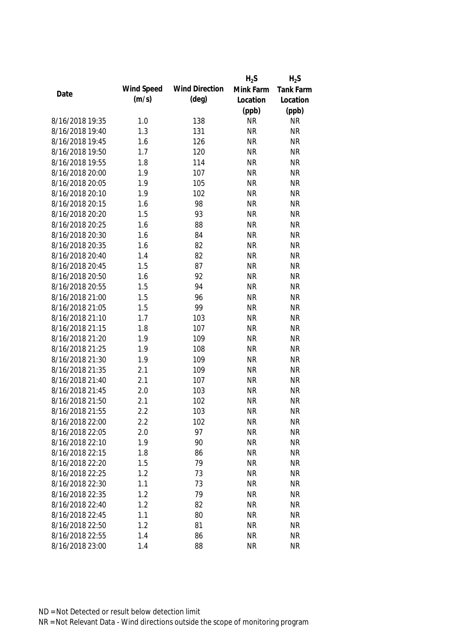|                 |            |                       | $H_2S$    | $H_2S$           |
|-----------------|------------|-----------------------|-----------|------------------|
| Date            | Wind Speed | <b>Wind Direction</b> | Mink Farm | <b>Tank Farm</b> |
|                 | (m/s)      | $(\text{deg})$        | Location  | Location         |
|                 |            |                       | (ppb)     | (ppb)            |
| 8/16/2018 19:35 | 1.0        | 138                   | <b>NR</b> | <b>NR</b>        |
| 8/16/2018 19:40 | 1.3        | 131                   | <b>NR</b> | <b>NR</b>        |
| 8/16/2018 19:45 | 1.6        | 126                   | <b>NR</b> | <b>NR</b>        |
| 8/16/2018 19:50 | 1.7        | 120                   | <b>NR</b> | <b>NR</b>        |
| 8/16/2018 19:55 | 1.8        | 114                   | <b>NR</b> | <b>NR</b>        |
| 8/16/2018 20:00 | 1.9        | 107                   | <b>NR</b> | <b>NR</b>        |
| 8/16/2018 20:05 | 1.9        | 105                   | <b>NR</b> | <b>NR</b>        |
| 8/16/2018 20:10 | 1.9        | 102                   | <b>NR</b> | <b>NR</b>        |
| 8/16/2018 20:15 | 1.6        | 98                    | <b>NR</b> | <b>NR</b>        |
| 8/16/2018 20:20 | 1.5        | 93                    | <b>NR</b> | <b>NR</b>        |
| 8/16/2018 20:25 | 1.6        | 88                    | <b>NR</b> | <b>NR</b>        |
| 8/16/2018 20:30 | 1.6        | 84                    | <b>NR</b> | <b>NR</b>        |
| 8/16/2018 20:35 | 1.6        | 82                    | <b>NR</b> | <b>NR</b>        |
| 8/16/2018 20:40 | 1.4        | 82                    | <b>NR</b> | <b>NR</b>        |
| 8/16/2018 20:45 | 1.5        | 87                    | <b>NR</b> | <b>NR</b>        |
| 8/16/2018 20:50 | 1.6        | 92                    | <b>NR</b> | <b>NR</b>        |
| 8/16/2018 20:55 | 1.5        | 94                    | <b>NR</b> | <b>NR</b>        |
| 8/16/2018 21:00 | 1.5        | 96                    | <b>NR</b> | <b>NR</b>        |
| 8/16/2018 21:05 | 1.5        | 99                    | <b>NR</b> | <b>NR</b>        |
| 8/16/2018 21:10 | 1.7        | 103                   | <b>NR</b> | <b>NR</b>        |
| 8/16/2018 21:15 | 1.8        | 107                   | <b>NR</b> | <b>NR</b>        |
| 8/16/2018 21:20 | 1.9        | 109                   | <b>NR</b> | <b>NR</b>        |
| 8/16/2018 21:25 | 1.9        | 108                   | <b>NR</b> | <b>NR</b>        |
| 8/16/2018 21:30 | 1.9        | 109                   | <b>NR</b> | <b>NR</b>        |
| 8/16/2018 21:35 | 2.1        | 109                   | <b>NR</b> | <b>NR</b>        |
| 8/16/2018 21:40 | 2.1        | 107                   | <b>NR</b> | <b>NR</b>        |
| 8/16/2018 21:45 | 2.0        | 103                   | <b>NR</b> | <b>NR</b>        |
| 8/16/2018 21:50 | 2.1        | 102                   | <b>NR</b> | <b>NR</b>        |
| 8/16/2018 21:55 | 2.2        | 103                   | <b>NR</b> | <b>NR</b>        |
| 8/16/2018 22:00 | 2.2        | 102                   | <b>NR</b> | <b>NR</b>        |
| 8/16/2018 22:05 | 2.0        | 97                    | <b>NR</b> | <b>NR</b>        |
| 8/16/2018 22:10 | 1.9        | 90                    | <b>NR</b> | <b>NR</b>        |
| 8/16/2018 22:15 | 1.8        | 86                    | <b>NR</b> | <b>NR</b>        |
| 8/16/2018 22:20 | 1.5        | 79                    | <b>NR</b> | <b>NR</b>        |
| 8/16/2018 22:25 | 1.2        | 73                    | <b>NR</b> | <b>NR</b>        |
| 8/16/2018 22:30 | 1.1        | 73                    | <b>NR</b> | <b>NR</b>        |
| 8/16/2018 22:35 | 1.2        | 79                    | <b>NR</b> | <b>NR</b>        |
| 8/16/2018 22:40 | 1.2        | 82                    | <b>NR</b> | <b>NR</b>        |
| 8/16/2018 22:45 | 1.1        | 80                    | <b>NR</b> | <b>NR</b>        |
| 8/16/2018 22:50 | 1.2        | 81                    | <b>NR</b> | <b>NR</b>        |
| 8/16/2018 22:55 | 1.4        | 86                    | <b>NR</b> | <b>NR</b>        |
| 8/16/2018 23:00 | 1.4        | 88                    | <b>NR</b> | <b>NR</b>        |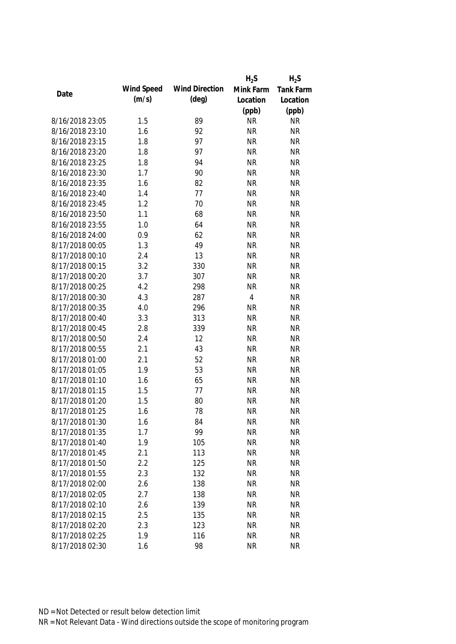|                 |            |                       | $H_2S$    | $H_2S$           |
|-----------------|------------|-----------------------|-----------|------------------|
|                 | Wind Speed | <b>Wind Direction</b> | Mink Farm | <b>Tank Farm</b> |
| Date            | (m/s)      | $(\text{deg})$        | Location  | Location         |
|                 |            |                       | (ppb)     | (ppb)            |
| 8/16/2018 23:05 | 1.5        | 89                    | <b>NR</b> | <b>NR</b>        |
| 8/16/2018 23:10 | 1.6        | 92                    | <b>NR</b> | <b>NR</b>        |
| 8/16/2018 23:15 | 1.8        | 97                    | <b>NR</b> | <b>NR</b>        |
| 8/16/2018 23:20 | 1.8        | 97                    | <b>NR</b> | <b>NR</b>        |
| 8/16/2018 23:25 | 1.8        | 94                    | <b>NR</b> | <b>NR</b>        |
| 8/16/2018 23:30 | 1.7        | 90                    | <b>NR</b> | <b>NR</b>        |
| 8/16/2018 23:35 | 1.6        | 82                    | <b>NR</b> | <b>NR</b>        |
| 8/16/2018 23:40 | 1.4        | 77                    | <b>NR</b> | <b>NR</b>        |
| 8/16/2018 23:45 | 1.2        | 70                    | <b>NR</b> | <b>NR</b>        |
| 8/16/2018 23:50 | 1.1        | 68                    | <b>NR</b> | <b>NR</b>        |
| 8/16/2018 23:55 | 1.0        | 64                    | <b>NR</b> | <b>NR</b>        |
| 8/16/2018 24:00 | 0.9        | 62                    | <b>NR</b> | <b>NR</b>        |
| 8/17/2018 00:05 | 1.3        | 49                    | <b>NR</b> | <b>NR</b>        |
| 8/17/2018 00:10 | 2.4        | 13                    | <b>NR</b> | <b>NR</b>        |
| 8/17/2018 00:15 | 3.2        | 330                   | <b>NR</b> | <b>NR</b>        |
| 8/17/2018 00:20 | 3.7        | 307                   | <b>NR</b> | <b>NR</b>        |
| 8/17/2018 00:25 | 4.2        | 298                   | <b>NR</b> | <b>NR</b>        |
| 8/17/2018 00:30 | 4.3        | 287                   | 4         | <b>NR</b>        |
| 8/17/2018 00:35 | 4.0        | 296                   | <b>NR</b> | <b>NR</b>        |
| 8/17/2018 00:40 | 3.3        | 313                   | <b>NR</b> | <b>NR</b>        |
| 8/17/2018 00:45 | 2.8        | 339                   | <b>NR</b> | <b>NR</b>        |
| 8/17/2018 00:50 | 2.4        | 12                    | <b>NR</b> | <b>NR</b>        |
| 8/17/2018 00:55 | 2.1        | 43                    | <b>NR</b> | <b>NR</b>        |
| 8/17/2018 01:00 | 2.1        | 52                    | <b>NR</b> | <b>NR</b>        |
| 8/17/2018 01:05 | 1.9        | 53                    | <b>NR</b> | <b>NR</b>        |
| 8/17/2018 01:10 | 1.6        | 65                    | <b>NR</b> | <b>NR</b>        |
| 8/17/2018 01:15 | 1.5        | 77                    | <b>NR</b> | <b>NR</b>        |
| 8/17/2018 01:20 | 1.5        | 80                    | <b>NR</b> | <b>NR</b>        |
| 8/17/2018 01:25 | 1.6        | 78                    | <b>NR</b> | <b>NR</b>        |
| 8/17/2018 01:30 | 1.6        | 84                    | <b>NR</b> | <b>NR</b>        |
| 8/17/2018 01:35 | 1.7        | 99                    | <b>NR</b> | <b>NR</b>        |
| 8/17/2018 01:40 | 1.9        | 105                   | <b>NR</b> | <b>NR</b>        |
| 8/17/2018 01:45 | 2.1        | 113                   | <b>NR</b> | <b>NR</b>        |
| 8/17/2018 01:50 | 2.2        | 125                   | <b>NR</b> | <b>NR</b>        |
| 8/17/2018 01:55 | 2.3        | 132                   | <b>NR</b> | <b>NR</b>        |
| 8/17/2018 02:00 | 2.6        | 138                   | <b>NR</b> | <b>NR</b>        |
| 8/17/2018 02:05 | 2.7        | 138                   | <b>NR</b> | <b>NR</b>        |
| 8/17/2018 02:10 | 2.6        | 139                   | <b>NR</b> | <b>NR</b>        |
| 8/17/2018 02:15 | 2.5        | 135                   | <b>NR</b> | <b>NR</b>        |
|                 |            |                       |           |                  |
| 8/17/2018 02:20 | 2.3        | 123                   | <b>NR</b> | <b>NR</b>        |
| 8/17/2018 02:25 | 1.9        | 116                   | <b>NR</b> | <b>NR</b>        |
| 8/17/2018 02:30 | 1.6        | 98                    | <b>NR</b> | <b>NR</b>        |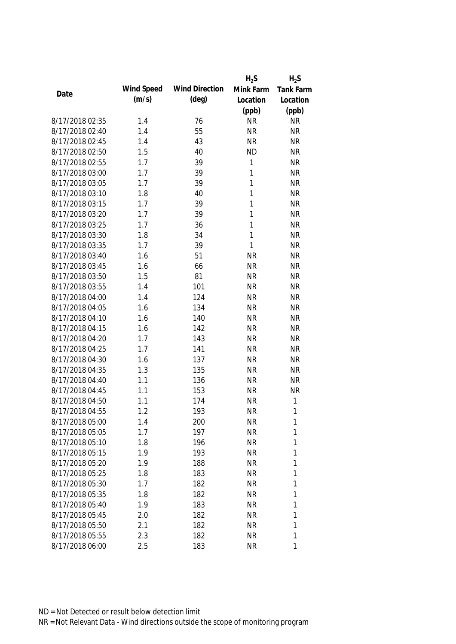|                 |            |                       | $H_2S$       | $H_2S$           |
|-----------------|------------|-----------------------|--------------|------------------|
| Date            | Wind Speed | <b>Wind Direction</b> | Mink Farm    | <b>Tank Farm</b> |
|                 | (m/s)      | $(\text{deg})$        | Location     | Location         |
|                 |            |                       | (ppb)        | (ppb)            |
| 8/17/2018 02:35 | 1.4        | 76                    | <b>NR</b>    | <b>NR</b>        |
| 8/17/2018 02:40 | 1.4        | 55                    | <b>NR</b>    | <b>NR</b>        |
| 8/17/2018 02:45 | 1.4        | 43                    | <b>NR</b>    | <b>NR</b>        |
| 8/17/2018 02:50 | 1.5        | 40                    | <b>ND</b>    | <b>NR</b>        |
| 8/17/2018 02:55 | 1.7        | 39                    | 1            | <b>NR</b>        |
| 8/17/2018 03:00 | 1.7        | 39                    | 1            | <b>NR</b>        |
| 8/17/2018 03:05 | 1.7        | 39                    | $\mathbf{1}$ | <b>NR</b>        |
| 8/17/2018 03:10 | 1.8        | 40                    | $\mathbf{1}$ | <b>NR</b>        |
| 8/17/2018 03:15 | 1.7        | 39                    | $\mathbf{1}$ | <b>NR</b>        |
| 8/17/2018 03:20 | 1.7        | 39                    | 1            | <b>NR</b>        |
| 8/17/2018 03:25 | 1.7        | 36                    | 1            | <b>NR</b>        |
| 8/17/2018 03:30 | 1.8        | 34                    | 1            | <b>NR</b>        |
| 8/17/2018 03:35 | 1.7        | 39                    | 1            | <b>NR</b>        |
| 8/17/2018 03:40 | 1.6        | 51                    | <b>NR</b>    | <b>NR</b>        |
| 8/17/2018 03:45 | 1.6        | 66                    | <b>NR</b>    | <b>NR</b>        |
| 8/17/2018 03:50 | 1.5        | 81                    | <b>NR</b>    | <b>NR</b>        |
| 8/17/2018 03:55 | 1.4        | 101                   | <b>NR</b>    | <b>NR</b>        |
| 8/17/2018 04:00 | 1.4        | 124                   | <b>NR</b>    | <b>NR</b>        |
| 8/17/2018 04:05 | 1.6        | 134                   | <b>NR</b>    | <b>NR</b>        |
| 8/17/2018 04:10 | 1.6        | 140                   | <b>NR</b>    | <b>NR</b>        |
| 8/17/2018 04:15 | 1.6        | 142                   | <b>NR</b>    | <b>NR</b>        |
| 8/17/2018 04:20 | 1.7        | 143                   | <b>NR</b>    | <b>NR</b>        |
| 8/17/2018 04:25 | 1.7        | 141                   | <b>NR</b>    | <b>NR</b>        |
| 8/17/2018 04:30 | 1.6        | 137                   | <b>NR</b>    | <b>NR</b>        |
| 8/17/2018 04:35 | 1.3        | 135                   | <b>NR</b>    | <b>NR</b>        |
| 8/17/2018 04:40 | 1.1        | 136                   | <b>NR</b>    | <b>NR</b>        |
| 8/17/2018 04:45 | 1.1        | 153                   | <b>NR</b>    | <b>NR</b>        |
| 8/17/2018 04:50 | 1.1        | 174                   | <b>NR</b>    | $\mathbf{1}$     |
| 8/17/2018 04:55 | 1.2        | 193                   | <b>NR</b>    | $\mathbf{1}$     |
| 8/17/2018 05:00 | 1.4        | 200                   | <b>NR</b>    | 1                |
| 8/17/2018 05:05 | 1.7        | 197                   | <b>NR</b>    | 1                |
| 8/17/2018 05:10 | 1.8        | 196                   | <b>NR</b>    | 1                |
| 8/17/2018 05:15 | 1.9        | 193                   | <b>NR</b>    | 1                |
| 8/17/2018 05:20 | 1.9        | 188                   | <b>NR</b>    | 1                |
| 8/17/2018 05:25 | 1.8        | 183                   | <b>NR</b>    | 1                |
| 8/17/2018 05:30 | 1.7        | 182                   | <b>NR</b>    | $\mathbf{1}$     |
| 8/17/2018 05:35 | 1.8        | 182                   | <b>NR</b>    | 1                |
| 8/17/2018 05:40 | 1.9        | 183                   | <b>NR</b>    | 1                |
| 8/17/2018 05:45 | 2.0        | 182                   | <b>NR</b>    | 1                |
| 8/17/2018 05:50 | 2.1        | 182                   | <b>NR</b>    | 1                |
| 8/17/2018 05:55 | 2.3        | 182                   | <b>NR</b>    | 1                |
| 8/17/2018 06:00 | 2.5        | 183                   | <b>NR</b>    | 1                |
|                 |            |                       |              |                  |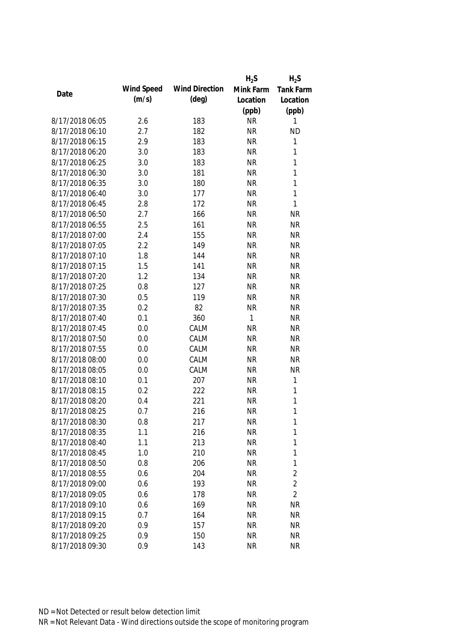|                 |            |                       | $H_2S$    | $H_2S$         |
|-----------------|------------|-----------------------|-----------|----------------|
|                 | Wind Speed | <b>Wind Direction</b> | Mink Farm | Tank Farm      |
| Date            | (m/s)      | $(\text{deg})$        | Location  | Location       |
|                 |            |                       | (ppb)     | (ppb)          |
| 8/17/2018 06:05 | 2.6        | 183                   | <b>NR</b> | 1              |
| 8/17/2018 06:10 | 2.7        | 182                   | <b>NR</b> | <b>ND</b>      |
| 8/17/2018 06:15 | 2.9        | 183                   | <b>NR</b> | $\mathbf{1}$   |
| 8/17/2018 06:20 | 3.0        | 183                   | <b>NR</b> | $\mathbf{1}$   |
| 8/17/2018 06:25 | 3.0        | 183                   | <b>NR</b> | $\mathbf{1}$   |
| 8/17/2018 06:30 | 3.0        | 181                   | <b>NR</b> | $\mathbf{1}$   |
| 8/17/2018 06:35 | 3.0        | 180                   | <b>NR</b> | $\mathbf{1}$   |
| 8/17/2018 06:40 | 3.0        | 177                   | <b>NR</b> | $\mathbf{1}$   |
| 8/17/2018 06:45 | 2.8        | 172                   | <b>NR</b> | $\mathbf{1}$   |
| 8/17/2018 06:50 | 2.7        | 166                   | <b>NR</b> | <b>NR</b>      |
| 8/17/2018 06:55 | 2.5        | 161                   | <b>NR</b> | <b>NR</b>      |
| 8/17/2018 07:00 | 2.4        | 155                   | <b>NR</b> | <b>NR</b>      |
| 8/17/2018 07:05 | 2.2        | 149                   | <b>NR</b> | <b>NR</b>      |
| 8/17/2018 07:10 | 1.8        | 144                   | <b>NR</b> | <b>NR</b>      |
| 8/17/2018 07:15 | 1.5        | 141                   | <b>NR</b> | <b>NR</b>      |
| 8/17/2018 07:20 | 1.2        | 134                   | <b>NR</b> | <b>NR</b>      |
| 8/17/2018 07:25 | 0.8        | 127                   | <b>NR</b> | <b>NR</b>      |
| 8/17/2018 07:30 | 0.5        | 119                   | <b>NR</b> | <b>NR</b>      |
| 8/17/2018 07:35 | 0.2        | 82                    | <b>NR</b> | <b>NR</b>      |
| 8/17/2018 07:40 | 0.1        | 360                   | 1         | <b>NR</b>      |
| 8/17/2018 07:45 | 0.0        | CALM                  | <b>NR</b> | <b>NR</b>      |
| 8/17/2018 07:50 | 0.0        | CALM                  | <b>NR</b> | <b>NR</b>      |
| 8/17/2018 07:55 | 0.0        | CALM                  | <b>NR</b> | <b>NR</b>      |
| 8/17/2018 08:00 | 0.0        | CALM                  | <b>NR</b> | <b>NR</b>      |
| 8/17/2018 08:05 | 0.0        | CALM                  | <b>NR</b> | <b>NR</b>      |
| 8/17/2018 08:10 | 0.1        | 207                   | <b>NR</b> | $\mathbf{1}$   |
| 8/17/2018 08:15 | 0.2        | 222                   | <b>NR</b> | $\mathbf{1}$   |
| 8/17/2018 08:20 | 0.4        | 221                   | <b>NR</b> | $\mathbf{1}$   |
| 8/17/2018 08:25 | 0.7        | 216                   | <b>NR</b> | $\mathbf{1}$   |
| 8/17/2018 08:30 | 0.8        | 217                   | <b>NR</b> | 1              |
| 8/17/2018 08:35 | 1.1        | 216                   | <b>NR</b> | $\mathbf{1}$   |
| 8/17/2018 08:40 | 1.1        | 213                   | <b>NR</b> | $\mathbf{1}$   |
| 8/17/2018 08:45 | 1.0        | 210                   | <b>NR</b> | 1              |
| 8/17/2018 08:50 | 0.8        | 206                   | <b>NR</b> | 1              |
| 8/17/2018 08:55 | 0.6        | 204                   | <b>NR</b> | $\overline{2}$ |
| 8/17/2018 09:00 | 0.6        | 193                   | <b>NR</b> | $\overline{2}$ |
| 8/17/2018 09:05 | 0.6        | 178                   | <b>NR</b> | $\overline{2}$ |
| 8/17/2018 09:10 | 0.6        | 169                   | <b>NR</b> | <b>NR</b>      |
| 8/17/2018 09:15 | 0.7        | 164                   | <b>NR</b> | <b>NR</b>      |
| 8/17/2018 09:20 | 0.9        | 157                   | <b>NR</b> | <b>NR</b>      |
| 8/17/2018 09:25 | 0.9        | 150                   | <b>NR</b> | <b>NR</b>      |
| 8/17/2018 09:30 | 0.9        | 143                   | <b>NR</b> | <b>NR</b>      |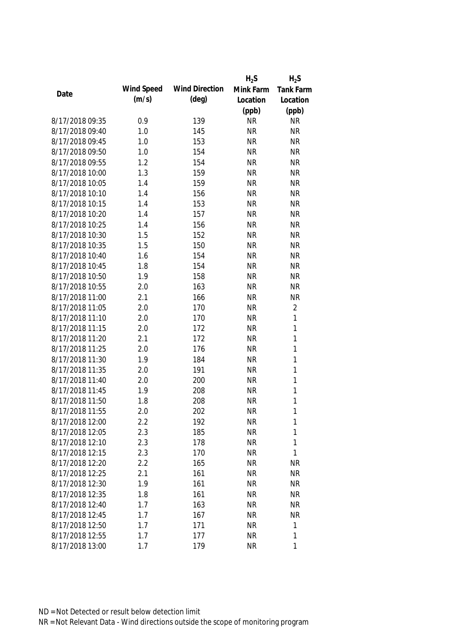|                 |            |                       | $H_2S$    | $H_2S$           |
|-----------------|------------|-----------------------|-----------|------------------|
| Date            | Wind Speed | <b>Wind Direction</b> | Mink Farm | <b>Tank Farm</b> |
|                 | (m/s)      | $(\text{deg})$        | Location  | Location         |
|                 |            |                       | (ppb)     | (ppb)            |
| 8/17/2018 09:35 | 0.9        | 139                   | <b>NR</b> | <b>NR</b>        |
| 8/17/2018 09:40 | 1.0        | 145                   | <b>NR</b> | <b>NR</b>        |
| 8/17/2018 09:45 | 1.0        | 153                   | <b>NR</b> | <b>NR</b>        |
| 8/17/2018 09:50 | 1.0        | 154                   | <b>NR</b> | <b>NR</b>        |
| 8/17/2018 09:55 | 1.2        | 154                   | <b>NR</b> | <b>NR</b>        |
| 8/17/2018 10:00 | 1.3        | 159                   | <b>NR</b> | <b>NR</b>        |
| 8/17/2018 10:05 | 1.4        | 159                   | <b>NR</b> | <b>NR</b>        |
| 8/17/2018 10:10 | 1.4        | 156                   | <b>NR</b> | <b>NR</b>        |
| 8/17/2018 10:15 | 1.4        | 153                   | <b>NR</b> | <b>NR</b>        |
| 8/17/2018 10:20 | 1.4        | 157                   | <b>NR</b> | <b>NR</b>        |
| 8/17/2018 10:25 | 1.4        | 156                   | <b>NR</b> | <b>NR</b>        |
| 8/17/2018 10:30 | 1.5        | 152                   | <b>NR</b> | <b>NR</b>        |
| 8/17/2018 10:35 | 1.5        | 150                   | <b>NR</b> | <b>NR</b>        |
| 8/17/2018 10:40 | 1.6        | 154                   | <b>NR</b> | <b>NR</b>        |
| 8/17/2018 10:45 | 1.8        | 154                   | <b>NR</b> | <b>NR</b>        |
| 8/17/2018 10:50 | 1.9        | 158                   | <b>NR</b> | <b>NR</b>        |
| 8/17/2018 10:55 | 2.0        | 163                   | <b>NR</b> | <b>NR</b>        |
| 8/17/2018 11:00 | 2.1        | 166                   | <b>NR</b> | <b>NR</b>        |
| 8/17/2018 11:05 | 2.0        | 170                   | <b>NR</b> | $\overline{2}$   |
| 8/17/2018 11:10 | 2.0        | 170                   | <b>NR</b> | $\mathbf{1}$     |
| 8/17/2018 11:15 | 2.0        | 172                   | <b>NR</b> | $\mathbf{1}$     |
| 8/17/2018 11:20 | 2.1        | 172                   | <b>NR</b> | $\mathbf{1}$     |
| 8/17/2018 11:25 | 2.0        | 176                   | <b>NR</b> | $\mathbf{1}$     |
| 8/17/2018 11:30 | 1.9        | 184                   | <b>NR</b> | $\mathbf{1}$     |
| 8/17/2018 11:35 | 2.0        | 191                   | <b>NR</b> | $\mathbf{1}$     |
| 8/17/2018 11:40 | 2.0        | 200                   | <b>NR</b> | $\mathbf{1}$     |
| 8/17/2018 11:45 | 1.9        | 208                   | <b>NR</b> | $\mathbf{1}$     |
| 8/17/2018 11:50 | 1.8        | 208                   | <b>NR</b> | 1                |
| 8/17/2018 11:55 | 2.0        | 202                   | <b>NR</b> | 1                |
| 8/17/2018 12:00 | 2.2        | 192                   | <b>NR</b> | 1                |
| 8/17/2018 12:05 | 2.3        | 185                   | <b>NR</b> | $\mathbf{1}$     |
| 8/17/2018 12:10 | 2.3        | 178                   | <b>NR</b> | 1                |
| 8/17/2018 12:15 | 2.3        | 170                   | <b>NR</b> | $\mathbf{1}$     |
| 8/17/2018 12:20 | 2.2        | 165                   | <b>NR</b> | <b>NR</b>        |
| 8/17/2018 12:25 | 2.1        | 161                   | <b>NR</b> | <b>NR</b>        |
| 8/17/2018 12:30 | 1.9        | 161                   | <b>NR</b> | <b>NR</b>        |
| 8/17/2018 12:35 | 1.8        | 161                   | <b>NR</b> | <b>NR</b>        |
| 8/17/2018 12:40 | 1.7        | 163                   | <b>NR</b> | <b>NR</b>        |
| 8/17/2018 12:45 | 1.7        | 167                   | <b>NR</b> | <b>NR</b>        |
| 8/17/2018 12:50 | 1.7        | 171                   | <b>NR</b> | 1                |
| 8/17/2018 12:55 | 1.7        | 177                   | <b>NR</b> | 1                |
| 8/17/2018 13:00 | 1.7        | 179                   | <b>NR</b> | 1                |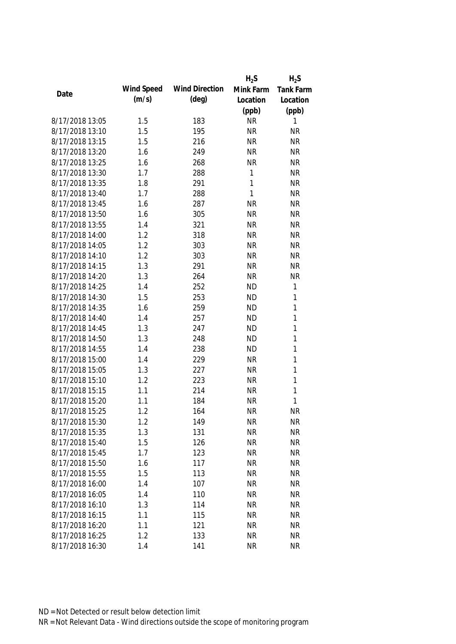|                 |            |                       | $H_2S$       | $H_2S$           |
|-----------------|------------|-----------------------|--------------|------------------|
| Date            | Wind Speed | <b>Wind Direction</b> | Mink Farm    | <b>Tank Farm</b> |
|                 | (m/s)      | $(\text{deg})$        | Location     | Location         |
|                 |            |                       | (ppb)        | (ppb)            |
| 8/17/2018 13:05 | 1.5        | 183                   | <b>NR</b>    | 1                |
| 8/17/2018 13:10 | 1.5        | 195                   | <b>NR</b>    | <b>NR</b>        |
| 8/17/2018 13:15 | 1.5        | 216                   | <b>NR</b>    | <b>NR</b>        |
| 8/17/2018 13:20 | 1.6        | 249                   | <b>NR</b>    | <b>NR</b>        |
| 8/17/2018 13:25 | 1.6        | 268                   | <b>NR</b>    | <b>NR</b>        |
| 8/17/2018 13:30 | 1.7        | 288                   | $\mathbf{1}$ | <b>NR</b>        |
| 8/17/2018 13:35 | 1.8        | 291                   | 1            | <b>NR</b>        |
| 8/17/2018 13:40 | 1.7        | 288                   | 1            | <b>NR</b>        |
| 8/17/2018 13:45 | 1.6        | 287                   | <b>NR</b>    | <b>NR</b>        |
| 8/17/2018 13:50 | 1.6        | 305                   | <b>NR</b>    | <b>NR</b>        |
| 8/17/2018 13:55 | 1.4        | 321                   | <b>NR</b>    | <b>NR</b>        |
| 8/17/2018 14:00 | 1.2        | 318                   | <b>NR</b>    | <b>NR</b>        |
| 8/17/2018 14:05 | 1.2        | 303                   | <b>NR</b>    | <b>NR</b>        |
| 8/17/2018 14:10 | 1.2        | 303                   | <b>NR</b>    | <b>NR</b>        |
| 8/17/2018 14:15 | 1.3        | 291                   | <b>NR</b>    | <b>NR</b>        |
| 8/17/2018 14:20 | 1.3        | 264                   | <b>NR</b>    | <b>NR</b>        |
| 8/17/2018 14:25 | 1.4        | 252                   | <b>ND</b>    | 1                |
| 8/17/2018 14:30 | 1.5        | 253                   | <b>ND</b>    | 1                |
| 8/17/2018 14:35 | 1.6        | 259                   | <b>ND</b>    | 1                |
| 8/17/2018 14:40 | 1.4        | 257                   | <b>ND</b>    | 1                |
| 8/17/2018 14:45 | 1.3        | 247                   | <b>ND</b>    | 1                |
| 8/17/2018 14:50 | 1.3        | 248                   | <b>ND</b>    | 1                |
| 8/17/2018 14:55 | 1.4        | 238                   | <b>ND</b>    | 1                |
| 8/17/2018 15:00 | 1.4        | 229                   | <b>NR</b>    | 1                |
| 8/17/2018 15:05 | 1.3        | 227                   | <b>NR</b>    | $\mathbf{1}$     |
| 8/17/2018 15:10 | 1.2        | 223                   | <b>NR</b>    | 1                |
| 8/17/2018 15:15 | 1.1        | 214                   | <b>NR</b>    | 1                |
| 8/17/2018 15:20 | 1.1        | 184                   | <b>NR</b>    | 1                |
| 8/17/2018 15:25 | 1.2        | 164                   | <b>NR</b>    | <b>NR</b>        |
| 8/17/2018 15:30 | 1.2        | 149                   | <b>NR</b>    | <b>NR</b>        |
| 8/17/2018 15:35 | 1.3        | 131                   | <b>NR</b>    | <b>NR</b>        |
| 8/17/2018 15:40 | 1.5        | 126                   | <b>NR</b>    | <b>NR</b>        |
| 8/17/2018 15:45 | 1.7        | 123                   | <b>NR</b>    | <b>NR</b>        |
| 8/17/2018 15:50 | 1.6        | 117                   | <b>NR</b>    | <b>NR</b>        |
| 8/17/2018 15:55 | 1.5        | 113                   | <b>NR</b>    | <b>NR</b>        |
| 8/17/2018 16:00 | 1.4        | 107                   | <b>NR</b>    | <b>NR</b>        |
| 8/17/2018 16:05 | 1.4        | 110                   | <b>NR</b>    | <b>NR</b>        |
| 8/17/2018 16:10 | 1.3        | 114                   | <b>NR</b>    | <b>NR</b>        |
| 8/17/2018 16:15 | 1.1        | 115                   | <b>NR</b>    | <b>NR</b>        |
| 8/17/2018 16:20 | 1.1        | 121                   | <b>NR</b>    | <b>NR</b>        |
| 8/17/2018 16:25 | 1.2        | 133                   | <b>NR</b>    | <b>NR</b>        |
| 8/17/2018 16:30 | 1.4        | 141                   | <b>NR</b>    | <b>NR</b>        |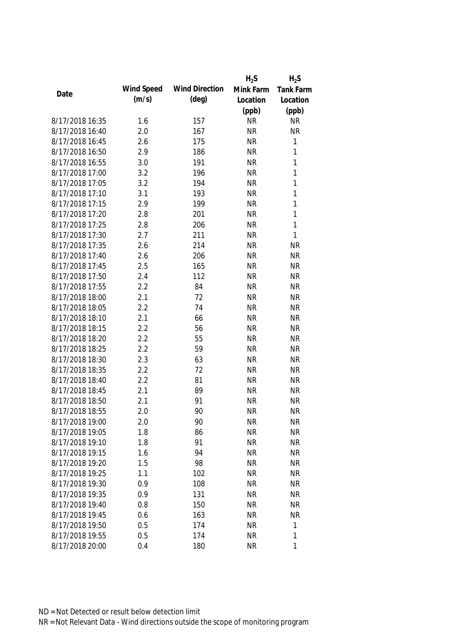|                 |            |                       | $H_2S$    | $H_2S$       |
|-----------------|------------|-----------------------|-----------|--------------|
|                 | Wind Speed | <b>Wind Direction</b> | Mink Farm | Tank Farm    |
| Date            | (m/s)      | $(\text{deg})$        | Location  | Location     |
|                 |            |                       | (ppb)     | (ppb)        |
| 8/17/2018 16:35 | 1.6        | 157                   | <b>NR</b> | <b>NR</b>    |
| 8/17/2018 16:40 | 2.0        | 167                   | <b>NR</b> | <b>NR</b>    |
| 8/17/2018 16:45 | 2.6        | 175                   | <b>NR</b> | $\mathbf 1$  |
| 8/17/2018 16:50 | 2.9        | 186                   | <b>NR</b> | $\mathbf{1}$ |
| 8/17/2018 16:55 | 3.0        | 191                   | <b>NR</b> | $\mathbf{1}$ |
| 8/17/2018 17:00 | 3.2        | 196                   | <b>NR</b> | $\mathbf{1}$ |
| 8/17/2018 17:05 | 3.2        | 194                   | <b>NR</b> | $\mathbf{1}$ |
| 8/17/2018 17:10 | 3.1        | 193                   | <b>NR</b> | $\mathbf{1}$ |
| 8/17/2018 17:15 | 2.9        | 199                   | <b>NR</b> | $\mathbf{1}$ |
| 8/17/2018 17:20 | 2.8        | 201                   | <b>NR</b> | $\mathbf{1}$ |
| 8/17/2018 17:25 | 2.8        | 206                   | <b>NR</b> | $\mathbf{1}$ |
| 8/17/2018 17:30 | 2.7        | 211                   | <b>NR</b> | $\mathbf{1}$ |
| 8/17/2018 17:35 | 2.6        | 214                   | <b>NR</b> | <b>NR</b>    |
| 8/17/2018 17:40 | 2.6        | 206                   | <b>NR</b> | <b>NR</b>    |
| 8/17/2018 17:45 | 2.5        | 165                   | <b>NR</b> | <b>NR</b>    |
| 8/17/2018 17:50 | 2.4        | 112                   | <b>NR</b> | <b>NR</b>    |
| 8/17/2018 17:55 | 2.2        | 84                    | <b>NR</b> | <b>NR</b>    |
| 8/17/2018 18:00 | 2.1        | 72                    | <b>NR</b> | <b>NR</b>    |
| 8/17/2018 18:05 | 2.2        | 74                    | <b>NR</b> | <b>NR</b>    |
| 8/17/2018 18:10 | 2.1        | 66                    | <b>NR</b> | <b>NR</b>    |
| 8/17/2018 18:15 | 2.2        | 56                    | <b>NR</b> | <b>NR</b>    |
| 8/17/2018 18:20 | 2.2        | 55                    | <b>NR</b> | <b>NR</b>    |
| 8/17/2018 18:25 | 2.2        | 59                    | <b>NR</b> | <b>NR</b>    |
| 8/17/2018 18:30 | 2.3        | 63                    | <b>NR</b> | <b>NR</b>    |
| 8/17/2018 18:35 | 2.2        | 72                    | <b>NR</b> | <b>NR</b>    |
| 8/17/2018 18:40 | 2.2        | 81                    | <b>NR</b> | <b>NR</b>    |
| 8/17/2018 18:45 | 2.1        | 89                    | <b>NR</b> | <b>NR</b>    |
| 8/17/2018 18:50 | 2.1        | 91                    | <b>NR</b> | <b>NR</b>    |
| 8/17/2018 18:55 | 2.0        | 90                    | <b>NR</b> | <b>NR</b>    |
| 8/17/2018 19:00 | 2.0        | 90                    | <b>NR</b> | <b>NR</b>    |
| 8/17/2018 19:05 | 1.8        | 86                    | <b>NR</b> | <b>NR</b>    |
| 8/17/2018 19:10 | 1.8        | 91                    | <b>NR</b> | <b>NR</b>    |
| 8/17/2018 19:15 | 1.6        | 94                    | <b>NR</b> | <b>NR</b>    |
| 8/17/2018 19:20 | 1.5        | 98                    | <b>NR</b> | <b>NR</b>    |
| 8/17/2018 19:25 | 1.1        | 102                   | <b>NR</b> | <b>NR</b>    |
| 8/17/2018 19:30 | 0.9        | 108                   | <b>NR</b> | <b>NR</b>    |
| 8/17/2018 19:35 | 0.9        | 131                   | <b>NR</b> | <b>NR</b>    |
| 8/17/2018 19:40 | 0.8        | 150                   | <b>NR</b> | <b>NR</b>    |
| 8/17/2018 19:45 | 0.6        | 163                   | <b>NR</b> | <b>NR</b>    |
| 8/17/2018 19:50 | 0.5        | 174                   | <b>NR</b> | 1            |
| 8/17/2018 19:55 | 0.5        | 174                   | <b>NR</b> | 1            |
| 8/17/2018 20:00 | 0.4        | 180                   | <b>NR</b> | 1            |
|                 |            |                       |           |              |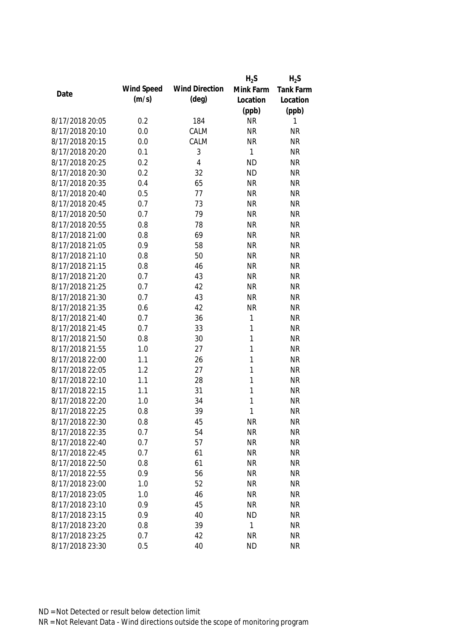|                 |            |                       | $H_2S$       | $H_2S$           |
|-----------------|------------|-----------------------|--------------|------------------|
| Date            | Wind Speed | <b>Wind Direction</b> | Mink Farm    | <b>Tank Farm</b> |
|                 | (m/s)      | $(\text{deg})$        | Location     | Location         |
|                 |            |                       | (ppb)        | (ppb)            |
| 8/17/2018 20:05 | 0.2        | 184                   | <b>NR</b>    | 1                |
| 8/17/2018 20:10 | 0.0        | CALM                  | <b>NR</b>    | <b>NR</b>        |
| 8/17/2018 20:15 | 0.0        | CALM                  | <b>NR</b>    | <b>NR</b>        |
| 8/17/2018 20:20 | 0.1        | 3                     | 1            | <b>NR</b>        |
| 8/17/2018 20:25 | 0.2        | $\overline{4}$        | <b>ND</b>    | <b>NR</b>        |
| 8/17/2018 20:30 | 0.2        | 32                    | <b>ND</b>    | <b>NR</b>        |
| 8/17/2018 20:35 | 0.4        | 65                    | <b>NR</b>    | <b>NR</b>        |
| 8/17/2018 20:40 | 0.5        | 77                    | <b>NR</b>    | <b>NR</b>        |
| 8/17/2018 20:45 | 0.7        | 73                    | <b>NR</b>    | <b>NR</b>        |
| 8/17/2018 20:50 | 0.7        | 79                    | <b>NR</b>    | <b>NR</b>        |
| 8/17/2018 20:55 | 0.8        | 78                    | <b>NR</b>    | <b>NR</b>        |
| 8/17/2018 21:00 | 0.8        | 69                    | <b>NR</b>    | <b>NR</b>        |
| 8/17/2018 21:05 | 0.9        | 58                    | <b>NR</b>    | <b>NR</b>        |
| 8/17/2018 21:10 | 0.8        | 50                    | <b>NR</b>    | <b>NR</b>        |
| 8/17/2018 21:15 | 0.8        | 46                    | <b>NR</b>    | <b>NR</b>        |
| 8/17/2018 21:20 | 0.7        | 43                    | <b>NR</b>    | <b>NR</b>        |
| 8/17/2018 21:25 | 0.7        | 42                    | <b>NR</b>    | <b>NR</b>        |
| 8/17/2018 21:30 | 0.7        | 43                    | <b>NR</b>    | <b>NR</b>        |
| 8/17/2018 21:35 | 0.6        | 42                    | <b>NR</b>    | <b>NR</b>        |
| 8/17/2018 21:40 | 0.7        | 36                    | 1            | <b>NR</b>        |
| 8/17/2018 21:45 | 0.7        | 33                    | 1            | <b>NR</b>        |
| 8/17/2018 21:50 | 0.8        | 30                    | 1            | <b>NR</b>        |
| 8/17/2018 21:55 | 1.0        | 27                    | 1            | <b>NR</b>        |
| 8/17/2018 22:00 | 1.1        | 26                    | $\mathbf{1}$ | <b>NR</b>        |
| 8/17/2018 22:05 | 1.2        | 27                    | 1            | <b>NR</b>        |
| 8/17/2018 22:10 | 1.1        | 28                    | 1            | <b>NR</b>        |
| 8/17/2018 22:15 | 1.1        | 31                    | 1            | <b>NR</b>        |
| 8/17/2018 22:20 | 1.0        | 34                    | 1            | <b>NR</b>        |
| 8/17/2018 22:25 | 0.8        | 39                    | 1            | <b>NR</b>        |
| 8/17/2018 22:30 | 0.8        | 45                    | <b>NR</b>    | <b>NR</b>        |
| 8/17/2018 22:35 | 0.7        | 54                    | <b>NR</b>    | <b>NR</b>        |
| 8/17/2018 22:40 | 0.7        | 57                    | <b>NR</b>    | <b>NR</b>        |
| 8/17/2018 22:45 | 0.7        | 61                    | <b>NR</b>    | <b>NR</b>        |
| 8/17/2018 22:50 | 0.8        | 61                    | <b>NR</b>    | <b>NR</b>        |
| 8/17/2018 22:55 | 0.9        | 56                    | <b>NR</b>    | <b>NR</b>        |
| 8/17/2018 23:00 | 1.0        | 52                    | <b>NR</b>    | <b>NR</b>        |
| 8/17/2018 23:05 | 1.0        | 46                    | <b>NR</b>    | <b>NR</b>        |
| 8/17/2018 23:10 | 0.9        | 45                    | <b>NR</b>    | <b>NR</b>        |
| 8/17/2018 23:15 | 0.9        | 40                    | <b>ND</b>    | <b>NR</b>        |
| 8/17/2018 23:20 | 0.8        | 39                    | 1            | <b>NR</b>        |
| 8/17/2018 23:25 | 0.7        | 42                    | <b>NR</b>    | <b>NR</b>        |
| 8/17/2018 23:30 | 0.5        | 40                    | <b>ND</b>    | <b>NR</b>        |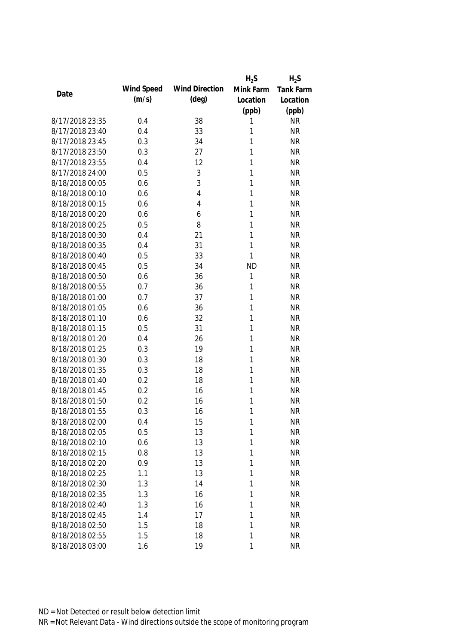|                 |            |                       | $H_2S$    | $H_2S$           |
|-----------------|------------|-----------------------|-----------|------------------|
| Date            | Wind Speed | <b>Wind Direction</b> | Mink Farm | <b>Tank Farm</b> |
|                 | (m/s)      | $(\text{deg})$        | Location  | Location         |
|                 |            |                       | (ppb)     | (ppb)            |
| 8/17/2018 23:35 | 0.4        | 38                    | 1         | <b>NR</b>        |
| 8/17/2018 23:40 | 0.4        | 33                    | 1         | <b>NR</b>        |
| 8/17/2018 23:45 | 0.3        | 34                    | 1         | <b>NR</b>        |
| 8/17/2018 23:50 | 0.3        | 27                    | 1         | <b>NR</b>        |
| 8/17/2018 23:55 | 0.4        | 12                    | 1         | <b>NR</b>        |
| 8/17/2018 24:00 | 0.5        | $\sqrt{3}$            | 1         | <b>NR</b>        |
| 8/18/2018 00:05 | 0.6        | 3                     | 1         | <b>NR</b>        |
| 8/18/2018 00:10 | 0.6        | 4                     | 1         | <b>NR</b>        |
| 8/18/2018 00:15 | 0.6        | 4                     | 1         | <b>NR</b>        |
| 8/18/2018 00:20 | 0.6        | 6                     | 1         | <b>NR</b>        |
| 8/18/2018 00:25 | 0.5        | 8                     | 1         | <b>NR</b>        |
| 8/18/2018 00:30 | 0.4        | 21                    | 1         | <b>NR</b>        |
| 8/18/2018 00:35 | 0.4        | 31                    | 1         | <b>NR</b>        |
| 8/18/2018 00:40 | 0.5        | 33                    | 1         | <b>NR</b>        |
| 8/18/2018 00:45 | 0.5        | 34                    | <b>ND</b> | <b>NR</b>        |
| 8/18/2018 00:50 | 0.6        | 36                    | 1         | <b>NR</b>        |
| 8/18/2018 00:55 | 0.7        | 36                    | 1         | <b>NR</b>        |
| 8/18/2018 01:00 | 0.7        | 37                    | 1         | <b>NR</b>        |
| 8/18/2018 01:05 | 0.6        | 36                    | 1         | <b>NR</b>        |
| 8/18/2018 01:10 | 0.6        | 32                    | 1         | <b>NR</b>        |
| 8/18/2018 01:15 | 0.5        | 31                    | 1         | <b>NR</b>        |
| 8/18/2018 01:20 | 0.4        | 26                    | 1         | <b>NR</b>        |
| 8/18/2018 01:25 | 0.3        | 19                    | 1         | <b>NR</b>        |
| 8/18/2018 01:30 | 0.3        | 18                    | 1         | <b>NR</b>        |
| 8/18/2018 01:35 | 0.3        | 18                    | 1         | <b>NR</b>        |
| 8/18/2018 01:40 | 0.2        | 18                    | 1         | <b>NR</b>        |
| 8/18/2018 01:45 | 0.2        | 16                    | 1         | <b>NR</b>        |
| 8/18/2018 01:50 | 0.2        | 16                    | 1         | <b>NR</b>        |
| 8/18/2018 01:55 | 0.3        | 16                    | 1         | <b>NR</b>        |
| 8/18/2018 02:00 | 0.4        | 15                    | 1         | <b>NR</b>        |
| 8/18/2018 02:05 | 0.5        | 13                    | 1         | <b>NR</b>        |
| 8/18/2018 02:10 | 0.6        | 13                    | 1         | <b>NR</b>        |
| 8/18/2018 02:15 | 0.8        | 13                    | 1         | <b>NR</b>        |
| 8/18/2018 02:20 | 0.9        | 13                    | 1         | <b>NR</b>        |
| 8/18/2018 02:25 | 1.1        | 13                    | 1         | <b>NR</b>        |
| 8/18/2018 02:30 | 1.3        | 14                    | 1         | <b>NR</b>        |
| 8/18/2018 02:35 | 1.3        | 16                    | 1         | <b>NR</b>        |
| 8/18/2018 02:40 | 1.3        | 16                    | 1         | <b>NR</b>        |
| 8/18/2018 02:45 | 1.4        | 17                    | 1         | <b>NR</b>        |
| 8/18/2018 02:50 | 1.5        | 18                    | 1         | <b>NR</b>        |
| 8/18/2018 02:55 | 1.5        | 18                    | 1         | <b>NR</b>        |
| 8/18/2018 03:00 | 1.6        | 19                    | 1         | <b>NR</b>        |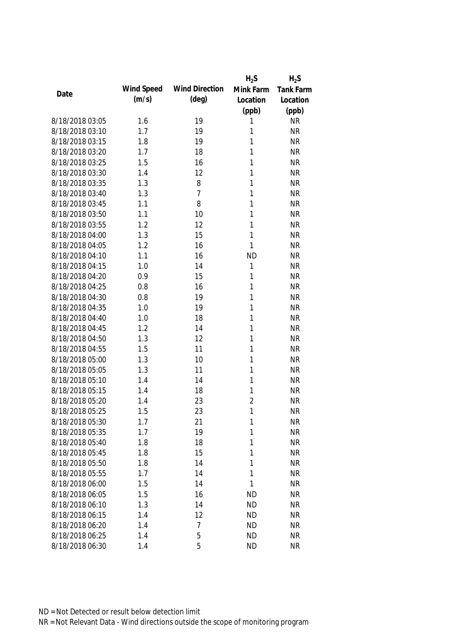|                 |            |                       | $H_2S$         | $H_2S$           |
|-----------------|------------|-----------------------|----------------|------------------|
| Date            | Wind Speed | <b>Wind Direction</b> | Mink Farm      | <b>Tank Farm</b> |
|                 | (m/s)      | $(\text{deg})$        | Location       | Location         |
|                 |            |                       | (ppb)          | (ppb)            |
| 8/18/2018 03:05 | 1.6        | 19                    | 1              | <b>NR</b>        |
| 8/18/2018 03:10 | 1.7        | 19                    | 1              | <b>NR</b>        |
| 8/18/2018 03:15 | 1.8        | 19                    | 1              | <b>NR</b>        |
| 8/18/2018 03:20 | 1.7        | 18                    | 1              | <b>NR</b>        |
| 8/18/2018 03:25 | 1.5        | 16                    | 1              | <b>NR</b>        |
| 8/18/2018 03:30 | 1.4        | 12                    | 1              | <b>NR</b>        |
| 8/18/2018 03:35 | 1.3        | 8                     | 1              | <b>NR</b>        |
| 8/18/2018 03:40 | 1.3        | $\overline{7}$        | 1              | <b>NR</b>        |
| 8/18/2018 03:45 | 1.1        | 8                     | 1              | <b>NR</b>        |
| 8/18/2018 03:50 | 1.1        | 10                    | 1              | <b>NR</b>        |
| 8/18/2018 03:55 | 1.2        | 12                    | 1              | <b>NR</b>        |
| 8/18/2018 04:00 | 1.3        | 15                    | $\mathbf{1}$   | <b>NR</b>        |
| 8/18/2018 04:05 | 1.2        | 16                    | 1              | <b>NR</b>        |
| 8/18/2018 04:10 | 1.1        | 16                    | <b>ND</b>      | <b>NR</b>        |
| 8/18/2018 04:15 | 1.0        | 14                    | 1              | <b>NR</b>        |
| 8/18/2018 04:20 | 0.9        | 15                    | $\mathbf{1}$   | <b>NR</b>        |
| 8/18/2018 04:25 | 0.8        | 16                    | 1              | <b>NR</b>        |
| 8/18/2018 04:30 | 0.8        | 19                    | 1              | <b>NR</b>        |
| 8/18/2018 04:35 | 1.0        | 19                    | 1              | <b>NR</b>        |
| 8/18/2018 04:40 | 1.0        | 18                    | 1              | <b>NR</b>        |
| 8/18/2018 04:45 | 1.2        | 14                    | 1              | <b>NR</b>        |
| 8/18/2018 04:50 | 1.3        | 12                    | 1              | <b>NR</b>        |
| 8/18/2018 04:55 | 1.5        | 11                    | 1              | <b>NR</b>        |
| 8/18/2018 05:00 | 1.3        | 10                    | $\mathbf{1}$   | <b>NR</b>        |
| 8/18/2018 05:05 | 1.3        | 11                    | 1              | <b>NR</b>        |
| 8/18/2018 05:10 | 1.4        | 14                    | 1              | <b>NR</b>        |
| 8/18/2018 05:15 | 1.4        | 18                    | 1              | <b>NR</b>        |
| 8/18/2018 05:20 | 1.4        | 23                    | $\overline{2}$ | <b>NR</b>        |
| 8/18/2018 05:25 | 1.5        | 23                    | $\mathbf{1}$   | <b>NR</b>        |
| 8/18/2018 05:30 | 1.7        | 21                    | 1              | <b>NR</b>        |
| 8/18/2018 05:35 | 1.7        | 19                    | 1              | <b>NR</b>        |
| 8/18/2018 05:40 | 1.8        | 18                    | 1              | <b>NR</b>        |
| 8/18/2018 05:45 | 1.8        | 15                    | 1              | <b>NR</b>        |
| 8/18/2018 05:50 | 1.8        | 14                    | 1              | <b>NR</b>        |
| 8/18/2018 05:55 | 1.7        | 14                    | $\mathbf{1}$   | <b>NR</b>        |
| 8/18/2018 06:00 | 1.5        | 14                    | 1              | <b>NR</b>        |
| 8/18/2018 06:05 | 1.5        | 16                    | <b>ND</b>      | <b>NR</b>        |
| 8/18/2018 06:10 | 1.3        | 14                    | <b>ND</b>      | <b>NR</b>        |
| 8/18/2018 06:15 | 1.4        | 12                    | <b>ND</b>      | <b>NR</b>        |
| 8/18/2018 06:20 | 1.4        | 7                     | <b>ND</b>      | <b>NR</b>        |
| 8/18/2018 06:25 | 1.4        | 5                     | <b>ND</b>      | <b>NR</b>        |
| 8/18/2018 06:30 | 1.4        | 5                     | <b>ND</b>      | <b>NR</b>        |
|                 |            |                       |                |                  |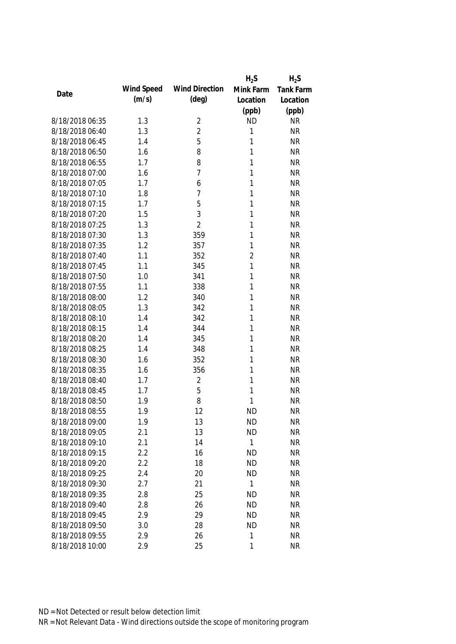|                 |            |                       | $H_2S$         | $H_2S$           |
|-----------------|------------|-----------------------|----------------|------------------|
| Date            | Wind Speed | <b>Wind Direction</b> | Mink Farm      | <b>Tank Farm</b> |
|                 | (m/s)      | $(\text{deg})$        | Location       | Location         |
|                 |            |                       | (ppb)          | (ppb)            |
| 8/18/2018 06:35 | 1.3        | $\overline{2}$        | <b>ND</b>      | <b>NR</b>        |
| 8/18/2018 06:40 | 1.3        | $\overline{2}$        | 1              | <b>NR</b>        |
| 8/18/2018 06:45 | 1.4        | 5                     | 1              | <b>NR</b>        |
| 8/18/2018 06:50 | 1.6        | 8                     | 1              | <b>NR</b>        |
| 8/18/2018 06:55 | 1.7        | 8                     | 1              | <b>NR</b>        |
| 8/18/2018 07:00 | 1.6        | $\overline{7}$        | 1              | <b>NR</b>        |
| 8/18/2018 07:05 | 1.7        | 6                     | 1              | <b>NR</b>        |
| 8/18/2018 07:10 | 1.8        | 7                     | 1              | <b>NR</b>        |
| 8/18/2018 07:15 | 1.7        | 5                     | 1              | <b>NR</b>        |
| 8/18/2018 07:20 | 1.5        | 3                     | 1              | <b>NR</b>        |
| 8/18/2018 07:25 | 1.3        | $\overline{2}$        | 1              | <b>NR</b>        |
| 8/18/2018 07:30 | 1.3        | 359                   | 1              | <b>NR</b>        |
| 8/18/2018 07:35 | 1.2        | 357                   | 1              | <b>NR</b>        |
| 8/18/2018 07:40 | 1.1        | 352                   | $\overline{2}$ | <b>NR</b>        |
| 8/18/2018 07:45 | 1.1        | 345                   | $\mathbf{1}$   | <b>NR</b>        |
| 8/18/2018 07:50 | 1.0        | 341                   | 1              | <b>NR</b>        |
| 8/18/2018 07:55 | 1.1        | 338                   | 1              | <b>NR</b>        |
| 8/18/2018 08:00 | 1.2        | 340                   | 1              | <b>NR</b>        |
| 8/18/2018 08:05 | 1.3        | 342                   | 1              | <b>NR</b>        |
| 8/18/2018 08:10 | 1.4        | 342                   | 1              | <b>NR</b>        |
| 8/18/2018 08:15 | 1.4        | 344                   | 1              | <b>NR</b>        |
| 8/18/2018 08:20 | 1.4        | 345                   | 1              | <b>NR</b>        |
| 8/18/2018 08:25 | 1.4        | 348                   | 1              | <b>NR</b>        |
| 8/18/2018 08:30 | 1.6        | 352                   | 1              | <b>NR</b>        |
| 8/18/2018 08:35 | 1.6        | 356                   | 1              | <b>NR</b>        |
| 8/18/2018 08:40 | 1.7        | $\overline{2}$        | 1              | <b>NR</b>        |
| 8/18/2018 08:45 | 1.7        | 5                     | 1              | <b>NR</b>        |
| 8/18/2018 08:50 | 1.9        | 8                     | 1              | <b>NR</b>        |
| 8/18/2018 08:55 | 1.9        | 12                    | <b>ND</b>      | <b>NR</b>        |
| 8/18/2018 09:00 | 1.9        | 13                    | <b>ND</b>      | <b>NR</b>        |
| 8/18/2018 09:05 | 2.1        | 13                    | <b>ND</b>      | <b>NR</b>        |
| 8/18/2018 09:10 | 2.1        | 14                    | 1              | <b>NR</b>        |
| 8/18/2018 09:15 | 2.2        | 16                    | <b>ND</b>      | <b>NR</b>        |
| 8/18/2018 09:20 | 2.2        | 18                    | <b>ND</b>      | <b>NR</b>        |
| 8/18/2018 09:25 | 2.4        | 20                    | <b>ND</b>      | <b>NR</b>        |
| 8/18/2018 09:30 | 2.7        | 21                    | 1              | <b>NR</b>        |
| 8/18/2018 09:35 | 2.8        | 25                    | <b>ND</b>      | <b>NR</b>        |
| 8/18/2018 09:40 | 2.8        | 26                    | <b>ND</b>      | <b>NR</b>        |
| 8/18/2018 09:45 | 2.9        | 29                    | <b>ND</b>      | <b>NR</b>        |
| 8/18/2018 09:50 | 3.0        | 28                    | <b>ND</b>      | <b>NR</b>        |
| 8/18/2018 09:55 | 2.9        | 26                    | 1              | <b>NR</b>        |
| 8/18/2018 10:00 | 2.9        | 25                    | 1              | <b>NR</b>        |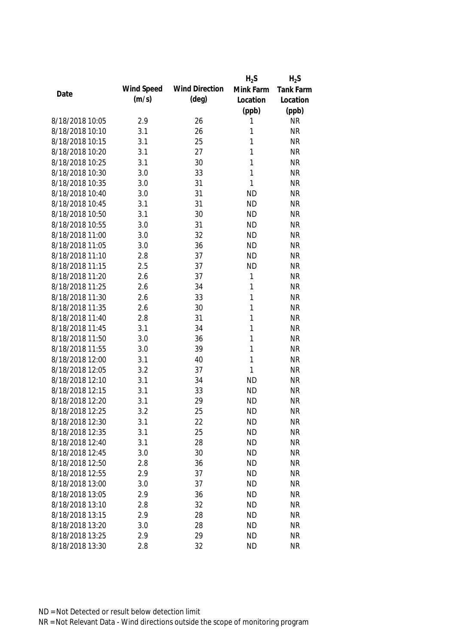|                 |            |                       | $H_2S$    | $H_2S$           |
|-----------------|------------|-----------------------|-----------|------------------|
| Date            | Wind Speed | <b>Wind Direction</b> | Mink Farm | <b>Tank Farm</b> |
|                 | (m/s)      | $(\text{deg})$        | Location  | Location         |
|                 |            |                       | (ppb)     | (ppb)            |
| 8/18/2018 10:05 | 2.9        | 26                    | 1         | <b>NR</b>        |
| 8/18/2018 10:10 | 3.1        | 26                    | 1         | <b>NR</b>        |
| 8/18/2018 10:15 | 3.1        | 25                    | 1         | <b>NR</b>        |
| 8/18/2018 10:20 | 3.1        | 27                    | 1         | <b>NR</b>        |
| 8/18/2018 10:25 | 3.1        | 30                    | 1         | <b>NR</b>        |
| 8/18/2018 10:30 | 3.0        | 33                    | 1         | <b>NR</b>        |
| 8/18/2018 10:35 | 3.0        | 31                    | 1         | <b>NR</b>        |
| 8/18/2018 10:40 | 3.0        | 31                    | <b>ND</b> | <b>NR</b>        |
| 8/18/2018 10:45 | 3.1        | 31                    | <b>ND</b> | <b>NR</b>        |
| 8/18/2018 10:50 | 3.1        | 30                    | <b>ND</b> | <b>NR</b>        |
| 8/18/2018 10:55 | 3.0        | 31                    | <b>ND</b> | <b>NR</b>        |
| 8/18/2018 11:00 | 3.0        | 32                    | <b>ND</b> | <b>NR</b>        |
| 8/18/2018 11:05 | 3.0        | 36                    | <b>ND</b> | <b>NR</b>        |
| 8/18/2018 11:10 | 2.8        | 37                    | <b>ND</b> | <b>NR</b>        |
| 8/18/2018 11:15 | 2.5        | 37                    | <b>ND</b> | <b>NR</b>        |
| 8/18/2018 11:20 | 2.6        | 37                    | 1         | <b>NR</b>        |
| 8/18/2018 11:25 | 2.6        | 34                    | 1         | <b>NR</b>        |
| 8/18/2018 11:30 | 2.6        | 33                    | 1         | <b>NR</b>        |
| 8/18/2018 11:35 | 2.6        | 30                    | 1         | <b>NR</b>        |
| 8/18/2018 11:40 | 2.8        | 31                    | 1         | <b>NR</b>        |
| 8/18/2018 11:45 | 3.1        | 34                    | 1         | <b>NR</b>        |
| 8/18/2018 11:50 | 3.0        | 36                    | 1         | <b>NR</b>        |
| 8/18/2018 11:55 | 3.0        | 39                    | 1         | <b>NR</b>        |
| 8/18/2018 12:00 | 3.1        | 40                    | 1         | <b>NR</b>        |
| 8/18/2018 12:05 | 3.2        | 37                    | 1         | <b>NR</b>        |
| 8/18/2018 12:10 | 3.1        | 34                    | <b>ND</b> | <b>NR</b>        |
| 8/18/2018 12:15 | 3.1        | 33                    | <b>ND</b> | <b>NR</b>        |
| 8/18/2018 12:20 | 3.1        | 29                    | <b>ND</b> | <b>NR</b>        |
| 8/18/2018 12:25 | 3.2        | 25                    | <b>ND</b> | <b>NR</b>        |
| 8/18/2018 12:30 | 3.1        | 22                    | <b>ND</b> | <b>NR</b>        |
| 8/18/2018 12:35 | 3.1        | 25                    | <b>ND</b> | <b>NR</b>        |
| 8/18/2018 12:40 | 3.1        | 28                    | <b>ND</b> | <b>NR</b>        |
| 8/18/2018 12:45 | 3.0        | 30                    | <b>ND</b> | <b>NR</b>        |
| 8/18/2018 12:50 | 2.8        | 36                    | <b>ND</b> | <b>NR</b>        |
| 8/18/2018 12:55 | 2.9        | 37                    | <b>ND</b> | <b>NR</b>        |
| 8/18/2018 13:00 | 3.0        | 37                    | <b>ND</b> | <b>NR</b>        |
| 8/18/2018 13:05 | 2.9        | 36                    | <b>ND</b> | <b>NR</b>        |
| 8/18/2018 13:10 | 2.8        | 32                    | <b>ND</b> | <b>NR</b>        |
| 8/18/2018 13:15 | 2.9        | 28                    | <b>ND</b> | <b>NR</b>        |
| 8/18/2018 13:20 | 3.0        | 28                    | <b>ND</b> | <b>NR</b>        |
| 8/18/2018 13:25 | 2.9        | 29                    | <b>ND</b> | <b>NR</b>        |
| 8/18/2018 13:30 | 2.8        | 32                    | <b>ND</b> | <b>NR</b>        |
|                 |            |                       |           |                  |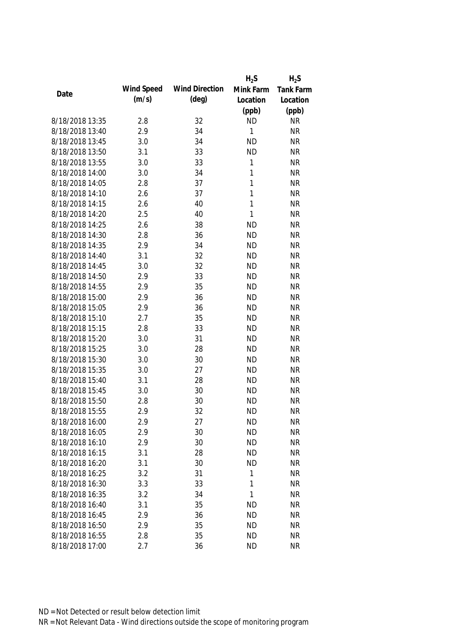|                 |            |                       | $H_2S$       | $H_2S$           |
|-----------------|------------|-----------------------|--------------|------------------|
|                 | Wind Speed | <b>Wind Direction</b> | Mink Farm    | <b>Tank Farm</b> |
| Date            | (m/s)      | $(\text{deg})$        | Location     | Location         |
|                 |            |                       | (ppb)        | (ppb)            |
| 8/18/2018 13:35 | 2.8        | 32                    | <b>ND</b>    | <b>NR</b>        |
| 8/18/2018 13:40 | 2.9        | 34                    | 1            | <b>NR</b>        |
| 8/18/2018 13:45 | 3.0        | 34                    | <b>ND</b>    | <b>NR</b>        |
| 8/18/2018 13:50 | 3.1        | 33                    | <b>ND</b>    | <b>NR</b>        |
| 8/18/2018 13:55 | 3.0        | 33                    | 1            | <b>NR</b>        |
| 8/18/2018 14:00 | 3.0        | 34                    | 1            | <b>NR</b>        |
| 8/18/2018 14:05 | 2.8        | 37                    | $\mathbf{1}$ | <b>NR</b>        |
| 8/18/2018 14:10 | 2.6        | 37                    | $\mathbf{1}$ | <b>NR</b>        |
| 8/18/2018 14:15 | 2.6        | 40                    | $\mathbf{1}$ | <b>NR</b>        |
| 8/18/2018 14:20 | 2.5        | 40                    | $\mathbf{1}$ | <b>NR</b>        |
| 8/18/2018 14:25 | 2.6        | 38                    | <b>ND</b>    | <b>NR</b>        |
| 8/18/2018 14:30 | 2.8        | 36                    | <b>ND</b>    | <b>NR</b>        |
| 8/18/2018 14:35 | 2.9        | 34                    | <b>ND</b>    | <b>NR</b>        |
| 8/18/2018 14:40 | 3.1        | 32                    | <b>ND</b>    | <b>NR</b>        |
| 8/18/2018 14:45 | 3.0        | 32                    | <b>ND</b>    | <b>NR</b>        |
| 8/18/2018 14:50 | 2.9        | 33                    | <b>ND</b>    | <b>NR</b>        |
| 8/18/2018 14:55 | 2.9        | 35                    | <b>ND</b>    | <b>NR</b>        |
| 8/18/2018 15:00 | 2.9        | 36                    | <b>ND</b>    | <b>NR</b>        |
| 8/18/2018 15:05 | 2.9        | 36                    | <b>ND</b>    | <b>NR</b>        |
| 8/18/2018 15:10 | 2.7        | 35                    | <b>ND</b>    | <b>NR</b>        |
| 8/18/2018 15:15 | 2.8        | 33                    | <b>ND</b>    | <b>NR</b>        |
| 8/18/2018 15:20 | 3.0        | 31                    | <b>ND</b>    | <b>NR</b>        |
| 8/18/2018 15:25 | 3.0        | 28                    | <b>ND</b>    | <b>NR</b>        |
| 8/18/2018 15:30 | 3.0        | 30                    | <b>ND</b>    | <b>NR</b>        |
| 8/18/2018 15:35 | 3.0        | 27                    | <b>ND</b>    | <b>NR</b>        |
| 8/18/2018 15:40 | 3.1        | 28                    | <b>ND</b>    | <b>NR</b>        |
| 8/18/2018 15:45 | 3.0        | 30                    | <b>ND</b>    | <b>NR</b>        |
| 8/18/2018 15:50 | 2.8        | 30                    | <b>ND</b>    | <b>NR</b>        |
| 8/18/2018 15:55 | 2.9        | 32                    | <b>ND</b>    | <b>NR</b>        |
| 8/18/2018 16:00 | 2.9        | 27                    | <b>ND</b>    | <b>NR</b>        |
| 8/18/2018 16:05 | 2.9        | 30                    | <b>ND</b>    | <b>NR</b>        |
| 8/18/2018 16:10 | 2.9        | 30                    | <b>ND</b>    | <b>NR</b>        |
| 8/18/2018 16:15 | 3.1        | 28                    | <b>ND</b>    | <b>NR</b>        |
| 8/18/2018 16:20 | 3.1        | 30                    | <b>ND</b>    | <b>NR</b>        |
| 8/18/2018 16:25 | 3.2        | 31                    | 1            | <b>NR</b>        |
| 8/18/2018 16:30 | 3.3        | 33                    | 1            | <b>NR</b>        |
| 8/18/2018 16:35 | 3.2        | 34                    | 1            | <b>NR</b>        |
| 8/18/2018 16:40 | 3.1        | 35                    | <b>ND</b>    | <b>NR</b>        |
| 8/18/2018 16:45 | 2.9        | 36                    | <b>ND</b>    | <b>NR</b>        |
| 8/18/2018 16:50 | 2.9        | 35                    | <b>ND</b>    | <b>NR</b>        |
| 8/18/2018 16:55 | 2.8        | 35                    | <b>ND</b>    | <b>NR</b>        |
| 8/18/2018 17:00 | 2.7        | 36                    | <b>ND</b>    | <b>NR</b>        |
|                 |            |                       |              |                  |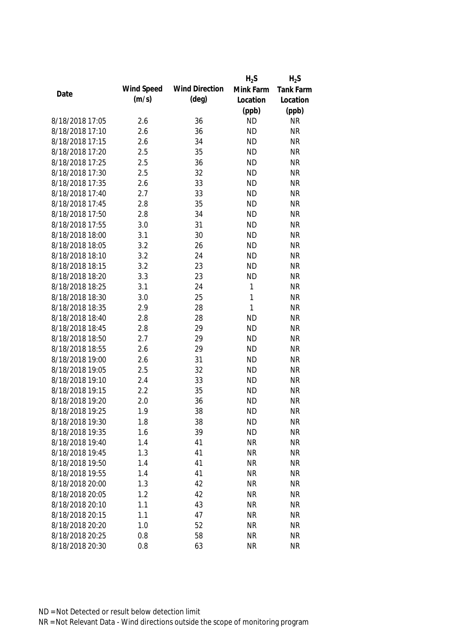|                 |            |                       | $H_2S$       | $H_2S$           |
|-----------------|------------|-----------------------|--------------|------------------|
|                 | Wind Speed | <b>Wind Direction</b> | Mink Farm    | <b>Tank Farm</b> |
| Date            | (m/s)      | $(\text{deg})$        | Location     | Location         |
|                 |            |                       | (ppb)        | (ppb)            |
| 8/18/2018 17:05 | 2.6        | 36                    | <b>ND</b>    | <b>NR</b>        |
| 8/18/2018 17:10 | 2.6        | 36                    | <b>ND</b>    | <b>NR</b>        |
| 8/18/2018 17:15 | 2.6        | 34                    | <b>ND</b>    | <b>NR</b>        |
| 8/18/2018 17:20 | 2.5        | 35                    | <b>ND</b>    | <b>NR</b>        |
| 8/18/2018 17:25 | 2.5        | 36                    | <b>ND</b>    | <b>NR</b>        |
| 8/18/2018 17:30 | 2.5        | 32                    | <b>ND</b>    | <b>NR</b>        |
| 8/18/2018 17:35 | 2.6        | 33                    | <b>ND</b>    | <b>NR</b>        |
| 8/18/2018 17:40 | 2.7        | 33                    | <b>ND</b>    | <b>NR</b>        |
| 8/18/2018 17:45 | 2.8        | 35                    | <b>ND</b>    | <b>NR</b>        |
| 8/18/2018 17:50 | 2.8        | 34                    | <b>ND</b>    | <b>NR</b>        |
| 8/18/2018 17:55 | 3.0        | 31                    | <b>ND</b>    | <b>NR</b>        |
| 8/18/2018 18:00 | 3.1        | 30                    | <b>ND</b>    | <b>NR</b>        |
| 8/18/2018 18:05 | 3.2        | 26                    | <b>ND</b>    | <b>NR</b>        |
| 8/18/2018 18:10 | 3.2        | 24                    | <b>ND</b>    | <b>NR</b>        |
| 8/18/2018 18:15 | 3.2        | 23                    | <b>ND</b>    | <b>NR</b>        |
| 8/18/2018 18:20 | 3.3        | 23                    | <b>ND</b>    | <b>NR</b>        |
| 8/18/2018 18:25 | 3.1        | 24                    | $\mathbf{1}$ | <b>NR</b>        |
| 8/18/2018 18:30 | 3.0        | 25                    | $\mathbf{1}$ | <b>NR</b>        |
| 8/18/2018 18:35 | 2.9        | 28                    | $\mathbf{1}$ | <b>NR</b>        |
| 8/18/2018 18:40 | 2.8        | 28                    | <b>ND</b>    | <b>NR</b>        |
| 8/18/2018 18:45 | 2.8        | 29                    | <b>ND</b>    | <b>NR</b>        |
| 8/18/2018 18:50 | 2.7        | 29                    | <b>ND</b>    | <b>NR</b>        |
| 8/18/2018 18:55 | 2.6        | 29                    | <b>ND</b>    | <b>NR</b>        |
| 8/18/2018 19:00 | 2.6        | 31                    | <b>ND</b>    | <b>NR</b>        |
| 8/18/2018 19:05 | 2.5        | 32                    | <b>ND</b>    | <b>NR</b>        |
| 8/18/2018 19:10 | 2.4        | 33                    | <b>ND</b>    | <b>NR</b>        |
| 8/18/2018 19:15 | 2.2        | 35                    | <b>ND</b>    | <b>NR</b>        |
| 8/18/2018 19:20 | 2.0        | 36                    | <b>ND</b>    | <b>NR</b>        |
| 8/18/2018 19:25 | 1.9        | 38                    | <b>ND</b>    | <b>NR</b>        |
| 8/18/2018 19:30 | 1.8        | 38                    | <b>ND</b>    | <b>NR</b>        |
| 8/18/2018 19:35 | 1.6        | 39                    | <b>ND</b>    | <b>NR</b>        |
| 8/18/2018 19:40 | 1.4        | 41                    | <b>NR</b>    | <b>NR</b>        |
| 8/18/2018 19:45 | 1.3        | 41                    | <b>NR</b>    | <b>NR</b>        |
| 8/18/2018 19:50 | 1.4        | 41                    | <b>NR</b>    | <b>NR</b>        |
| 8/18/2018 19:55 | 1.4        | 41                    | <b>NR</b>    | <b>NR</b>        |
| 8/18/2018 20:00 | 1.3        | 42                    | <b>NR</b>    | <b>NR</b>        |
| 8/18/2018 20:05 | 1.2        | 42                    | <b>NR</b>    | <b>NR</b>        |
| 8/18/2018 20:10 | 1.1        | 43                    | <b>NR</b>    | <b>NR</b>        |
| 8/18/2018 20:15 | 1.1        | 47                    | <b>NR</b>    | <b>NR</b>        |
| 8/18/2018 20:20 | 1.0        | 52                    | <b>NR</b>    | <b>NR</b>        |
| 8/18/2018 20:25 | 0.8        | 58                    | <b>NR</b>    | <b>NR</b>        |
|                 |            |                       |              |                  |
| 8/18/2018 20:30 | 0.8        | 63                    | <b>NR</b>    | <b>NR</b>        |